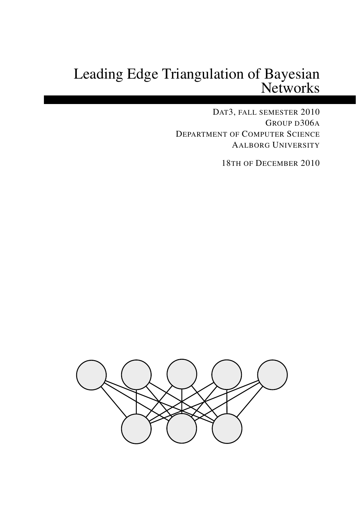# Leading Edge Triangulation of Bayesian **Networks**

DAT3, FALL SEMESTER 2010 GROUP D306A DEPARTMENT OF COMPUTER SCIENCE AALBORG UNIVERSITY

18TH OF DECEMBER 2010

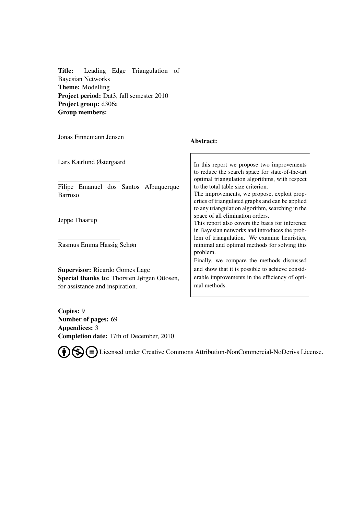Title: Leading Edge Triangulation of Bayesian Networks Theme: Modelling Project period: Dat3, fall semester 2010 Project group: d306a Group members:

Jonas Finnemann Jensen

#### Abstract:

Lars Kærlund Østergaard

Filipe Emanuel dos Santos Albuquerque Barroso

Jeppe Thaarup

Rasmus Emma Hassig Schøn

Supervisor: Ricardo Gomes Lage Special thanks to: Thorsten Jørgen Ottosen, for assistance and inspiration.

In this report we propose two improvements to reduce the search space for state-of-the-art optimal triangulation algorithms, with respect to the total table size criterion. The improvements, we propose, exploit properties of triangulated graphs and can be applied to any triangulation algorithm, searching in the space of all elimination orders. This report also covers the basis for inference in Bayesian networks and introduces the problem of triangulation. We examine heuristics, minimal and optimal methods for solving this problem. Finally, we compare the methods discussed and show that it is possible to achieve considerable improvements in the efficiency of optimal methods.

Copies: 9 Number of pages: [69](#page-79-0) Appendices: 3 Completion date: 17th of December, 2010

Licensed under Creative Commons Attribution-NonCommercial-NoDerivs License.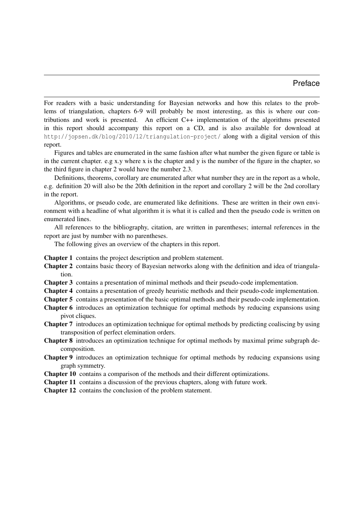## Preface

For readers with a basic understanding for Bayesian networks and how this relates to the problems of triangulation, chapters 6-9 will probably be most interesting, as this is where our contributions and work is presented. An efficient C++ implementation of the algorithms presented in this report should accompany this report on a CD, and is also available for download at http://jopsen.dk/blog/2010/12/triangulation-project/ along with a digital version of this report.

Figures and tables are enumerated in the same fashion after what number the given figure or table is in the current chapter. e.g x.y where x is the chapter and y is the number of the figure in the chapter, so the third figure in chapter 2 would have the number 2.3.

Definitions, theorems, corollary are enumerated after what number they are in the report as a whole, e.g. definition 20 will also be the 20th definition in the report and corollary 2 will be the 2nd corollary in the report.

Algorithms, or pseudo code, are enumerated like definitions. These are written in their own environment with a headline of what algorithm it is what it is called and then the pseudo code is written on enumerated lines.

All references to the bibliography, citation, are written in parentheses; internal references in the report are just by number with no parentheses.

The following gives an overview of the chapters in this report.

Chapter 1 contains the project description and problem statement.

Chapter 2 contains basic theory of Bayesian networks along with the definition and idea of triangulation.

Chapter 3 contains a presentation of minimal methods and their pseudo-code implementation.

Chapter 4 contains a presentation of greedy heuristic methods and their pseudo-code implementation.

Chapter 5 contains a presentation of the basic optimal methods and their pseudo-code implementation.

- Chapter 6 introduces an optimization technique for optimal methods by reducing expansions using pivot cliques.
- Chapter 7 introduces an optimization technique for optimal methods by predicting coaliscing by using transposition of perfect elemination orders.
- Chapter 8 introduces an optimization technique for optimal methods by maximal prime subgraph decomposition.
- Chapter 9 introduces an optimization technique for optimal methods by reducing expansions using graph symmetry.

Chapter 10 contains a comparison of the methods and their different optimizations.

Chapter 11 contains a discussion of the previous chapters, along with future work.

Chapter 12 contains the conclusion of the problem statement.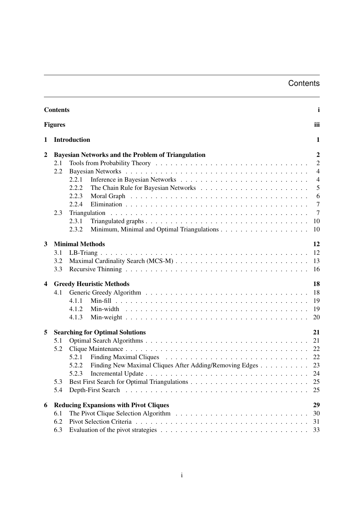## **Contents**

<span id="page-6-1"></span><span id="page-6-0"></span>

|   | <b>Contents</b><br>$\mathbf{i}$ |                                                                                                                                                                                                                                                                                     |                                                                                                                                  |  |  |
|---|---------------------------------|-------------------------------------------------------------------------------------------------------------------------------------------------------------------------------------------------------------------------------------------------------------------------------------|----------------------------------------------------------------------------------------------------------------------------------|--|--|
|   | <b>Figures</b><br>iii           |                                                                                                                                                                                                                                                                                     |                                                                                                                                  |  |  |
| 1 |                                 | <b>Introduction</b>                                                                                                                                                                                                                                                                 | 1                                                                                                                                |  |  |
| 2 | 2.1<br>2.2<br>2.3               | <b>Bayesian Networks and the Problem of Triangulation</b><br>2.2.1<br>2.2.2<br>2.2.3<br>2.2.4<br>Triangulation<br>2.3.1<br>2.3.2                                                                                                                                                    | $\boldsymbol{2}$<br>$\overline{2}$<br>$\overline{4}$<br>$\overline{4}$<br>5<br>6<br>$\overline{7}$<br>$\overline{7}$<br>10<br>10 |  |  |
| 3 | 3.1<br>3.2<br>3.3               | <b>Minimal Methods</b>                                                                                                                                                                                                                                                              | 12<br>12<br>13<br>16                                                                                                             |  |  |
| 4 | 4.1                             | <b>Greedy Heuristic Methods</b><br>4.1.1<br>4.1.2<br>4.1.3                                                                                                                                                                                                                          | 18<br>18<br>19<br>19<br>20                                                                                                       |  |  |
| 5 | 5.1<br>5.2<br>5.3<br>5.4        | <b>Searching for Optimal Solutions</b><br>5.2.1<br>Finding New Maximal Cliques After Adding/Removing Edges<br>5.2.2<br>5.2.3<br>Depth-First Search                                                                                                                                  | 21<br>21<br>22<br>22<br>23<br>25<br>25                                                                                           |  |  |
| 6 | 6.1<br>6.2<br>6.3               | <b>Reducing Expansions with Pivot Cliques</b><br>The Pivot Clique Selection Algorithm $\ldots \ldots \ldots \ldots \ldots \ldots \ldots \ldots \ldots \ldots$<br>Evaluation of the pivot strategies $\dots \dots \dots \dots \dots \dots \dots \dots \dots \dots \dots \dots \dots$ | 29<br>30<br>31<br>33                                                                                                             |  |  |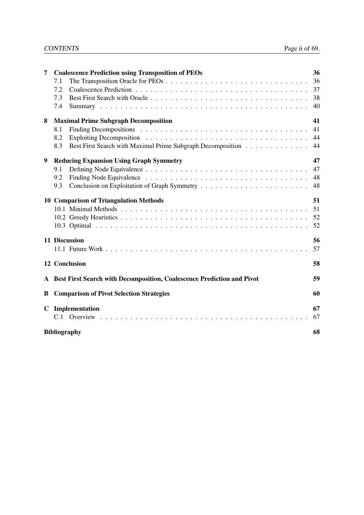## CONTENTS Page ii of [69.](#page-79-0)

| 7           | <b>Coalescence Prediction using Transposition of PEOs</b>                | 36 |
|-------------|--------------------------------------------------------------------------|----|
|             | 7.1                                                                      | 36 |
|             | 7.2                                                                      | 37 |
|             | 7.3                                                                      | 38 |
|             | 7.4                                                                      | 40 |
| 8           | <b>Maximal Prime Subgraph Decomposition</b>                              | 41 |
|             | 8.1                                                                      | 41 |
|             | 8.2                                                                      | 44 |
|             | Best First Search with Maximal Prime Subgraph Decomposition<br>8.3       | 44 |
| 9           | <b>Reducing Expansion Using Graph Symmetry</b>                           | 47 |
|             | 9.1                                                                      | 47 |
|             | 9.2                                                                      | 48 |
|             | 9.3                                                                      | 48 |
|             | <b>10 Comparison of Triangulation Methods</b>                            | 51 |
|             |                                                                          | 51 |
|             |                                                                          | 52 |
|             |                                                                          | 52 |
|             | 11 Discussion                                                            | 56 |
|             |                                                                          | 57 |
|             | 12 Conclusion                                                            | 58 |
|             | A Best First Search with Decomposition, Coalescence Prediction and Pivot | 59 |
| B           | <b>Comparison of Pivot Selection Strategies</b>                          | 60 |
| $\mathbf C$ | Implementation                                                           | 67 |
|             |                                                                          | 67 |
|             | <b>Bibliography</b>                                                      | 68 |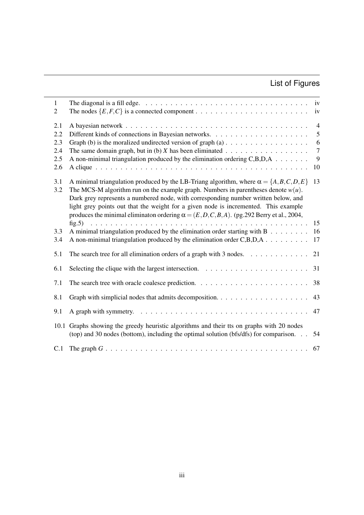## List of Figures

| $\mathbf{1}$<br>$\overline{2}$         | The diagonal is a fill edge. $\ldots \ldots \ldots \ldots \ldots \ldots \ldots \ldots \ldots \ldots \ldots \ldots$ iv                                                                                                                                                                                                                                                                                                                                                      | iv                                                      |
|----------------------------------------|----------------------------------------------------------------------------------------------------------------------------------------------------------------------------------------------------------------------------------------------------------------------------------------------------------------------------------------------------------------------------------------------------------------------------------------------------------------------------|---------------------------------------------------------|
| 2.1<br>2.2<br>2.3<br>2.4<br>2.5<br>2.6 | A non-minimal triangulation produced by the elimination ordering $C, B, D, A$                                                                                                                                                                                                                                                                                                                                                                                              | $\overline{4}$<br>5<br>6<br>$\boldsymbol{7}$<br>9<br>10 |
| 3.1<br>3.2                             | A minimal triangulation produced by the LB-Triang algorithm, where $\alpha = \{A, B, C, D, E\}$<br>The MCS-M algorithm run on the example graph. Numbers in parentheses denote $w(u)$ .<br>Dark grey represents a numbered node, with corresponding number written below, and<br>light grey points out that the weight for a given node is incremented. This example<br>produces the minimal eliminaton ordering $\alpha = (E, D, C, B, A)$ . (pg. 292 Berry et al., 2004, | 13                                                      |
| 3.3<br>3.4                             | A minimal triangulation produced by the elimination order starting with $B \dots \dots$<br>A non-minimal triangulation produced by the elimination order C,B,D,A                                                                                                                                                                                                                                                                                                           | 15<br>16<br>17                                          |
| 5.1                                    | The search tree for all elimination orders of a graph with 3 nodes. $\dots \dots \dots \dots$                                                                                                                                                                                                                                                                                                                                                                              | 21                                                      |
| 6.1                                    | Selecting the clique with the largest intersection. $\ldots \ldots \ldots \ldots \ldots \ldots \ldots$                                                                                                                                                                                                                                                                                                                                                                     | 31                                                      |
| 7.1                                    |                                                                                                                                                                                                                                                                                                                                                                                                                                                                            | 38                                                      |
| 8.1                                    |                                                                                                                                                                                                                                                                                                                                                                                                                                                                            | 43                                                      |
| 9.1                                    |                                                                                                                                                                                                                                                                                                                                                                                                                                                                            | 47                                                      |
| 10.1                                   | Graphs showing the greedy heuristic algorithms and their tts on graphs with 20 nodes<br>(top) and 30 nodes (bottom), including the optimal solution ( $bfs/dfs$ ) for comparison. $\ldots$                                                                                                                                                                                                                                                                                 | 54                                                      |
| C.1                                    |                                                                                                                                                                                                                                                                                                                                                                                                                                                                            | 67                                                      |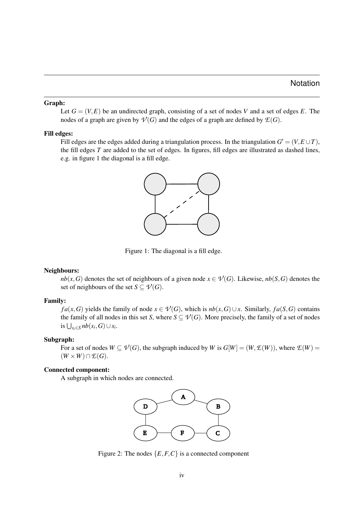#### Graph:

Let  $G = (V, E)$  be an undirected graph, consisting of a set of nodes *V* and a set of edges *E*. The nodes of a graph are given by  $\mathcal{V}(G)$  and the edges of a graph are defined by  $\mathcal{E}(G)$ .

#### Fill edges:

Fill edges are the edges added during a triangulation process. In the triangulation  $G' = (V, E \cup T)$ , the fill edges *T* are added to the set of edges. In figures, fill edges are illustrated as dashed lines, e.g. in figure [1](#page-9-0) the diagonal is a fill edge.



<span id="page-9-0"></span>Figure 1: The diagonal is a fill edge.

#### Neighbours:

*nb*(*x*, *G*) denotes the set of neighbours of a given node  $x \in V(G)$ . Likewise, *nb*(*S*, *G*) denotes the set of neighbours of the set  $S \subseteq V(G)$ .

#### Family:

*f*a(*x*,*G*) yields the family of node *x* ∈  $\mathcal{V}(G)$ , which is *nb*(*x*,*G*)∪*x*. Similarly, *fa*(*S*,*G*) contains the family of all nodes in this set *S*, where  $S \subseteq V(G)$ . More precisely, the family of a set of nodes is  $\bigcup_{s_i \in S} nb(s_i, G) \cup s_i$ .

#### Subgraph:

For a set of nodes  $W \subseteq V(G)$ , the subgraph induced by *W* is  $G[W] = (W, \mathcal{E}(W))$ , where  $\mathcal{E}(W) =$  $(W \times W) \cap E(G)$ .

#### Connected component:

A subgraph in which nodes are connected.



<span id="page-9-1"></span>Figure 2: The nodes  $\{E, F, C\}$  is a connected component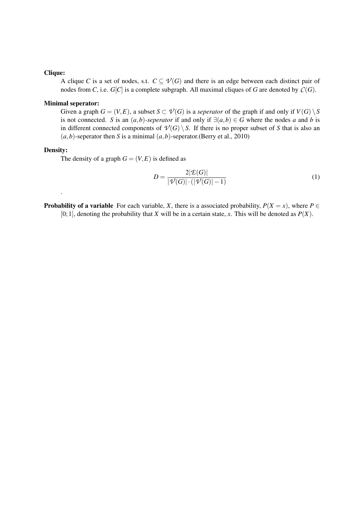#### Clique:

A clique *C* is a set of nodes, s.t.  $C \subseteq \mathcal{V}(G)$  and there is an edge between each distinct pair of nodes from *C*, i.e.  $G[C]$  is a complete subgraph. All maximal cliques of *G* are denoted by  $C(G)$ .

#### Minimal seperator:

Given a graph  $G = (V, E)$ , a subset  $S \subset V(G)$  is a *seperator* of the graph if and only if  $V(G) \setminus S$ is not connected. *S* is an  $(a,b)$ -seperator if and only if  $\exists (a,b) \in G$  where the nodes *a* and *b* is in different connected components of  $\mathcal{V}(G) \setminus S$ . If there is no proper subset of *S* that is also an  $(a,b)$ -seperator then *S* is a minimal  $(a,b)$ -seperator.[\(Berry et al.,](#page-79-2) [2010\)](#page-79-2)

#### Density:

.

The density of a graph  $G = (V, E)$  is defined as

$$
D = \frac{2|\mathcal{L}(G)|}{|\mathcal{V}(G)| \cdot (|\mathcal{V}(G)| - 1)}
$$
(1)

**Probability of a variable** For each variable, *X*, there is a associated probability,  $P(X = x)$ , where  $P \in$ [0; 1], denoting the probability that *X* will be in a certain state, *x*. This will be denoted as  $P(X)$ .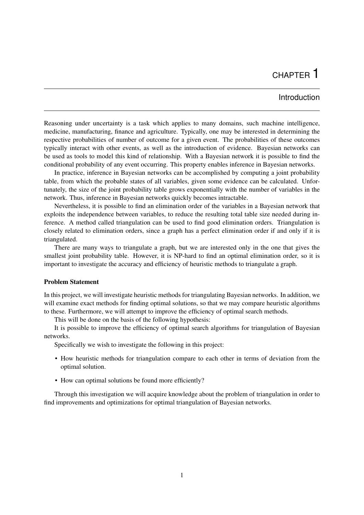## CHAPTER 1

## Introduction

<span id="page-11-0"></span>Reasoning under uncertainty is a task which applies to many domains, such machine intelligence, medicine, manufacturing, finance and agriculture. Typically, one may be interested in determining the respective probabilities of number of outcome for a given event. The probabilities of these outcomes typically interact with other events, as well as the introduction of evidence. Bayesian networks can be used as tools to model this kind of relationship. With a Bayesian network it is possible to find the conditional probability of any event occurring. This property enables inference in Bayesian networks.

In practice, inference in Bayesian networks can be accomplished by computing a joint probability table, from which the probable states of all variables, given some evidence can be calculated. Unfortunately, the size of the joint probability table grows exponentially with the number of variables in the network. Thus, inference in Bayesian networks quickly becomes intractable.

Nevertheless, it is possible to find an elimination order of the variables in a Bayesian network that exploits the independence between variables, to reduce the resulting total table size needed during inference. A method called triangulation can be used to find good elimination orders. Triangulation is closely related to elimination orders, since a graph has a perfect elimination order if and only if it is triangulated.

There are many ways to triangulate a graph, but we are interested only in the one that gives the smallest joint probability table. However, it is NP-hard to find an optimal elimination order, so it is important to investigate the accuracy and efficiency of heuristic methods to triangulate a graph.

#### Problem Statement

In this project, we will investigate heuristic methods for triangulating Bayesian networks. In addition, we will examine exact methods for finding optimal solutions, so that we may compare heuristic algorithms to these. Furthermore, we will attempt to improve the efficiency of optimal search methods.

This will be done on the basis of the following hypothesis:

It is possible to improve the efficiency of optimal search algorithms for triangulation of Bayesian networks.

Specifically we wish to investigate the following in this project:

- How heuristic methods for triangulation compare to each other in terms of deviation from the optimal solution.
- How can optimal solutions be found more efficiently?

Through this investigation we will acquire knowledge about the problem of triangulation in order to find improvements and optimizations for optimal triangulation of Bayesian networks.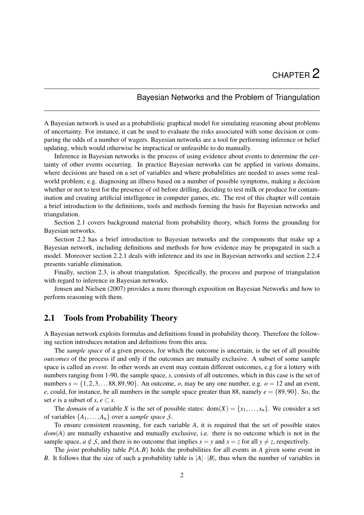## Bayesian Networks and the Problem of Triangulation

<span id="page-12-0"></span>A Bayesian network is used as a probabilistic graphical model for simulating reasoning about problems of uncertainty. For instance, it can be used to evaluate the risks associated with some decision or comparing the odds of a number of wagers. Bayesian networks are a tool for performing inference or belief updating, which would otherwise be impractical or unfeasible to do manually.

Inference in Bayesian networks is the process of using evidence about events to determine the certainty of other events occurring. In practice Bayesian networks can be applied in various domains, where decisions are based on a set of variables and where probabilities are needed to asses some realworld problem; e.g. diagnosing an illness based on a number of possible symptoms, making a decision whether or not to test for the presence of oil before drilling, deciding to test milk or produce for contamination and creating artificial intelligence in computer games, etc. The rest of this chapter will contain a brief introduction to the definitions, tools and methods forming the basis for Bayesian networks and triangulation.

Section [2.1](#page-12-1) covers background material from probability theory, which forms the grounding for Bayesian networks.

Section [2.2](#page-14-0) has a brief introduction to Bayesian networks and the components that make up a Bayesian network, including definitions and methods for how evidence may be propagated in such a model. Moreover section [2.2.1](#page-14-1) deals with inference and its use in Bayesian networks and section [2.2.4](#page-17-0) presents variable elimination.

Finally, section [2.3,](#page-17-1) is about triangulation. Specifically, the process and purpose of triangulation with regard to inference in Bayesian networks.

[Jensen and Nielsen](#page-79-3) [\(2007\)](#page-79-3) provides a more thorough exposition on Bayesian Networks and how to perform reasoning with them.

## <span id="page-12-1"></span>2.1 Tools from Probability Theory

A Bayesian network exploits formulas and definitions found in probability theory. Therefore the following section introduces notation and definitions from this area.

The *sample space* of a given process, for which the outcome is uncertain, is the set of all possible *outcomes* of the process if and only if the outcomes are mutually exclusive. A subset of some sample space is called an *event*. In other words an event may contain different outcomes, e.g for a lottery with numbers ranging from 1-90, the sample space, *s*, consists of all outcomes, which in this case is the set of numbers  $s = \{1, 2, 3, \ldots 88, 89, 90\}$ . An outcome, *o*, may be any one number, e.g.  $o = 12$  and an event, *e*, could, for instance, be all numbers in the sample space greater than 88, namely  $e = \{89, 90\}$ . So, the set *e* is a subset of *s*,  $e \subset s$ .

The *domain* of a variable *X* is the set of possible states:  $dom(X) = \{x_1, \ldots, x_n\}$ . We consider a set of variables  $\{A_1, \ldots, A_n\}$  over a *sample space S*.

To ensure consistent reasoning, for each variable *A*, it is required that the set of possible states *dom*(*A*) are mutually exhaustive and mutually exclusive, i.e. there is no outcome which is not in the sample space,  $a \notin S$ , and there is no outcome that implies  $x = y$  and  $x = z$  for all  $y \neq z$ , respectively.

The *joint* probability table  $P(A, B)$  holds the probabilities for all events in *A* given some event in *B*. It follows that the size of such a probability table is  $|A| \cdot |B|$ , thus when the number of variables in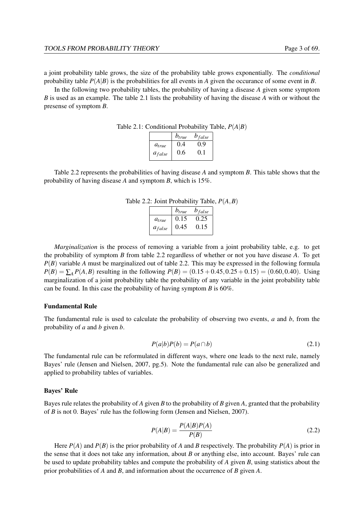a joint probability table grows, the size of the probability table grows exponentially. The *conditional* probability table  $P(A|B)$  is the probabilities for all events in *A* given the occurance of some event in *B*.

In the following two probability tables, the probability of having a disease *A* given some symptom *B* is used as an example. The table [2.1](#page-13-0) lists the probability of having the disease *A* with or without the presense of symptom *B*.

Table 2.1: Conditional Probability Table, *P*(*A*|*B*)

<span id="page-13-0"></span>

|             | $b_{true}$ | $b_{false}$ |
|-------------|------------|-------------|
| $a_{true}$  | 0.4        | 0.9         |
| $a_{false}$ | 0.6        | 0.1         |

Table [2.2](#page-13-1) represents the probabilities of having disease *A* and symptom *B*. This table shows that the probability of having disease *A* and symptom *B*, which is 15%.

| Table 2.2: Joint Probability Table, $P(A, B)$ |  |  |
|-----------------------------------------------|--|--|
|-----------------------------------------------|--|--|

<span id="page-13-1"></span>

|             | $b_{true}$ | $b_{false}$ |
|-------------|------------|-------------|
| $a_{true}$  | 0.15       | 0.25        |
| $a_{false}$ | 0.45       | 0.15        |
|             |            |             |

*Marginalization* is the process of removing a variable from a joint probability table, e.g. to get the probability of symptom *B* from table [2.2](#page-13-1) regardless of whether or not you have disease *A*. To get *P*(*B*) variable *A* must be marginalized out of table [2.2.](#page-13-1) This may be expressed in the following formula  $P(B) = \sum_{A} P(A, B)$  resulting in the following  $P(B) = (0.15 + 0.45, 0.25 + 0.15) = (0.60, 0.40)$ . Using marginalization of a joint probability table the probability of any variable in the joint probability table can be found. In this case the probability of having symptom *B* is 60%.

#### Fundamental Rule

The fundamental rule is used to calculate the probability of observing two events, *a* and *b*, from the probability of *a* and *b* given *b*.

$$
P(a|b)P(b) = P(a \cap b)
$$
\n<sup>(2.1)</sup>

The fundamental rule can be reformulated in different ways, where one leads to the next rule, namely Bayes' rule [\(Jensen and Nielsen,](#page-79-3) [2007,](#page-79-3) pg.5). Note the fundamental rule can also be generalized and applied to probability tables of variables.

#### Bayes' Rule

Bayes rule relates the probability of *A* given *B* to the probability of *B* given *A*, granted that the probability of *B* is not 0. Bayes' rule has the following form [\(Jensen and Nielsen,](#page-79-3) [2007\)](#page-79-3).

$$
P(A|B) = \frac{P(A|B)P(A)}{P(B)}\tag{2.2}
$$

Here  $P(A)$  and  $P(B)$  is the prior probability of *A* and *B* respectively. The probability  $P(A)$  is prior in the sense that it does not take any information, about *B* or anything else, into account. Bayes' rule can be used to update probability tables and compute the probability of *A* given *B*, using statistics about the prior probabilities of *A* and *B*, and information about the occurrence of *B* given *A*.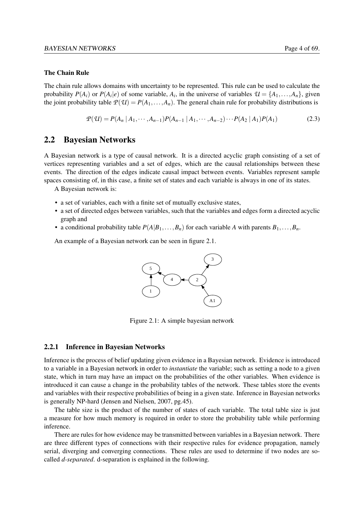#### The Chain Rule

The chain rule allows domains with uncertainty to be represented. This rule can be used to calculate the probability  $P(A_i)$  or  $P(A_i|e)$  of some variable,  $A_i$ , in the universe of variables  $\mathcal{U} = \{A_1, \ldots, A_n\}$ , given the joint probability table  $P(U) = P(A_1, \ldots, A_n)$ . The general chain rule for probability distributions is

$$
P(\mathcal{U}) = P(A_n | A_1, \cdots, A_{n-1}) P(A_{n-1} | A_1, \cdots, A_{n-2}) \cdots P(A_2 | A_1) P(A_1)
$$
(2.3)

## <span id="page-14-0"></span>2.2 Bayesian Networks

A Bayesian network is a type of causal network. It is a directed acyclic graph consisting of a set of vertices representing variables and a set of edges, which are the causal relationships between these events. The direction of the edges indicate causal impact between events. Variables represent sample spaces consisting of, in this case, a finite set of states and each variable is always in one of its states.

A Bayesian network is:

- a set of variables, each with a finite set of mutually exclusive states,
- a set of directed edges between variables, such that the variables and edges form a directed acyclic graph and
- a conditional probability table  $P(A|B_1,...,B_n)$  for each variable *A* with parents  $B_1,...,B_n$ .

An example of a Bayesian network can be seen in figure [2.1.](#page-14-2)



<span id="page-14-2"></span>Figure 2.1: A simple bayesian network

#### <span id="page-14-1"></span>2.2.1 Inference in Bayesian Networks

Inference is the process of belief updating given evidence in a Bayesian network. Evidence is introduced to a variable in a Bayesian network in order to *instantiate* the variable; such as setting a node to a given state, which in turn may have an impact on the probabilities of the other variables. When evidence is introduced it can cause a change in the probability tables of the network. These tables store the events and variables with their respective probabilities of being in a given state. Inference in Bayesian networks is generally NP-hard [\(Jensen and Nielsen,](#page-79-3) [2007,](#page-79-3) pg.45).

The table size is the product of the number of states of each variable. The total table size is just a measure for how much memory is required in order to store the probability table while performing inference.

There are rules for how evidence may be transmitted between variables in a Bayesian network. There are three different types of connections with their respective rules for evidence propagation, namely serial, diverging and converging connections. These rules are used to determine if two nodes are socalled *d-separated*. d-separation is explained in the following.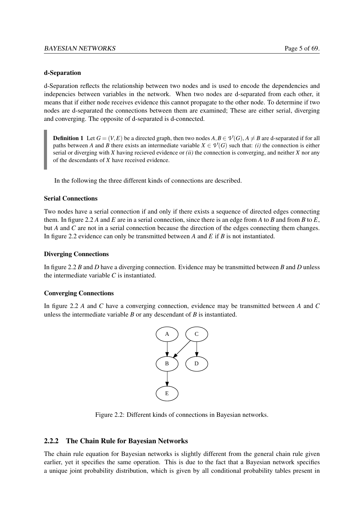#### d-Separation

d-Separation reflects the relationship between two nodes and is used to encode the dependencies and indepencies between variables in the network. When two nodes are d-separated from each other, it means that if either node receives evidence this cannot propagate to the other node. To determine if two nodes are d-separated the connections between them are examined; These are either serial, diverging and converging. The opposite of d-separated is d-connected.

**Definition 1** Let  $G = (V, E)$  be a directed graph, then two nodes  $A, B \in \mathcal{V}(G), A \neq B$  are d-separated if for all paths between *A* and *B* there exists an intermediate variable  $X \in \mathcal{V}(G)$  such that: *(i)* the connection is either serial or diverging with *X* having recieved evidence or *(ii)* the connection is converging, and neither *X* nor any of the descendants of *X* have received evidence.

In the following the three different kinds of connections are described.

#### Serial Connections

Two nodes have a serial connection if and only if there exists a sequence of directed edges connecting them. In figure [2.2](#page-15-1) *A* and *E* are in a serial connection, since there is an edge from *A* to *B* and from *B* to *E*, but *A* and *C* are not in a serial connection because the direction of the edges connecting them changes. In figure [2.2](#page-15-1) evidence can only be transmitted between *A* and *E* if *B* is not instantiated.

#### Diverging Connections

In figure [2.2](#page-15-1) *B* and *D* have a diverging connection. Evidence may be transmitted between *B* and *D* unless the intermediate variable *C* is instantiated.

#### Converging Connections

In figure [2.2](#page-15-1) *A* and *C* have a converging connection, evidence may be transmitted between *A* and *C* unless the intermediate variable *B* or any descendant of *B* is instantiated.



<span id="page-15-1"></span>Figure 2.2: Different kinds of connections in Bayesian networks.

#### <span id="page-15-0"></span>2.2.2 The Chain Rule for Bayesian Networks

The chain rule equation for Bayesian networks is slightly different from the general chain rule given earlier, yet it specifies the same operation. This is due to the fact that a Bayesian network specifies a unique joint probability distribution, which is given by all conditional probability tables present in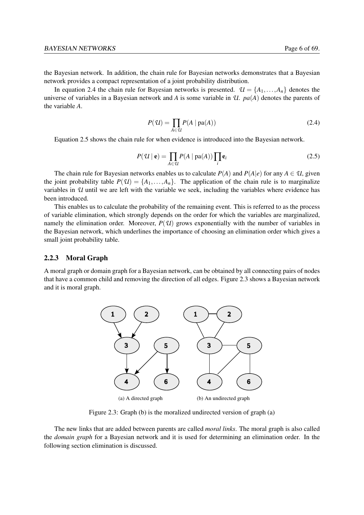the Bayesian network. In addition, the chain rule for Bayesian networks demonstrates that a Bayesian network provides a compact representation of a joint probability distribution.

<span id="page-16-2"></span>In equation [2.4](#page-16-2) the chain rule for Bayesian networks is presented.  $\mathcal{U} = \{A_1, \ldots, A_n\}$  denotes the universe of variables in a Bayesian network and *A* is some variable in *U*. *pa*(*A*) denotes the parents of the variable *A*.

$$
P(\mathcal{U}) = \prod_{A \in \mathcal{U}} P(A \mid \text{pa}(A)) \tag{2.4}
$$

<span id="page-16-3"></span>Equation [2.5](#page-16-3) shows the chain rule for when evidence is introduced into the Bayesian network.

$$
P(\mathcal{U} \mid \mathbf{e}) = \prod_{A \in \mathcal{U}} P(A \mid \text{pa}(A)) \prod_{i} \mathbf{e}_i
$$
 (2.5)

The chain rule for Bayesian networks enables us to calculate  $P(A)$  and  $P(A|e)$  for any  $A \in \mathcal{U}$ , given the joint probability table  $P(\mathcal{U}) = \{A_1, \ldots, A_n\}$ . The application of the chain rule is to marginalize variables in *U* until we are left with the variable we seek, including the variables where evidence has been introduced.

This enables us to calculate the probability of the remaining event. This is referred to as the process of variable elimination, which strongly depends on the order for which the variables are marginalized, namely the elimination order. Moreover,  $P(\mathcal{U})$  grows exponentially with the number of variables in the Bayesian network, which underlines the importance of choosing an elimination order which gives a small joint probability table.

#### <span id="page-16-0"></span>2.2.3 Moral Graph

A moral graph or domain graph for a Bayesian network, can be obtained by all connecting pairs of nodes that have a common child and removing the direction of all edges. Figure [2.3](#page-16-1) shows a Bayesian network and it is moral graph.



<span id="page-16-1"></span>Figure 2.3: Graph (b) is the moralized undirected version of graph (a)

The new links that are added between parents are called *moral links*. The moral graph is also called the *domain graph* for a Bayesian network and it is used for determining an elimination order. In the following section elimination is discussed.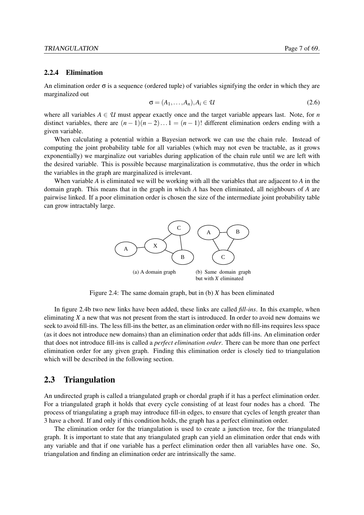#### <span id="page-17-0"></span>2.2.4 Elimination

An elimination order  $\sigma$  is a sequence (ordered tuple) of variables signifying the order in which they are marginalized out

$$
\sigma = (A_1, \dots, A_n), A_i \in \mathcal{U}
$$
\n<sup>(2.6)</sup>

where all variables  $A \in \mathcal{U}$  must appear exactly once and the target variable appears last. Note, for *n* distinct variables, there are  $(n-1)(n-2)...1 = (n-1)!$  different elimination orders ending with a given variable.

When calculating a potential within a Bayesian network we can use the chain rule. Instead of computing the joint probability table for all variables (which may not even be tractable, as it grows exponentially) we marginalize out variables during application of the chain rule until we are left with the desired variable. This is possible because marginalization is commutative, thus the order in which the variables in the graph are marginalized is irrelevant.

When variable *A* is eliminated we will be working with all the variables that are adjacent to *A* in the domain graph. This means that in the graph in which *A* has been eliminated, all neighbours of *A* are pairwise linked. If a poor elimination order is chosen the size of the intermediate joint probability table can grow intractably large.

<span id="page-17-3"></span>

<span id="page-17-2"></span>Figure 2.4: The same domain graph, but in (b) *X* has been eliminated

In figure [2.4b](#page-17-3) two new links have been added, these links are called *fill-ins*. In this example, when eliminating *X* a new that was not present from the start is introduced. In order to avoid new domains we seek to avoid fill-ins. The less fill-ins the better, as an elimination order with no fill-ins requires less space (as it does not introduce new domains) than an elimination order that adds fill-ins. An elimination order that does not introduce fill-ins is called a *perfect elimination order*. There can be more than one perfect elimination order for any given graph. Finding this elimination order is closely tied to triangulation which will be described in the following section.

### <span id="page-17-1"></span>2.3 Triangulation

An undirected graph is called a triangulated graph or chordal graph if it has a perfect elimination order. For a triangulated graph it holds that every cycle consisting of at least four nodes has a chord. The process of triangulating a graph may introduce fill-in edges, to ensure that cycles of length greater than 3 have a chord. If and only if this condition holds, the graph has a perfect elimination order.

The elimination order for the triangulation is used to create a junction tree, for the triangulated graph. It is important to state that any triangulated graph can yield an elimination order that ends with any variable and that if one variable has a perfect elimination order then all variables have one. So, triangulation and finding an elimination order are intrinsically the same.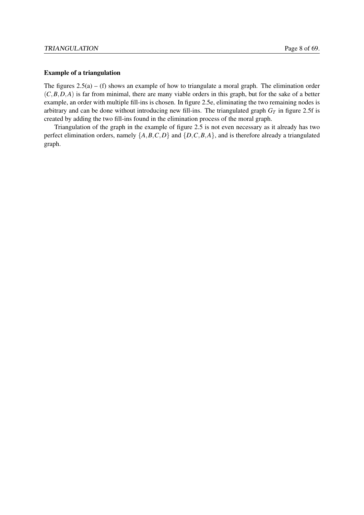#### Example of a triangulation

The figures  $2.5(a) - (f)$  $2.5(a) - (f)$  shows an example of how to triangulate a moral graph. The elimination order (*C*,*B*,*D*,*A*) is far from minimal, there are many viable orders in this graph, but for the sake of a better example, an order with multiple fill-ins is chosen. In figure [2.5e,](#page-19-1) eliminating the two remaining nodes is arbitrary and can be done without introducing new fill-ins. The triangulated graph  $G_T$  in figure [2.5f](#page-19-2) is created by adding the two fill-ins found in the elimination process of the moral graph.

Triangulation of the graph in the example of figure [2.5](#page-19-0) is not even necessary as it already has two perfect elimination orders, namely  $\{A, B, C, D\}$  and  $\{D, C, B, A\}$ , and is therefore already a triangulated graph.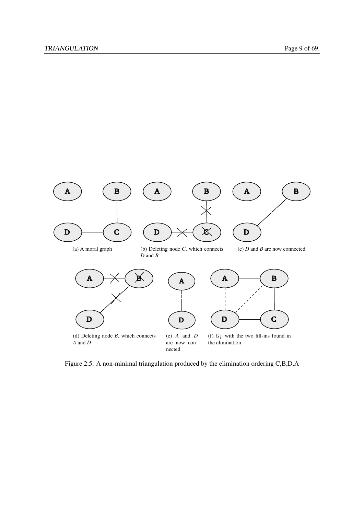

<span id="page-19-2"></span><span id="page-19-1"></span><span id="page-19-0"></span>Figure 2.5: A non-minimal triangulation produced by the elimination ordering C,B,D,A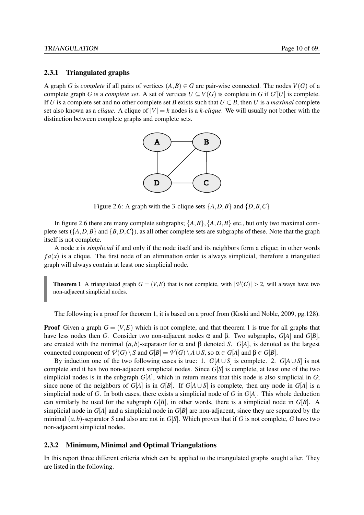#### <span id="page-20-0"></span>2.3.1 Triangulated graphs

A graph *G* is *complete* if all pairs of vertices  $(A, B) \in G$  are pair-wise connected. The nodes  $V(G)$  of a complete graph *G* is a *complete set*. A set of vertices  $U \subseteq V(G)$  is complete in *G* if  $G'[U]$  is complete. If *U* is a complete set and no other complete set *B* exists such that  $U \subset B$ , then *U* is a *maximal* complete set also known as a *clique*. A clique of  $|V| = k$  nodes is a *k-clique*. We will usually not bother with the distinction between complete graphs and complete sets.



<span id="page-20-2"></span>Figure 2.6: A graph with the 3-clique sets  $\{A, D, B\}$  and  $\{D, B, C\}$ 

In figure [2.6](#page-20-2) there are many complete subgraphs;  $\{A, B\}$ ,  $\{A, D, B\}$  etc., but only two maximal complete sets  $({A, D, B}$  and  ${B, D, C}$ , as all other complete sets are subgraphs of these. Note that the graph itself is not complete.

A node *x* is *simplicial* if and only if the node itself and its neighbors form a clique; in other words  $fa(x)$  is a clique. The first node of an elimination order is always simplicial, therefore a triangulted graph will always contain at least one simplicial node.

<span id="page-20-3"></span>**Theorem 1** A triangulated graph  $G = (V, E)$  that is not complete, with  $|\mathcal{V}(G)| > 2$ , will always have two non-adjacent simplicial nodes.

The following is a proof for theorem [1,](#page-20-3) it is based on a proof from [\(Koski and Noble,](#page-79-4) [2009,](#page-79-4) pg.128).

**Proof** Given a graph  $G = (V, E)$  which is not complete, and that theorem [1](#page-20-3) is true for all graphs that have less nodes then *G*. Consider two non-adjacent nodes α and β. Two subgraphs, *G*[*A*] and *G*[*B*], are created with the minimal  $(a, b)$ -separator for  $\alpha$  and  $\beta$  denoted *S*. *G*[*A*], is denoted as the largest connected component of  $\mathcal{V}(G) \setminus S$  and  $G[B] = \mathcal{V}(G) \setminus A \cup S$ , so  $\alpha \in G[A]$  and  $\beta \in G[B]$ .

By induction one of the two following cases is true: 1.  $G[A \cup S]$  is complete. 2.  $G[A \cup S]$  is not complete and it has two non-adjacent simplicial nodes. Since *G*[*S*] is complete, at least one of the two simplicial nodes is in the subgraph *G*[*A*], which in return means that this node is also simplicial in *G*; since none of the neighbors of *G*[*A*] is in *G*[*B*]. If *G*[*A* ∪ *S*] is complete, then any node in *G*[*A*] is a simplicial node of *G*. In both cases, there exists a simplicial node of *G* in *G*[*A*]. This whole deduction can similarly be used for the subgraph  $G[B]$ , in other words, there is a simplicial node in  $G[B]$ . A simplicial node in *G*[*A*] and a simplicial node in *G*[*B*] are non-adjacent, since they are separated by the minimal  $(a, b)$ -separator *S* and also are not in *G*[*S*]. Which proves that if *G* is not complete, *G* have two non-adjacent simplicial nodes.

#### <span id="page-20-1"></span>2.3.2 Minimum, Minimal and Optimal Triangulations

In this report three different criteria which can be applied to the triangulated graphs sought after. They are listed in the following.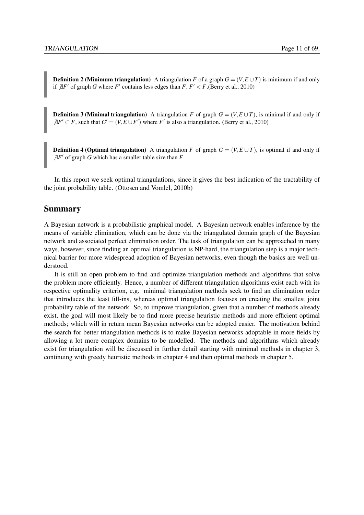**Definition 2 (Minimum triangulation)** A triangulation *F* of a graph  $G = (V, E \cup T)$  is minimum if and only if  $\exists F'$  of graph *G* where *F'* contains less edges than *F*,  $F' < F$ . [\(Berry et al.,](#page-79-2) [2010\)](#page-79-2)

<span id="page-21-0"></span>**Definition 3 (Minimal triangulation)** A triangulation *F* of graph  $G = (V, E \cup T)$ , is minimal if and only if  $\bar{A}F' \subset F$ , such that  $G' = (V, E \cup F')$  where *F'* is also a triangulation. [\(Berry et al.,](#page-79-2) [2010\)](#page-79-2)

**Definition 4 (Optimal triangulation)** A triangulation *F* of graph  $G = (V, E \cup T)$ , is optimal if and only if  $\bar{A}F'$  of graph *G* which has a smaller table size than  $F$ 

In this report we seek optimal triangulations, since it gives the best indication of the tractability of the joint probability table. [\(Ottosen and Vomlel,](#page-79-5) [2010b\)](#page-79-5)

### **Summary**

A Bayesian network is a probabilistic graphical model. A Bayesian network enables inference by the means of variable elimination, which can be done via the triangulated domain graph of the Bayesian network and associated perfect elimination order. The task of triangulation can be approached in many ways, however, since finding an optimal triangulation is NP-hard, the triangulation step is a major technical barrier for more widespread adoption of Bayesian networks, even though the basics are well understood.

It is still an open problem to find and optimize triangulation methods and algorithms that solve the problem more efficiently. Hence, a number of different triangulation algorithms exist each with its respective optimality criterion, e.g. minimal triangulation methods seek to find an elimination order that introduces the least fill-ins, whereas optimal triangulation focuses on creating the smallest joint probability table of the network. So, to improve triangulation, given that a number of methods already exist, the goal will most likely be to find more precise heuristic methods and more efficient optimal methods; which will in return mean Bayesian networks can be adopted easier. The motivation behind the search for better triangulation methods is to make Bayesian networks adoptable in more fields by allowing a lot more complex domains to be modelled. The methods and algorithms which already exist for triangulation will be discussed in further detail starting with minimal methods in chapter [3,](#page-22-0) continuing with greedy heuristic methods in chapter [4](#page-28-0) and then optimal methods in chapter [5.](#page-31-0)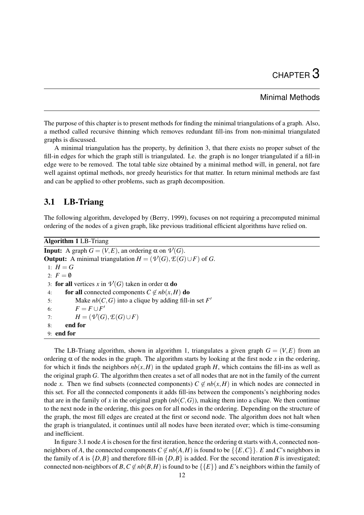## Minimal Methods

<span id="page-22-0"></span>The purpose of this chapter is to present methods for finding the minimal triangulations of a graph. Also, a method called recursive thinning which removes redundant fill-ins from non-minimal triangulated graphs is discussed.

A minimal triangulation has the property, by definition [3,](#page-21-0) that there exists no proper subset of the fill-in edges for which the graph still is triangulated. I.e. the graph is no longer triangulated if a fill-in edge were to be removed. The total table size obtained by a minimal method will, in general, not fare well against optimal methods, nor greedy heuristics for that matter. In return minimal methods are fast and can be applied to other problems, such as graph decomposition.

## <span id="page-22-1"></span>3.1 LB-Triang

The following algorithm, developed by [\(Berry,](#page-79-6) [1999\)](#page-79-6), focuses on not requiring a precomputed minimal ordering of the nodes of a given graph, like previous traditional efficient algorithms have relied on.

```
Algorithm 1 LB-Triang
Input: A graph G = (V, E), an ordering \alpha on V(G).
Output: A minimal triangulation H = (\mathcal{V}(G), \mathcal{E}(G) \cup F) of G.
 1: H = G2: F = \emptyset3: for all vertices x in V(G) taken in order \alpha do
 4: for all connected components C \notin nb(x, H) do
 5: Make nb(C, G) into a clique by adding fill-in set F'6: F = F \cup F'7: H = (\mathcal{V}(G), \mathcal{E}(G) \cup F)8: end for
 9: end for
```
The LB-Triang algorithm, shown in algorithm [1,](#page-22-2) triangulates a given graph  $G = (V, E)$  from an ordering  $\alpha$  of the nodes in the graph. The algorithm starts by looking at the first node x in the ordering, for which it finds the neighbors  $nb(x, H)$  in the updated graph *H*, which contains the fill-ins as well as the original graph *G*. The algorithm then creates a set of all nodes that are not in the family of the current node *x*. Then we find subsets (connected components)  $C \notin nb(x, H)$  in which nodes are connected in this set. For all the connected components it adds fill-ins between the components's neighboring nodes that are in the family of *x* in the original graph  $(hb(C, G))$ , making them into a clique. We then continue to the next node in the ordering, this goes on for all nodes in the ordering. Depending on the structure of the graph, the most fill edges are created at the first or second node. The algorithm does not halt when the graph is triangulated, it continues until all nodes have been iterated over; which is time-consuming and inefficient.

In figure [3.1](#page-23-1) node *A* is chosen for the first iteration, hence the ordering  $\alpha$  starts with *A*, connected nonneighbors of *A*, the connected components  $C \notin nb(A, H)$  is found to be  $\{\{E, C\}\}\$ . *E* and *C*'s neighbors in the family of *A* is  $\{D, B\}$  and therefore fill-in  $\{D, B\}$  is added. For the second iteration *B* is investigated; connected non-neighbors of *B*,  $C \notin nb(B, H)$  is found to be  $\{\{E\}\}\$ and *E*'s neighbors within the family of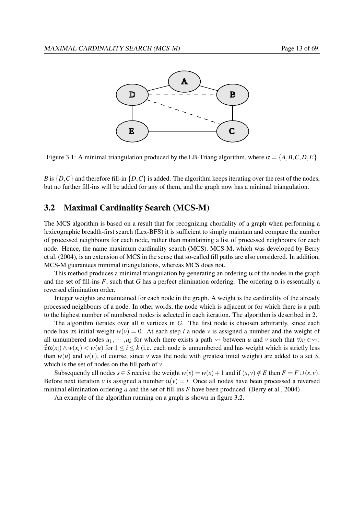

<span id="page-23-1"></span>Figure 3.1: A minimal triangulation produced by the LB-Triang algorithm, where  $\alpha = \{A, B, C, D, E\}$ 

*B* is  $\{D, C\}$  and therefore fill-in  $\{D, C\}$  is added. The algorithm keeps iterating over the rest of the nodes, but no further fill-ins will be added for any of them, and the graph now has a minimal triangulation.

## <span id="page-23-0"></span>3.2 Maximal Cardinality Search (MCS-M)

The MCS algorithm is based on a result that for recognizing chordality of a graph when performing a lexicographic breadth-first search (Lex-BFS) it is sufficient to simply maintain and compare the number of processed neighbours for each node, rather than maintaining a list of processed neighbours for each node. Hence, the name maximum cardinality search (MCS). MCS-M, which was developed by [Berry](#page-79-1) [et al.](#page-79-1) [\(2004\)](#page-79-1), is an extension of MCS in the sense that so-called fill paths are also considered. In addition, MCS-M guarantees minimal triangulations, whereas MCS does not.

This method produces a minimal triangulation by generating an ordering  $\alpha$  of the nodes in the graph and the set of fill-ins *F*, such that *G* has a perfect elimination ordering. The ordering  $\alpha$  is essentially a reversed elimination order.

Integer weights are maintained for each node in the graph. A weight is the cardinality of the already processed neighbours of a node. In other words, the node which is adjacent or for which there is a path to the highest number of numbered nodes is selected in each iteration. The algorithm is described in [2.](#page-24-0)

The algorithm iterates over all *n* vertices in *G*. The first node is choosen arbitrarily, since each node has its initial weight  $w(v) = 0$ . At each step *i* a node *v* is assigned a number and the weight of all unnumbered nodes  $u_1, \dots, u_k$  for which there exists a path  $\rightsquigarrow$  between *u* and *v* such that  $\forall x_i \in \rightsquigarrow$ :  $\exists \alpha(x_i) \wedge w(x_i) \leq w(u)$  for  $1 \leq i \leq k$  (i.e. each node is unnumbered and has weight which is strictly less than  $w(u)$  and  $w(v)$ , of course, since *v* was the node with greatest inital weight) are added to a set *S*, which is the set of nodes on the fill path of *v*.

Subsequently all nodes  $s \in S$  receive the weight  $w(s) = w(s) + 1$  and if  $(s, v) \notin E$  then  $F = F \cup (s, v)$ . Before next iteration *v* is assigned a number  $\alpha(v) = i$ . Once all nodes have been processed a reversed minimal elimination ordering *a* and the set of fill-ins *F* have been produced. [\(Berry et al.,](#page-79-1) [2004\)](#page-79-1)

An example of the algorithm running on a graph is shown in figure [3.2.](#page-25-0)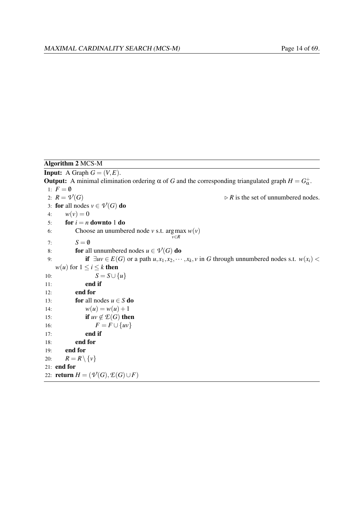<span id="page-24-0"></span>Algorithm 2 MCS-M **Input:** A Graph  $G = (V, E)$ . **Output:** A minimal elimination ordering α of *G* and the corresponding triangulated graph  $H = G_{\alpha}^{+}$ . 1:  $F = \emptyset$ <br>2:  $R = \mathcal{V}(G)$  $\triangleright$  *R* is the set of unnumbered nodes. 3: for all nodes  $v \in \mathcal{V}(G)$  do 4:  $w(v) = 0$ 5: **for**  $i = n$  **downto** 1 **do** 6: Choose an unumbered node *v* s.t. argmax  $w(v)$ *v*∈*R* 7:  $S = \emptyset$ 8: **for** all unnumbered nodes  $u \in \mathcal{V}(G)$  do 9: **if**  $\exists uv \in E(G)$  or a path  $u, x_1, x_2, \dots, x_k, v$  in *G* through unnumbered nodes s.t.  $w(x_i)$  < *w*(*u*) for  $1 \le i \le k$  then 10:  $S = S \cup \{u\}$ 11: end if 12: end for 13: **for** all nodes  $u \in S$  **do** 14:  $w(u) = w(u) + 1$ 15: **if**  $uv \notin \mathcal{E}(G)$  then 16:  $F = F \cup \{uv\}$ 17: end if 18: end for 19: end for 20:  $R = R \setminus \{v\}$ 21: end for 22: **return**  $H = (\mathcal{V}(G), \mathcal{E}(G) \cup F)$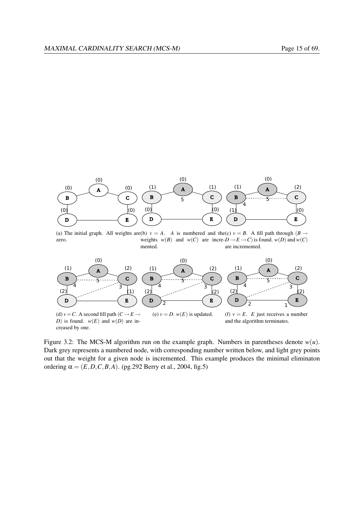

(a) The initial graph. All weights are(b)  $v = A$ . *A* is numbered and the(c)  $v = B$ . A fill path through (*B*  $\rightarrow$ zero. weights  $w(B)$  and  $w(C)$  are incre- $D \rightarrow E \rightarrow C$  is found.  $w(D)$  and  $w(C)$ mented. are incremented.  $\sum_{i=1}^{n}$ 



<span id="page-25-0"></span>Figure 3.2: The MCS-M algorithm run on the example graph. Numbers in parentheses denote  $w(u)$ . Dark grey represents a numbered node, with corresponding number written below, and light grey points out that the weight for a given node is incremented. This example produces the minimal eliminaton ordering  $\alpha = (E, D, C, B, A)$ . (pg. 292 [Berry et al.,](#page-79-1) [2004,](#page-79-1) fig. 5)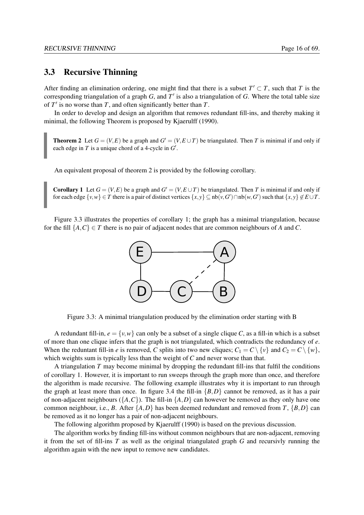### <span id="page-26-0"></span>3.3 Recursive Thinning

After finding an elimination ordering, one might find that there is a subset  $T' \subset T$ , such that *T* is the corresponding triangulation of a graph  $G$ , and  $T'$  is also a triangulation of  $G$ . Where the total table size of  $T'$  is no worse than  $T$ , and often significantly better than  $T$ .

<span id="page-26-2"></span>In order to develop and design an algorithm that removes redundant fill-ins, and thereby making it minimal, the following Theorem is proposed by [Kjaerulff](#page-79-7) [\(1990\)](#page-79-7).

**Theorem 2** Let  $G = (V, E)$  be a graph and  $G' = (V, E \cup T)$  be triangulated. Then *T* is minimal if and only if each edge in  $T$  is a unique chord of a 4-cycle in  $G'$ .

<span id="page-26-3"></span>An equivalent proposal of theorem [2](#page-26-2) is provided by the following corollary.

**Corollary 1** Let  $G = (V, E)$  be a graph and  $G' = (V, E \cup T)$  be triangulated. Then *T* is minimal if and only if for each edge  $\{v, w\} \in T$  there is a pair of distinct vertices  $\{x, y\} \subseteq nb(v, G') \cap nb(w, G')$  such that  $\{x, y\} \notin E \cup T$ .

Figure [3.3](#page-26-1) illustrates the properties of corollary [1;](#page-26-3) the graph has a minimal triangulation, because for the fill  $\{A, C\} \in T$  there is no pair of adjacent nodes that are common neighbours of *A* and *C*.



<span id="page-26-1"></span>Figure 3.3: A minimal triangulation produced by the elimination order starting with B

A redundant fill-in,  $e = \{v, w\}$  can only be a subset of a single clique *C*, as a fill-in which is a subset of more than one clique infers that the graph is not triangulated, which contradicts the redundancy of *e*. When the reduntant fill-in *e* is removed, *C* splits into two new cliques;  $C_1 = C \setminus \{v\}$  and  $C_2 = C \setminus \{w\}$ , which weights sum is typically less than the weight of *C* and never worse than that.

A triangulation *T* may become minimal by dropping the redundant fill-ins that fulfil the conditions of corollary [1.](#page-26-3) However, it is important to run sweeps through the graph more than once, and therefore the algorithm is made recursive. The following example illustrates why it is important to run through the graph at least more than once. In figure [3.4](#page-27-0) the fill-in  $\{B, D\}$  cannot be removed, as it has a pair of non-adjacent neighbours ( ${A, C}$ ). The fill-in  ${A, D}$  can however be removed as they only have one common neighbour, i.e., *B*. After  $\{A, D\}$  has been deemed redundant and removed from *T*,  $\{B, D\}$  can be removed as it no longer has a pair of non-adjacent neighbours.

The following algorithm proposed by [Kjaerulff](#page-79-7) [\(1990\)](#page-79-7) is based on the previous discussion.

The algorithm works by finding fill-ins without common neighbours that are non-adjacent, removing it from the set of fill-ins *T* as well as the original triangulated graph *G* and recursivly running the algorithm again with the new input to remove new candidates.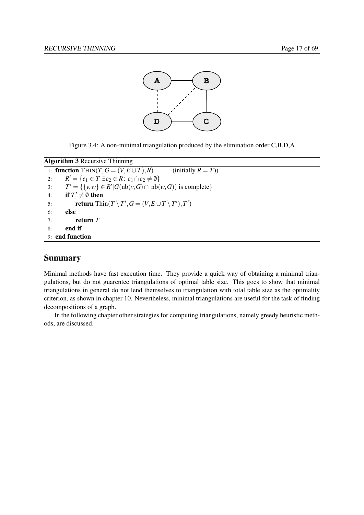

<span id="page-27-0"></span>Figure 3.4: A non-minimal triangulation produced by the elimination order C,B,D,A

```
Algorithm 3 Recursive Thinning
 1: function THIN(T, G = (V, E \cup T), R) (initially R = T))
  2: R' = \{e_1 \in T | \exists e_2 \in R : e_1 \cap e_2 \neq \emptyset\}3: T' = \{ \{v, w\} \in R' | G(\text{nb}(v, G) \cap \text{nb}(w, G)) \text{ is complete} \}4: if T' \neq \emptyset then
  5: return Thin(T \setminus T', G = (V, E \cup T \setminus T'), T')6: else
 7: return T
 8: end if
 9: end function
```
## Summary

Minimal methods have fast execution time. They provide a quick way of obtaining a minimal triangulations, but do not guarentee triangulations of optimal table size. This goes to show that minimal triangulations in general do not lend themselves to triangulation with total table size as the optimality criterion, as shown in chapter [10.](#page-61-0) Nevertheless, minimal triangulations are useful for the task of finding decompositions of a graph.

In the following chapter other strategies for computing triangulations, namely greedy heuristic methods, are discussed.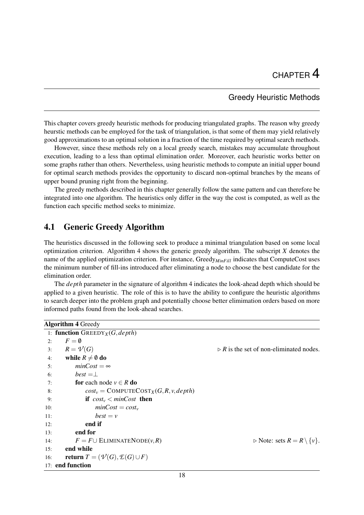## Greedy Heuristic Methods

<span id="page-28-0"></span>This chapter covers greedy heuristic methods for producing triangulated graphs. The reason why greedy heurstic methods can be employed for the task of triangulation, is that some of them may yield relatively good approximations to an optimal solution in a fraction of the time required by optimal search methods.

However, since these methods rely on a local greedy search, mistakes may accumulate throughout execution, leading to a less than optimal elimination order. Moreover, each heuristic works better on some graphs rather than others. Nevertheless, using heuristic methods to compute an initial upper bound for optimal search methods provides the opportunity to discard non-optimal branches by the means of upper bound pruning right from the beginning.

The greedy methods described in this chapter generally follow the same pattern and can therefore be integrated into one algorithm. The heuristics only differ in the way the cost is computed, as well as the function each specific method seeks to minimize.

## <span id="page-28-1"></span>4.1 Generic Greedy Algorithm

The heuristics discussed in the following seek to produce a minimal triangulation based on some local optimization criterion. Algorithm [4](#page-28-2) shows the generic greedy algorithm. The subscript *X* denotes the name of the applied optimization criterion. For instance, Greedy<sub>MinFill</sub> indicates that ComputeCost uses the minimum number of fill-ins introduced after eliminating a node to choose the best candidate for the elimination order.

The *depth* parameter in the signature of algorithm [4](#page-28-2) indicates the look-ahead depth which should be applied to a given heuristic. The role of this is to have the ability to configure the heuristic algorithms to search deeper into the problem graph and potentially choose better elimimation orders based on more informed paths found from the look-ahead searches.

```
Algorithm 4 Greedy
```

|     | 1: function ${\rm GREEDY}_X(G,depth)$                |                                                        |
|-----|------------------------------------------------------|--------------------------------------------------------|
| 2:  | $F = \emptyset$                                      |                                                        |
| 3:  | $R=\mathcal{V}(G)$                                   | $\triangleright$ R is the set of non-eliminated nodes. |
| 4:  | while $R \neq \emptyset$ do                          |                                                        |
| 5:  | $minCost = \infty$                                   |                                                        |
| 6:  | $best = \perp$                                       |                                                        |
| 7:  | <b>for</b> each node $v \in R$ <b>do</b>             |                                                        |
| 8:  | $cost_v = COMPUTECost_X(G, R, v, depth)$             |                                                        |
| 9:  | if $cost_v$ < minCost then                           |                                                        |
| 10: | $minCost = cost_v$                                   |                                                        |
| 11: | $best = v$                                           |                                                        |
| 12: | end if                                               |                                                        |
| 13: | end for                                              |                                                        |
| 14: | $F = F \cup$ ELIMINATENODE $(v, R)$                  | $\triangleright$ Note: sets $R = R \setminus \{v\}.$   |
| 15: | end while                                            |                                                        |
| 16: | return $T = (\mathcal{V}(G), \mathcal{E}(G) \cup F)$ |                                                        |
|     | 17: end function                                     |                                                        |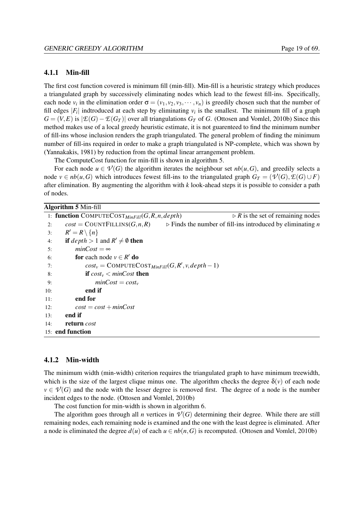#### <span id="page-29-0"></span>4.1.1 Min-fill

The first cost function covered is minimum fill (min-fill). Min-fill is a heuristic strategy which produces a triangulated graph by successively eliminating nodes which lead to the fewest fill-ins. Specifically, each node  $v_i$  in the elimination order  $\sigma = (v_1, v_2, v_3, \dots, v_n)$  is greedily chosen such that the number of fill edges  $|F_i|$  indtroduced at each step by eliminating  $v_i$  is the smallest. The minimum fill of a graph  $G = (V, E)$  is  $|\mathcal{E}(G) - \mathcal{E}(G_T)|$  over all triangulations  $G_T$  of *G*. [\(Ottosen and Vomlel,](#page-79-5) [2010b\)](#page-79-5) Since this method makes use of a local greedy heuristic estimate, it is not guarenteed to find the minimum number of fill-ins whose inclusion renders the graph triangulated. The general problem of finding the minimum number of fill-ins required in order to make a graph triangulated is NP-complete, which was shown by [\(Yannakakis,](#page-79-8) [1981\)](#page-79-8) by reduction from the optimal linear arrangement problem.

The ComputeCost function for min-fill is shown in algorithm [5.](#page-29-2)

For each node  $u \in \mathcal{V}(G)$  the algorithm iterates the neighbour set  $nb(u, G)$ , and greedily selects a node *v* ∈ *nb*(*u*,*G*) which introduces fewest fill-ins to the triangulated graph  $G_T = (\mathcal{V}(G), \mathcal{E}(G) \cup F)$ after elimination. By augmenting the algorithm with *k* look-ahead steps it is possible to consider a path of nodes.

#### <span id="page-29-2"></span>Algorithm 5 Min-fill

|     | $\triangleright$ R is the set of remaining nodes<br>1: function COMPUTECOST $_{MinFill}(G, R, n, depth)$     |
|-----|--------------------------------------------------------------------------------------------------------------|
| 2:  | $cost = COUNTFILLINS(G, n, R)$ $\rightarrow$ Finds the number of fill-ins introduced by eliminating <i>n</i> |
| 3:  | $R' = R \setminus \{n\}$                                                                                     |
| 4:  | <b>if</b> $depth > 1$ and $R' \neq \emptyset$ then                                                           |
| 5:  | $minCost = \infty$                                                                                           |
| 6:  | <b>for</b> each node $v \in R'$ <b>do</b>                                                                    |
| 7:  | $cost_v = COMPUTECOST_{MinFill}(G, R', v, depth-1)$                                                          |
| 8:  | <b>if</b> $cost_v < minCost$ then                                                                            |
| 9:  | $minCost = cost_v$                                                                                           |
| 10: | end if                                                                                                       |
| 11: | end for                                                                                                      |
| 12: | $cost = cost + minCost$                                                                                      |
| 13: | end if                                                                                                       |
| 14: | return cost                                                                                                  |
|     | 15: end function                                                                                             |
|     |                                                                                                              |

#### <span id="page-29-1"></span>4.1.2 Min-width

The minimum width (min-width) criterion requires the triangulated graph to have minimum treewidth, which is the size of the largest clique minus one. The algorithm checks the degree  $\delta(v)$  of each node  $v \in \mathcal{V}(G)$  and the node with the lesser degree is removed first. The degree of a node is the number incident edges to the node. [\(Ottosen and Vomlel,](#page-79-5) [2010b\)](#page-79-5)

The cost function for min-width is shown in algorithm [6.](#page-30-1)

The algorithm goes through all *n* vertices in  $V(G)$  determining their degree. While there are still remaining nodes, each remaining node is examined and the one with the least degree is eliminated. After a node is eliminated the degree  $d(u)$  of each  $u \in nb(n, G)$  is recomputed. [\(Ottosen and Vomlel,](#page-79-5) [2010b\)](#page-79-5)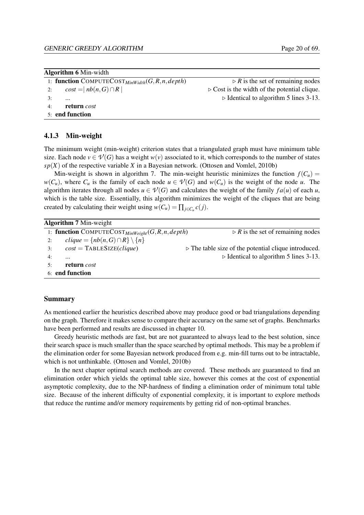<span id="page-30-1"></span>

| <b>Algorithm 6 Min-width</b> |  |
|------------------------------|--|
|------------------------------|--|

```
1: function COMPUTECOST<sub>MinWidth</sub>(G,R,n,depth) \triangleright R is the set of remaining nodes
2: \cos t = |nb(n, G) \cap R| . \triangleright Cost is the width of the potential clique.
3: ... . Identical to algorithm 5 lines 3-13.
4: return cost
```

```
5: end function
```
#### <span id="page-30-0"></span>4.1.3 Min-weight

The minimum weight (min-weight) criterion states that a triangulated graph must have minimum table size. Each node  $v \in \mathcal{V}(G)$  has a weight  $w(v)$  associated to it, which corresponds to the number of states  $sp(X)$  of the respective variable *X* in a Bayesian network. [\(Ottosen and Vomlel,](#page-79-5) [2010b\)](#page-79-5)

Min-weight is shown in algorithm [7.](#page-30-2) The min-weight heuristic minimizes the function  $f(C_u)$  =  $w(C_u)$ , where  $C_u$  is the family of each node  $u \in \mathcal{V}(G)$  and  $w(C_u)$  is the weight of the node *u*. The algorithm iterates through all nodes  $u \in V(G)$  and calculates the weight of the family  $fa(u)$  of each *u*, which is the table size. Essentially, this algorithm minimizes the weight of the cliques that are being created by calculating their weight using  $w(C_u) = \prod_{j \in C_u} c(j)$ .

<span id="page-30-2"></span>

|    | <b>Algorithm 7 Min-weight</b>                          |                                                                     |  |
|----|--------------------------------------------------------|---------------------------------------------------------------------|--|
|    | 1: function COMPUTECOST $_{MinWeight}(G, R, n, depth)$ | $\triangleright$ R is the set of remaining nodes                    |  |
| 2: | $clique = \{ nb(n, G) \cap R \} \setminus \{ n \}$     |                                                                     |  |
| 3: | $cost = TABLESIZE(clique)$                             | $\triangleright$ The table size of the potential clique introduced. |  |
| 4: | $\cdots$                                               | $\triangleright$ Identical to algorithm 5 lines 3-13.               |  |
| 5٠ | return cost                                            |                                                                     |  |
|    | 6: end function                                        |                                                                     |  |

#### Summary

As mentioned earlier the heuristics described above may produce good or bad triangulations depending on the graph. Therefore it makes sense to compare their accuracy on the same set of graphs. Benchmarks have been performed and results are discussed in chapter [10.](#page-61-0)

Greedy heuristic methods are fast, but are not guaranteed to always lead to the best solution, since their search space is much smaller than the space searched by optimal methods. This may be a problem if the elimination order for some Bayesian network produced from e.g. min-fill turns out to be intractable, which is not unthinkable. [\(Ottosen and Vomlel,](#page-79-5) [2010b\)](#page-79-5)

In the next chapter optimal search methods are covered. These methods are guaranteed to find an elimination order which yields the optimal table size, however this comes at the cost of exponential asymptotic complexity, due to the NP-hardness of finding a elimination order of minimum total table size. Because of the inherent difficulty of exponential complexity, it is important to explore methods that reduce the runtime and/or memory requirements by getting rid of non-optimal branches.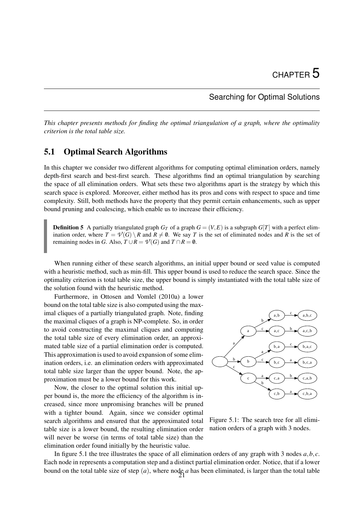## Searching for Optimal Solutions

<span id="page-31-0"></span>*This chapter presents methods for finding the optimal triangulation of a graph, where the optimality criterion is the total table size.*

## <span id="page-31-1"></span>5.1 Optimal Search Algorithms

In this chapter we consider two different algorithms for computing optimal elimination orders, namely depth-first search and best-first search. These algorithms find an optimal triangulation by searching the space of all elimination orders. What sets these two algorithms apart is the strategy by which this search space is explored. Moreover, either method has its pros and cons with respect to space and time complexity. Still, both methods have the property that they permit certain enhancements, such as upper bound pruning and coalescing, which enable us to increase their efficiency.

**Definition 5** A partially triangulated graph  $G_T$  of a graph  $G = (V, E)$  is a subgraph  $G[T]$  with a perfect elimination order, where  $T = \mathcal{V}(G) \setminus R$  and  $R \neq \emptyset$ . We say *T* is the set of eliminated nodes and *R* is the set of remaining nodes in *G*. Also,  $T \cup R = \mathcal{V}(G)$  and  $T \cap R = \emptyset$ .

When running either of these search algorithms, an initial upper bound or seed value is computed with a heuristic method, such as min-fill. This upper bound is used to reduce the search space. Since the optimality criterion is total table size, the upper bound is simply instantiated with the total table size of the solution found with the heuristic method.

Furthermore, in [Ottosen and Vomlel](#page-79-9) [\(2010a\)](#page-79-9) a lower bound on the total table size is also computed using the maximal cliques of a partially triangulated graph. Note, finding the maximal cliques of a graph is NP-complete. So, in order to avoid constructing the maximal cliques and computing the total table size of every elimination order, an approximated table size of a partial elimination order is computed. This approximation is used to avoid expansion of some elimination orders, i.e. an elimination orders with approximated total table size larger than the upper bound. Note, the approximation must be a lower bound for this work.

Now, the closer to the optimal solution this initial upper bound is, the more the efficiency of the algorithm is increased, since more unpromising branches will be pruned with a tighter bound. Again, since we consider optimal search algorithms and ensured that the approximated total table size is a lower bound, the resulting elimination order will never be worse (in terms of total table size) than the elimination order found initially by the heuristic value.



<span id="page-31-2"></span>Figure 5.1: The search tree for all elimination orders of a graph with 3 nodes.

In figure [5.1](#page-31-2) the tree illustrates the space of all elimination orders of any graph with 3 nodes *a*,*b*, *c*. Each node in represents a computation step and a distinct partial elimination order. Notice, that if a lower bound on the total table size of step  $(a)$ , where node  $a$  has been eliminated, is larger than the total table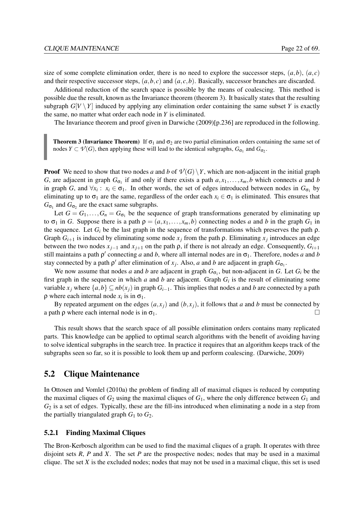size of some complete elimination order, there is no need to explore the successor steps,  $(a,b)$ ,  $(a,c)$ and their respective successor steps,  $(a, b, c)$  and  $(a, c, b)$ . Basically, successor branches are discarded.

Additional reduction of the search space is possible by the means of coalescing. This method is possible due the result, known as the Invariance theorem (theorem [3\)](#page-32-2). It basically states that the resulting subgraph  $G[V \setminus Y]$  induced by applying any elimination order containing the same subset *Y* is exactly the same, no matter what order each node in *Y* is eliminated.

<span id="page-32-2"></span>The Invariance theorem and proof given in [Darwiche](#page-79-10) [\(2009\)](#page-79-10)[p.236] are reproduced in the following.

**Theorem 3 (Invariance Theorem)** If  $\sigma_1$  and  $\sigma_2$  are two partial elimination orders containing the same set of nodes  $Y \subset \mathcal{V}(G)$ , then applying these will lead to the identical subgraphs,  $G_{\sigma_1}$  and  $G_{\sigma_2}$ .

**Proof** We need to show that two nodes *a* and *b* of  $\mathcal{V}(G) \setminus Y$ , which are non-adjacent in the initial graph *G*, are adjacent in graph  $G_{\sigma_1}$  if and only if there exists a path  $a, x_1, \ldots, x_m, b$  which connects *a* and *b* in graph *G*, and  $\forall x_i : x_i \in \sigma_1$ . In other words, the set of edges introduced between nodes in  $G_{\sigma_1}$  by eliminating up to  $\sigma_1$  are the same, regardless of the order each  $x_i \in \sigma_1$  is eliminated. This ensures that  $G_{\sigma_1}$  and  $G_{\sigma_2}$  are the exact same subgraphs.

Let  $G = G_1, \ldots, G_n = G_{\sigma_1}$  be the sequence of graph transformations generated by eliminating up to  $\sigma_1$  in *G*. Suppose there is a path  $\rho = (a, x_1, \ldots, x_m, b)$  connecting nodes *a* and *b* in the graph  $G_1$  in the sequence. Let  $G_i$  be the last graph in the sequence of transformations which preserves the path  $\rho$ . Graph  $G_{i+1}$  is induced by eliminating some node  $x_j$  from the path  $\rho$ . Eliminating  $x_j$  introduces an edge between the two nodes  $x_{i-1}$  and  $x_{i+1}$  on the path  $\rho$ , if there is not already an edge. Consequently,  $G_{i+1}$ still maintains a path  $\rho'$  connecting *a* and *b*, where all internal nodes are in  $\sigma_1$ . Therefore, nodes *a* and *b* stay connected by a path  $\rho'$  after elimination of  $x_j$ . Also, *a* and *b* are adjacent in graph  $G_{\sigma_1}$ .

We now assume that nodes *a* and *b* are adjacent in graph  $G_{\sigma_1}$ , but non-adjacent in *G*. Let  $G_i$  be the first graph in the sequence in which  $a$  and  $b$  are adjacent. Graph  $G_i$  is the result of eliminating some variable  $x_j$  where  $\{a,b\} \subseteq nb(x_j)$  in graph  $G_{i-1}$ . This implies that nodes *a* and *b* are connected by a path  $\rho$  where each internal node  $x_i$  is in  $\sigma_1$ .

By repeated argument on the edges  $(a, x_i)$  and  $(b, x_i)$ , it follows that *a* and *b* must be connected by a path  $\rho$  where each internal node is in  $\sigma_1$ .

This result shows that the search space of all possible elimination orders contains many replicated parts. This knowledge can be applied to optimal search algorithms with the benefit of avoiding having to solve identical subgraphs in the search tree. In practice it requires that an algorithm keeps track of the subgraphs seen so far, so it is possible to look them up and perform coalescing. [\(Darwiche,](#page-79-10) [2009\)](#page-79-10)

## <span id="page-32-0"></span>5.2 Clique Maintenance

In [Ottosen and Vomlel](#page-79-9) [\(2010a\)](#page-79-9) the problem of finding all of maximal cliques is reduced by computing the maximal cliques of  $G_2$  using the maximal cliques of  $G_1$ , where the only difference between  $G_1$  and *G*<sup>2</sup> is a set of edges. Typically, these are the fill-ins introduced when eliminating a node in a step from the partially triangulated graph  $G_1$  to  $G_2$ .

#### <span id="page-32-1"></span>5.2.1 Finding Maximal Cliques

The Bron-Kerbosch algorithm can be used to find the maximal cliques of a graph. It operates with three disjoint sets *R*, *P* and *X*. The set *P* are the prospective nodes; nodes that may be used in a maximal clique. The set  $X$  is the excluded nodes; nodes that may not be used in a maximal clique, this set is used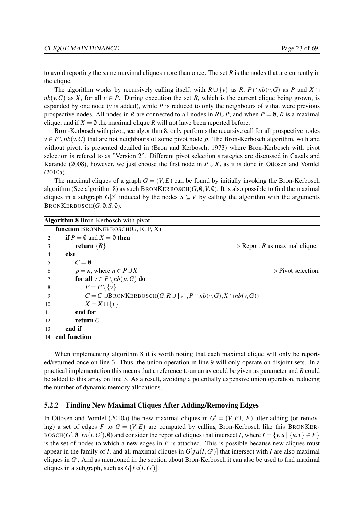to avoid reporting the same maximal cliques more than once. The set *R* is the nodes that are currently in the clique.

The algorithm works by recursively calling itself, with  $R \cup \{v\}$  as  $R$ ,  $P \cap nb(v, G)$  as  $P$  and  $X \cap$  $nb(v, G)$  as *X*, for all  $v \in P$ . During execution the set *R*, which is the current clique being grown, is expanded by one node ( $\nu$  is added), while P is reduced to only the neighbours of  $\nu$  that were previous prospective nodes. All nodes in *R* are connected to all nodes in  $R \cup P$ , and when  $P = \emptyset$ , *R* is a maximal clique, and if  $X = \emptyset$  the maximal clique *R* will not have been reported before.

Bron-Kerbosch with pivot, see algorithm [8,](#page-33-1) only performs the recursive call for all prospective nodes  $v \in P \setminus nb(v, G)$  that are not neighbours of some pivot node *p*. The Bron-Kerbosch algorithm, with and without pivot, is presented detailed in [\(Bron and Kerbosch,](#page-79-11) [1973\)](#page-79-11) where Bron-Kerbosch with pivot selection is refered to as "Version 2". Different pivot selection strategies are discussed in [Cazals and](#page-79-12) [Karande](#page-79-12) [\(2008\)](#page-79-12), however, we just choose the first node in  $P\cup X$ , as it is done in [Ottosen and Vomlel](#page-79-9) [\(2010a\)](#page-79-9).

The maximal cliques of a graph  $G = (V, E)$  can be found by initially invoking the Bron-Kerbosch algorithm (See algorithm [8\)](#page-33-1) as such BRONKERBOSCH( $G, \emptyset, V, \emptyset$ ). It is also possible to find the maximal cliques in a subgraph  $G[S]$  induced by the nodes  $S \subseteq V$  by calling the algorithm with the arguments  $B$ RONKERBOSCH $(G, \emptyset, S, \emptyset)$ .

<span id="page-33-1"></span>

|     | <b>Algorithm 8</b> Bron-Kerbosch with pivot        |                                                                                  |
|-----|----------------------------------------------------|----------------------------------------------------------------------------------|
|     | 1: function BRONKERBOSCH $(G, R, P, X)$            |                                                                                  |
| 2:  | <b>if</b> $P = \emptyset$ and $X = \emptyset$ then |                                                                                  |
| 3:  | return $\{R\}$                                     | $\triangleright$ Report R as maximal clique.                                     |
| 4:  | else                                               |                                                                                  |
| 5:  | $C = \emptyset$                                    |                                                                                  |
| 6:  | $p = n$ , where $n \in P \cup X$                   | $\triangleright$ Pivot selection.                                                |
| 7:  | for all $v \in P \setminus nb(p, G)$ do            |                                                                                  |
| 8:  | $P = P \setminus \{v\}$                            |                                                                                  |
| 9:  |                                                    | $C = C \cup B$ RONKERBOSCH $(G, R \cup \{v\}, P \cap nb(v, G), X \cap nb(v, G))$ |
| 10: | $X = X \cup \{v\}$                                 |                                                                                  |
| 11: | end for                                            |                                                                                  |
| 12: | return $C$                                         |                                                                                  |
| 13: | end if                                             |                                                                                  |
|     | 14: end function                                   |                                                                                  |

When implementing algorithm [8](#page-33-1) it is worth noting that each maximal clique will only be reported/returned once on line [3.](#page-33-1) Thus, the union operation in line [9](#page-33-1) will only operate on disjoint sets. In a practical implementation this means that a reference to an array could be given as parameter and *R* could be added to this array on line [3.](#page-33-1) As a result, avoiding a potentially expensive union operation, reducing the number of dynamic memory allocations.

#### <span id="page-33-0"></span>5.2.2 Finding New Maximal Cliques After Adding/Removing Edges

In [Ottosen and Vomlel](#page-79-9) [\(2010a\)](#page-79-9) the new maximal cliques in  $G' = (V, E \cup F)$  after adding (or removing) a set of edges F to  $G = (V, E)$  are computed by calling Bron-Kerbosch like this BRONKER-BOSCH(*G'*, 0,  $fa(I, G')$ , 0) and consider the reported cliques that intersect *I*, where  $I = \{v, u \mid \{u, v\} \in F\}$ is the set of nodes to which a new edges in  $F$  is attached. This is possible because new cliques must appear in the family of *I*, and all maximal cliques in  $G[fa(I, G')]$  that intersect with *I* are also maximal cliques in G'. And as mentioned in the section about Bron-Kerbosch it can also be used to find maximal cliques in a subgraph, such as  $G[f a(I, G')]$ .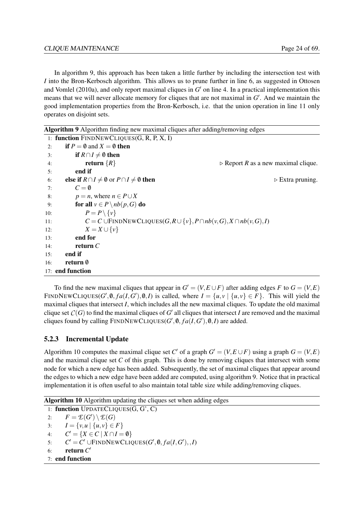In algorithm [9,](#page-34-1) this approach has been taken a little further by including the intersection test with *I* into the Bron-Kerbosch algorithm. This allows us to prune further in line [6,](#page-34-1) as suggested in [Ottosen](#page-79-9) [and Vomlel](#page-79-9) [\(2010a\)](#page-79-9), and only report maximal cliques in  $G'$  on line [4.](#page-34-1) In a practical implementation this means that we will never allocate memory for cliques that are not maximal in G'. And we maintain the good implementation properties from the Bron-Kerbosch, i.e. that the union operation in line [11](#page-34-1) only operates on disjoint sets.

<span id="page-34-1"></span>Algorithm 9 Algorithm finding new maximal cliques after adding/removing edges

|     | 1: function $FINDNEWCLIQUES(G, R, P, X, I)$                         |                                                                                          |
|-----|---------------------------------------------------------------------|------------------------------------------------------------------------------------------|
| 2:  | <b>if</b> $P = \emptyset$ and $X = \emptyset$ then                  |                                                                                          |
| 3:  | if $R \cap I \neq \emptyset$ then                                   |                                                                                          |
| 4:  | return $\{R\}$                                                      | $\triangleright$ Report R as a new maximal clique.                                       |
| 5:  | end if                                                              |                                                                                          |
| 6:  | else if $R \cap I \neq \emptyset$ or $P \cap I \neq \emptyset$ then | $\triangleright$ Extra pruning.                                                          |
| 7:  | $C = \emptyset$                                                     |                                                                                          |
| 8:  | $p = n$ , where $n \in P \cup X$                                    |                                                                                          |
| 9:  | for all $v \in P \setminus nb(p, G)$ do                             |                                                                                          |
| 10: | $P = P \setminus \{v\}$                                             |                                                                                          |
| 11: |                                                                     | $C = C \cup \text{FINDNEWCLIQUES}(G, R \cup \{v\}, P \cap nb(v, G), X \cap nb(v, G), I)$ |
| 12: | $X = X \cup \{v\}$                                                  |                                                                                          |
| 13: | end for                                                             |                                                                                          |
| 14: | return $C$                                                          |                                                                                          |
| 15: | end if                                                              |                                                                                          |
| 16: | return 0                                                            |                                                                                          |
|     | 17: end function                                                    |                                                                                          |

To find the new maximal cliques that appear in  $G' = (V, E \cup F)$  after adding edges *F* to  $G = (V, E)$ FINDNEWCLIQUES( $G'$ ,  $\emptyset$ ,  $fa(I, G')$ ,  $\emptyset$ , *I*) is called, where  $I = \{u, v \mid \{u, v\} \in F\}$ . This will yield the maximal cliques that intersect *I*, which includes all the new maximal cliques. To update the old maximal clique set  $C(G)$  to find the maximal cliques of  $G'$  all cliques that intersect *I* are removed and the maximal cliques found by calling  $\text{FINDNEWCLIQUES}(G', \emptyset, fa(I, G'), \emptyset, I)$  are added.

## <span id="page-34-0"></span>5.2.3 Incremental Update

Algorithm [10](#page-34-2) computes the maximal clique set *C*<sup> $\prime$ </sup> of a graph  $G = (V, E \cup F)$  using a graph  $G = (V, E)$ and the maximal clique set *C* of this graph. This is done by removing cliques that intersect with some node for which a new edge has been added. Subsequently, the set of maximal cliques that appear around the edges to which a new edge have been added are computed, using algorithm [9.](#page-34-1) Notice that in practical implementation it is often useful to also maintain total table size while adding/removing cliques.

<span id="page-34-2"></span>Algorithm 10 Algorithm updating the cliques set when adding edges

1: function UPDATECLIQUES(G, G', C) 2:  $F = \mathcal{E}(G') \setminus \mathcal{E}(G)$ 3:  $I = \{v, u \mid \{u, v\} \in F\}$ 4:  $C' = \{ X \in C \mid X \cap I = \emptyset \}$ 5:  $C' = C' \cup \text{FINDNEWCLIQUES}(G', \emptyset, fa(I, G'), I)$ 

6: **return**  $C'$ 

```
7: end function
```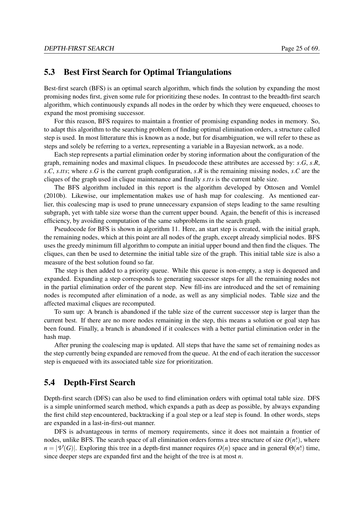## <span id="page-35-0"></span>5.3 Best First Search for Optimal Triangulations

Best-first search (BFS) is an optimal search algorithm, which finds the solution by expanding the most promising nodes first, given some rule for prioritizing these nodes. In contrast to the breadth-first search algorithm, which continuously expands all nodes in the order by which they were enqueued, chooses to expand the most promising successor.

For this reason, BFS requires to maintain a frontier of promising expanding nodes in memory. So, to adapt this algorithm to the searching problem of finding optimal elimination orders, a structure called step is used. In most litterature this is known as a node, but for disambiguation, we will refer to these as steps and solely be referring to a vertex, representing a variable in a Bayesian network, as a node.

Each step represents a partial elimination order by storing information about the configuration of the graph, remaining nodes and maximal cliques. In pseudocode these attributes are accessed by: *s*.*G*, *s*.*R*, *s*.*C*, *s*.*tts*; where *s*.*G* is the current graph configuration, *s*.*R* is the remaining missing nodes, *s*.*C* are the cliques of the graph used in clique maintenance and finally *s*.*tts* is the current table size.

The BFS algorithm included in this report is the algorithm developed by [Ottosen and Vomlel](#page-79-5) [\(2010b\)](#page-79-5). Likewise, our implementation makes use of hash map for coalescing. As mentioned earlier, this coalescing map is used to prune unnecessary expansion of steps leading to the same resulting subgraph, yet with table size worse than the current upper bound. Again, the benefit of this is increased efficiency, by avoiding computation of the same subproblems in the search graph.

Pseudocode for BFS is shown in algorithm [11.](#page-37-0) Here, an start step is created, with the initial graph, the remaining nodes, which at this point are all nodes of the graph, except already simplicial nodes. BFS uses the greedy minimum fill algorithm to compute an initial upper bound and then find the cliques. The cliques, can then be used to determine the initial table size of the graph. This initial table size is also a measure of the best solution found so far.

The step is then added to a priority queue. While this queue is non-empty, a step is dequeued and expanded. Expanding a step corresponds to generating successor steps for all the remaining nodes not in the partial elimination order of the parent step. New fill-ins are introduced and the set of remaining nodes is recomputed after elimination of a node, as well as any simplicial nodes. Table size and the affected maximal cliques are recomputed.

To sum up: A branch is abandoned if the table size of the current successor step is larger than the current best. If there are no more nodes remaining in the step, this means a solution or goal step has been found. Finally, a branch is abandoned if it coalesces with a better partial elimination order in the hash map.

After pruning the coalescing map is updated. All steps that have the same set of remaining nodes as the step currently being expanded are removed from the queue. At the end of each iteration the successor step is enqueued with its associated table size for prioritization.

## <span id="page-35-1"></span>5.4 Depth-First Search

Depth-first search (DFS) can also be used to find elimination orders with optimal total table size. DFS is a simple uninformed search method, which expands a path as deep as possible, by always expanding the first child step encountered, backtracking if a goal step or a leaf step is found. In other words, steps are expanded in a last-in-first-out manner.

DFS is advantageous in terms of memory requirements, since it does not maintain a frontier of nodes, unlike BFS. The search space of all elimination orders forms a tree structure of size  $O(n!)$ , where  $n = |\mathcal{V}(G)|$ . Exploring this tree in a depth-first manner requires  $O(n)$  space and in general  $\Theta(n!)$  time, since deeper steps are expanded first and the height of the tree is at most *n*.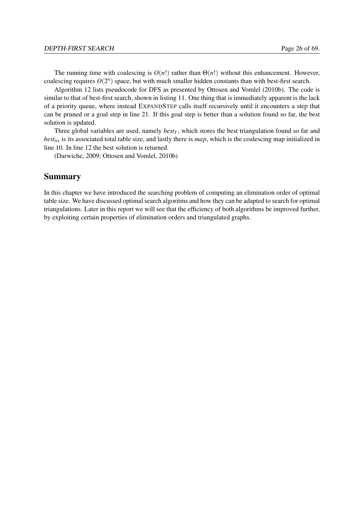The running time with coalescing is  $O(n!)$  rather than  $\Theta(n!)$  without this enhancement. However, coalescing requires  $O(2^n)$  space, but with much smaller hidden constants than with best-first search.

Algorithm [12](#page-38-0) lists pseudocode for DFS as presented by [Ottosen and Vomlel](#page-79-1) [\(2010b\)](#page-79-1). The code is similar to that of best-first search, shown in listing [11.](#page-37-0) One thing that is immediately apparent is the lack of a priority queue, where instead EXPANDSTEP calls itself recursively until it encounters a step that can be pruned or a goal step in line [21.](#page-38-0) If this goal step is better than a solution found so far, the best solution is updated.

Three global variables are used, namely  $best_T$ , which stores the best triangulation found so far and *besttts* is its associated total table size, and lastly there is *map*, which is the coalescing map initialized in line [10.](#page-38-0) In line [12](#page-38-0) the best solution is returned.

[\(Darwiche,](#page-79-2) [2009;](#page-79-2) [Ottosen and Vomlel,](#page-79-1) [2010b\)](#page-79-1)

## Summary

In this chapter we have introduced the searching problem of computing an elimination order of optimal table size. We have discussed optimal search algoritms and how they can be adapted to search for optimal triangulations. Later in this report we will see that the efficiency of both algorithms be improved further, by exploiting certain properties of elimination orders and triangulated graphs.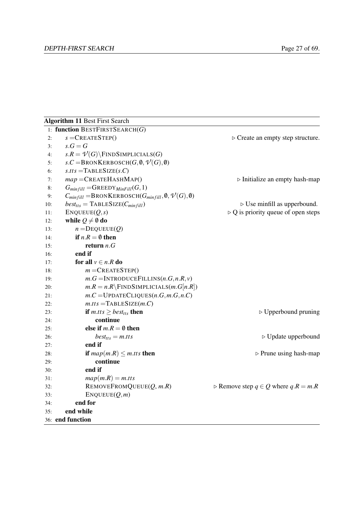35: end while 36: end function

<span id="page-37-0"></span>

|     | <b>Algorithm 11 Best First Search</b>                                                  |                                                          |
|-----|----------------------------------------------------------------------------------------|----------------------------------------------------------|
|     | 1: function BESTFIRSTSEARCH $(G)$                                                      |                                                          |
| 2:  | $s =$ CREATESTEP()                                                                     | $\triangleright$ Create an empty step structure.         |
| 3:  | $s.G=G$                                                                                |                                                          |
| 4:  | $s.R = \mathcal{V}(G)$ FINDSIMPLICIALS(G)                                              |                                                          |
| 5:  | $s.C = \text{BRONKERBOSCH}(G, \emptyset, \mathcal{V}(G), \emptyset)$                   |                                                          |
| 6:  | $s.$ tts = TABLESIZE $(s.C)$                                                           |                                                          |
| 7:  | $map =$ CREATEHASHMAP()                                                                | $\triangleright$ Initialize an empty hash-map            |
| 8:  | $G_{minfill} = G$ REEDY $_{MinFill}(G, 1)$                                             |                                                          |
| 9:  | $C_{minfill} = \text{BRONKERBOSCH}(G_{minfill}, \emptyset, \mathcal{V}(G), \emptyset)$ |                                                          |
| 10: | $best_{tts} = \text{TABLESIZE}(C_{minfill})$                                           | $\triangleright$ Use minfill as upperbound.              |
| 11: | ENQUEUE(Q,s)                                                                           | $\triangleright$ Q is priority queue of open steps       |
| 12: | while $Q \neq \emptyset$ do                                                            |                                                          |
| 13: | $n =$ DEQUEUE $(Q)$                                                                    |                                                          |
| 14: | if $n.R = \emptyset$ then                                                              |                                                          |
| 15: | return $n.G$                                                                           |                                                          |
| 16: | end if                                                                                 |                                                          |
| 17: | for all $v \in n.R$ do                                                                 |                                                          |
| 18: | $m =$ CREATESTEP()                                                                     |                                                          |
| 19: | $m.G = \text{INTRODUCE FILLINS}(n.G, n.R, v)$                                          |                                                          |
| 20: | $m.R = n.R \ FINDSIMPLICIALS(m.G[n.R])$                                                |                                                          |
| 21: | $m.C = \text{UPDATECLIQUES}(n.G, m.G, n.C)$                                            |                                                          |
| 22: | $m. Its = TABLESIZE(m.C)$                                                              |                                                          |
| 23: | <b>if</b> $m.tts \geq best_{tts}$ then                                                 | $\triangleright$ Upperbound pruning                      |
| 24: | continue                                                                               |                                                          |
| 25: | else if $m.R = \emptyset$ then                                                         |                                                          |
| 26: | $best_{tts} = m. tts$                                                                  | $\triangleright$ Update upperbound                       |
| 27: | end if                                                                                 |                                                          |
| 28: | <b>if</b> $map(m.R) \leq m.tts$ then                                                   | $\triangleright$ Prune using hash-map                    |
| 29: | continue                                                                               |                                                          |
| 30: | end if                                                                                 |                                                          |
| 31: | $map(m.R) = m.tts$                                                                     |                                                          |
| 32: | REMOVEFROMQUEUE $(Q, m.R)$                                                             | $\triangleright$ Remove step $q \in Q$ where $q.R = m.R$ |
| 33: | ENQUEUE(Q,m)                                                                           |                                                          |
| 34: | end for                                                                                |                                                          |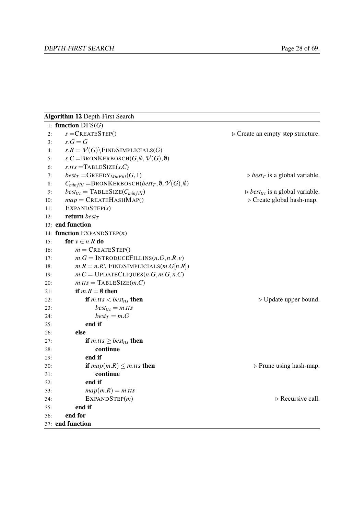<span id="page-38-0"></span>

|     | <b>Algorithm 12 Depth-First Search</b>                                            |                                                                 |
|-----|-----------------------------------------------------------------------------------|-----------------------------------------------------------------|
|     | 1: function $DFS(G)$                                                              |                                                                 |
| 2:  | $s =$ CREATESTEP()                                                                | $\triangleright$ Create an empty step structure.                |
| 3:  | $s.G=G$                                                                           |                                                                 |
| 4:  | $s.R = \mathcal{V}(G)$ FINDSIMPLICIALS(G)                                         |                                                                 |
| 5:  | $s.C = \text{BRONKERBOSCH}(G, \emptyset, \mathcal{V}(G), \emptyset)$              |                                                                 |
| 6:  | $s. Its = TABLESIZE(s.C)$                                                         |                                                                 |
| 7:  | $best_T = \text{GREEDY}_{MinFill}(G, 1)$                                          | $\triangleright$ <i>best</i> <sub>T</sub> is a global variable. |
| 8:  | $C_{minfill} = \text{BRONKERBOSCH}(best_T, \emptyset, \mathcal{V}(G), \emptyset)$ |                                                                 |
| 9:  | $best_{tts} = \text{TABLESIZE}(C_{minfill})$                                      | $\triangleright$ best <sub>tts</sub> is a global variable.      |
| 10: | $map =$ CREATEHASHMAP()                                                           | $\triangleright$ Create global hash-map.                        |
| 11: | EXPANDSTEP(s)                                                                     |                                                                 |
| 12: | return best $\tau$                                                                |                                                                 |
|     | 13: end function                                                                  |                                                                 |
|     | 14: function EXPANDSTEP(n)                                                        |                                                                 |
| 15: | for $v \in n.R$ do                                                                |                                                                 |
| 16: | $m =$ CREATESTEP()                                                                |                                                                 |
| 17: | $m.G = \text{INTRODUCE FILLINS}(n.G, n.R, v)$                                     |                                                                 |
| 18: | $m.R = n.R$ FINDSIMPLICIALS $(m.G[n.R])$                                          |                                                                 |
| 19: | $m.C =$ UPDATECLIQUES $(n.G, m.G, n.C)$                                           |                                                                 |
| 20: | $m. Its = TABLESIZE(m.C)$                                                         |                                                                 |
| 21: | if $m.R = \emptyset$ then                                                         |                                                                 |
| 22: | if $m.tts <$ best <sub>tts</sub> then                                             | $\triangleright$ Update upper bound.                            |
| 23: | $best_{tts} = m. tts$                                                             |                                                                 |
| 24: | $best_T = m.G$                                                                    |                                                                 |
| 25: | end if                                                                            |                                                                 |
| 26: | else                                                                              |                                                                 |
| 27: | <b>if</b> $m.tts \geq best_{tts}$ then                                            |                                                                 |
| 28: | continue                                                                          |                                                                 |
| 29: | end if                                                                            |                                                                 |
| 30: | <b>if</b> $map(m.R) \leq m.tts$ then                                              | $\triangleright$ Prune using hash-map.                          |
| 31: | continue                                                                          |                                                                 |
| 32: | end if                                                                            |                                                                 |
| 33: | $map(m.R) = m.$ tts                                                               |                                                                 |
| 34: | EXPANDSTEP(m)                                                                     | $\triangleright$ Recursive call.                                |
| 35: | end if                                                                            |                                                                 |
| 36: | end for                                                                           |                                                                 |
|     | 37: end function                                                                  |                                                                 |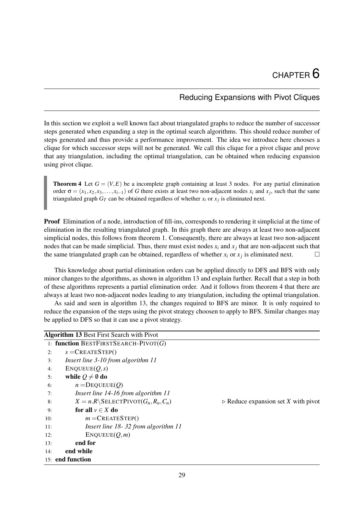# Reducing Expansions with Pivot Cliques

<span id="page-39-2"></span>In this section we exploit a well known fact about triangulated graphs to reduce the number of successor steps generated when expanding a step in the optimal search algorithms. This should reduce number of steps generated and thus provide a performance improvement. The idea we introduce here chooses a clique for which successor steps will not be generated. We call this clique for a pivot clique and prove that any triangulation, including the optimal triangulation, can be obtained when reducing expansion using pivot clique.

<span id="page-39-1"></span>**Theorem 4** Let  $G = (V, E)$  be a incomplete graph containing at least 3 nodes. For any partial elimination order  $\sigma = (x_1, x_2, x_3, \dots, x_{i-1})$  of *G* there exists at least two non-adjacent nodes  $x_i$  and  $x_j$ , such that the same triangulated graph  $G_T$  can be obtained regardless of whether  $x_i$  or  $x_j$  is eliminated next.

Proof Elimination of a node, introduction of fill-ins, corresponds to rendering it simplicial at the time of elimination in the resulting triangulated graph. In this graph there are always at least two non-adjacent simplicial nodes, this follows from theorem [1.](#page-20-0) Consequently, there are always at least two non-adjacent nodes that can be made simplicial. Thus, there must exist nodes  $x_i$  and  $x_j$  that are non-adjacent such that the same triangulated graph can be obtained, regardless of whether  $x_i$  or  $x_j$  is eliminated next.

This knowledge about partial elimination orders can be applied directly to DFS and BFS with only minor changes to the algorithms, as shown in algorithm [13](#page-39-0) and explain further. Recall that a step in both of these algorithms represents a partial elimination order. And it follows from theorem [4](#page-39-1) that there are always at least two non-adjacent nodes leading to any triangulation, including the optimal triangulation.

As said and seen in algorithm [13,](#page-39-0) the changes required to BFS are minor. It is only required to reduce the expansion of the steps using the pivot strategy choosen to apply to BFS. Similar changes may be applied to DFS so that it can use a pivot strategy.

<span id="page-39-0"></span>

|     | <b>Algorithm 13 Best First Search with Pivot</b>    |                                                    |
|-----|-----------------------------------------------------|----------------------------------------------------|
|     | 1: function BESTFIRSTSEARCH-PIVOT $(G)$             |                                                    |
| 2:  | $s =$ CREATESTEP()                                  |                                                    |
| 3:  | Insert line 3-10 from algorithm 11                  |                                                    |
| 4:  | ENQUEUE(Q,s)                                        |                                                    |
| 5:  | while $Q \neq \emptyset$ do                         |                                                    |
| 6:  | $n =$ DEQUEUE $(Q)$                                 |                                                    |
| 7:  | Insert line 14-16 from algorithm 11                 |                                                    |
| 8:  | $X = n.R\setminus\text{SELECTPIVOT}(G_n, R_n, C_n)$ | $\triangleright$ Reduce expansion set X with pivot |
| 9:  | for all $v \in X$ do                                |                                                    |
| 10: | $m =$ CREATESTEP()                                  |                                                    |
| 11: | Insert line 18-32 from algorithm 11                 |                                                    |
| 12: | ENQUEUE(Q,m)                                        |                                                    |
| 13: | end for                                             |                                                    |
| 14: | end while                                           |                                                    |
|     | 15: end function                                    |                                                    |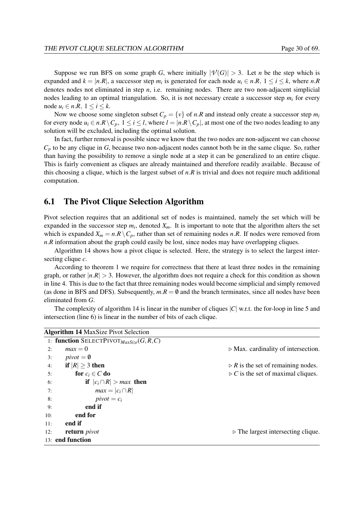Suppose we run BFS on some graph *G*, where initially  $|\mathcal{V}(G)| > 3$ . Let *n* be the step which is expanded and  $k = |n.R|$ , a successor step  $m_i$  is generated for each node  $u_i \in n.R$ ,  $1 \le i \le k$ , where  $n.R$ denotes nodes not eliminated in step *n*, i.e. remaining nodes. There are two non-adjacent simplicial nodes leading to an optimal triangulation. So, it is not necessary create a successor step *m<sup>i</sup>* for every node  $u_i \in n.R$ ,  $1 \le i \le k$ .

Now we choose some singleton subset  $C_p = \{v\}$  of *n.R* and instead only create a successor step  $m_i$ for every node  $u_i \in n \cdot R \setminus C_p$ ,  $1 \le i \le l$ , where  $l = |n \cdot R \setminus C_p|$ , at most one of the two nodes leading to any solution will be excluded, including the optimal solution.

In fact, further removal is possible since we know that the two nodes are non-adjacent we can choose *C<sup>p</sup>* to be any clique in *G*, because two non-adjacent nodes cannot both be in the same clique. So, rather than having the possibility to remove a single node at a step it can be generalized to an entire clique. This is fairly convenient as cliques are already maintained and therefore readily available. Because of this choosing a clique, which is the largest subset of *n*.*R* is trivial and does not require much additional computation.

## 6.1 The Pivot Clique Selection Algorithm

Pivot selection requires that an additional set of nodes is maintained, namely the set which will be expanded in the successor step  $m_i$ , denoted  $X_m$ . It is important to note that the algorithm alters the set which is expanded  $X_m = n.R \setminus C_p$ , rather than set of remaining nodes *n.R.* If nodes were removed from *n.R* information about the graph could easily be lost, since nodes may have overlapping cliques.

Algorithm [14](#page-40-0) shows how a pivot clique is selected. Here, the strategy is to select the largest intersecting clique *c*.

According to theorem [1](#page-20-0) we require for correctness that there at least three nodes in the remaining graph, or rather  $|n.R| > 3$ . However, the algorithm does not require a check for this condition as shown in line [4.](#page-40-0) This is due to the fact that three remaining nodes would become simplicial and simply removed (as done in BFS and DFS). Subsequently,  $m.R = \emptyset$  and the branch terminates, since all nodes have been eliminated from *G*.

The complexity of algorithm [14](#page-40-0) is linear in the number of cliques |*C*| w.r.t. the for-loop in line [5](#page-40-0) and intersection (line [6\)](#page-40-0) is linear in the number of bits of each clique.

<span id="page-40-0"></span>

|     | <b>Algorithm 14 MaxSize Pivot Selection</b>   |                                                    |
|-----|-----------------------------------------------|----------------------------------------------------|
|     | 1: function SELECTPIVOT $_{MaxSize}(G, R, C)$ |                                                    |
| 2:  | $max = 0$                                     | $\triangleright$ Max. cardinality of intersection. |
| 3:  | $pivot = \emptyset$                           |                                                    |
| 4:  | if $ R  \geq 3$ then                          | $\triangleright$ R is the set of remaining nodes.  |
| 5:  | for $c_i \in C$ do                            | $\triangleright$ C is the set of maximal cliques.  |
| 6:  | if $ c_i \cap R  > max$ then                  |                                                    |
| 7:  | $max =  c_i \cap R $                          |                                                    |
| 8:  | $pivot = c_i$                                 |                                                    |
| 9:  | end if                                        |                                                    |
| 10: | end for                                       |                                                    |
| 11: | end if                                        |                                                    |
| 12: | return <i>pivot</i>                           | $\triangleright$ The largest intersecting clique.  |
|     | 13: end function                              |                                                    |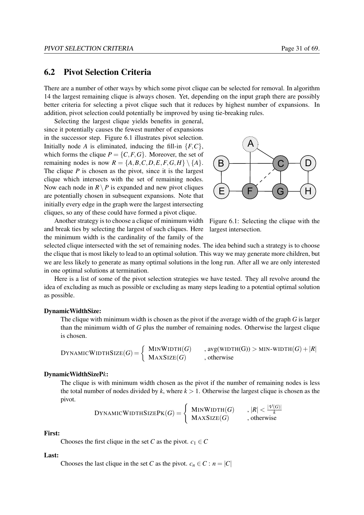# 6.2 Pivot Selection Criteria

There are a number of other ways by which some pivot clique can be selected for removal. In algorithm [14](#page-40-0) the largest remaining clique is always chosen. Yet, depending on the input graph there are possibly better criteria for selecting a pivot clique such that it reduces by highest number of expansions. In addition, pivot selection could potentially be improved by using tie-breaking rules.

Selecting the largest clique yields benefits in general, since it potentially causes the fewest number of expansions in the successor step. Figure [6.1](#page-41-0) illustrates pivot selection. Initially node *A* is eliminated, inducing the fill-in  $\{F, C\}$ , which forms the clique  $P = \{C, F, G\}$ . Moreover, the set of remaining nodes is now  $R = \{A, B, C, D, E, F, G, H\} \setminus \{A\}.$ The clique *P* is chosen as the pivot, since it is the largest clique which intersects with the set of remaining nodes. Now each node in  $R \setminus P$  is expanded and new pivot cliques are potentially chosen in subsequent expansions. Note that initially every edge in the graph were the largest intersecting cliques, so any of these could have formed a pivot clique.

Another strategy is to choose a clique of minimum width and break ties by selecting the largest of such cliques. Here the minimum width is the cardinality of the family of the



<span id="page-41-0"></span>Figure 6.1: Selecting the clique with the largest intersection.

selected clique intersected with the set of remaining nodes. The idea behind such a strategy is to choose the clique that is most likely to lead to an optimal solution. This way we may generate more children, but we are less likely to generate as many optimal solutions in the long run. After all we are only interested in one optimal solutions at termination.

Here is a list of some of the pivot selection strategies we have tested. They all revolve around the idea of excluding as much as possible or excluding as many steps leading to a potential optimal solution as possible.

#### DynamicWidthSize:

The clique with minimum width is chosen as the pivot if the average width of the graph *G* is larger than the minimum width of *G* plus the number of remaining nodes. Otherwise the largest clique is chosen.

DYNAMICWIDTHSIZE(G) = 
$$
\begin{cases} \text{MINWIDTH}(G) & , \text{avg(WIDTH}(G)) > \text{MIN-WIDTH}(G) + |R| \\ \text{MAXSize}(G) & , \text{otherwise} \end{cases}
$$

#### DynamicWidthSizeP*k*:

The clique is with minimum width chosen as the pivot if the number of remaining nodes is less the total number of nodes divided by  $k$ , where  $k > 1$ . Otherwise the largest clique is chosen as the pivot.

DYNAMICWIDTHSIZEPK(
$$
G
$$
) = 
$$
\begin{cases} \text{MINWIDTH}(G) & , |R| < \frac{|\mathcal{V}(G)|}{k} \\ \text{MAXSize}(G) & , \text{otherwise} \end{cases}
$$

## First:

Chooses the first clique in the set *C* as the pivot.  $c_1 \in C$ 

#### Last:

Chooses the last clique in the set *C* as the pivot.  $c_n \in C : n = |C|$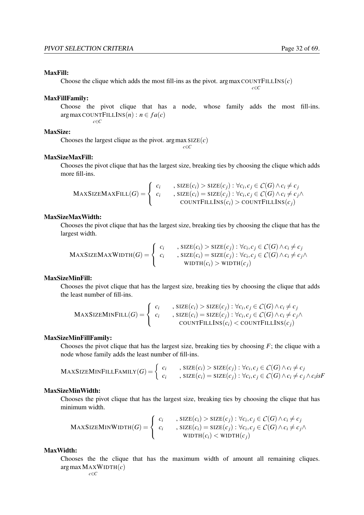## MaxFill:

Choose the clique which adds the most fill-ins as the pivot. argmax COUNTFILLINS $(c)$ 

*c*∈*C*

## MaxFillFamily:

Choose the pivot clique that has a node, whose family adds the most fill-ins.  $argmax$  COUNT $FILLINS(n): n \in fa(c)$ *c*∈*C*

## MaxSize:

Chooses the largest clique as the pivot. argmax  $SLSE(c)$ *c*∈*C*

## MaxSizeMaxFill:

Chooses the pivot clique that has the largest size, breaking ties by choosing the clique which adds more fill-ins.

$$
\text{MAXSIZEMAXFILL}(G) = \left\{ \begin{array}{ll} c_i & \text{size}(c_i) > \text{SIZE}(c_j) : \forall c_i, c_j \in C(G) \land c_i \neq c_j \\ c_i & \text{size}(c_i) = \text{SIZE}(c_j) : \forall c_i, c_j \in C(G) \land c_i \neq c_j \land \\ & \text{COUNTFILLINS}(c_i) > \text{COUNTFILLINS}(c_j) \end{array} \right.
$$

### MaxSizeMaxWidth:

Chooses the pivot clique that has the largest size, breaking ties by choosing the clique that has the largest width.

$$
\text{MaxSizeMaxWIDTH}(G) = \left\{ \begin{array}{ll} c_i & , \text{SIZE}(c_i) > \text{SIZE}(c_j) : \forall c_i, c_j \in C(G) \land c_i \neq c_j \\ c_i & , \text{SIZE}(c_i) = \text{SIZE}(c_j) : \forall c_i, c_j \in C(G) \land c_i \neq c_j \land \\ & \text{WIDTH}(c_i) > \text{WIDTH}(c_j) \end{array} \right.
$$

## MaxSizeMinFill:

Chooses the pivot clique that has the largest size, breaking ties by choosing the clique that adds the least number of fill-ins.

$$
\text{MAXSIZEMINFILL}(G) = \left\{ \begin{array}{l l} c_i & , \text{SIZE}(c_i) > \text{SIZE}(c_j) : \forall c_i, c_j \in C(G) \land c_i \neq c_j \\ c_i & , \text{SIZE}(c_i) = \text{SIZE}(c_j) : \forall c_i, c_j \in C(G) \land c_i \neq c_j \land \\ & \text{COUNTFILLINS}(c_i) < \text{COUNTFILLINS}(c_j) \end{array} \right.
$$

## MaxSizeMinFillFamily:

Chooses the pivot clique that has the largest size, breaking ties by choosing  $F$ ; the clique with a node whose family adds the least number of fill-ins.

$$
\text{MaxSizeMinFILLFAMILY}(G) = \left\{ \begin{array}{ll} c_i & , \text{SIZE}(c_i) > \text{SIZE}(c_j) : \forall c_i, c_j \in C(G) \land c_i \neq c_j \\ c_i & , \text{SIZE}(c_i) = \text{SIZE}(c_j) : \forall c_i, c_j \in C(G) \land c_i \neq c_j \land c_i \text{is}F \end{array} \right\}
$$

### MaxSizeMinWidth:

Chooses the pivot clique that has the largest size, breaking ties by choosing the clique that has minimum width.

$$
\text{MaxSizeMINWIDTH}(G) = \left\{ \begin{array}{ll} c_i & , \text{SIZE}(c_i) > \text{SIZE}(c_j) : \forall c_i, c_j \in C(G) \land c_i \neq c_j \\ c_i & , \text{SIZE}(c_i) = \text{SIZE}(c_j) : \forall c_i, c_j \in C(G) \land c_i \neq c_j \land \\ & \text{WIDTH}(c_i) < \text{WIDTH}(c_j) \end{array} \right.
$$

#### MaxWidth:

Chooses the the clique that has the maximum width of amount all remaining cliques. argmaxMAXWIDTH(*c*)

*c*∈*C*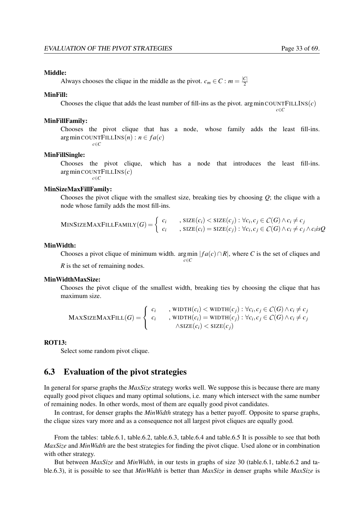### Middle:

Always chooses the clique in the middle as the pivot.  $c_m \in \mathbb{C} : m = \frac{|\mathbb{C}|}{2}$ 2

#### MinFill:

Chooses the clique that adds the least number of fill-ins as the pivot. argmin COUNTFILLINS $(c)$ *c*∈*C*

#### MinFillFamily:

Chooses the pivot clique that has a node, whose family adds the least fill-ins.  $arg min$  COUNT $FILLINS(n): n \in fa(c)$ 

*c*∈*C*

#### MinFillSingle:

Chooses the pivot clique, which has a node that introduces the least fill-ins. argmin COUNTFILLINS(*c*) *c*∈*C*

## MinSizeMaxFillFamily:

Chooses the pivot clique with the smallest size, breaking ties by choosing *Q*; the clique with a node whose family adds the most fill-ins.

$$
\text{MINSIZEMAXFILLFAMILY}(G) = \left\{ \begin{array}{ll} c_i & , \text{SIZE}(c_i) < \text{SIZE}(c_j) : \forall c_i, c_j \in C(G) \land c_i \neq c_j \\ c_i & , \text{SIZE}(c_i) = \text{SIZE}(c_j) : \forall c_i, c_j \in C(G) \land c_i \neq c_j \land c_i \text{is} Q \end{array} \right.
$$

#### MinWidth:

Chooses a pivot clique of minimum width. argmin  $|fa(c) \cap R|$ , where *C* is the set of cliques and *c*∈*C R* is the set of remaining nodes.

### MinWidthMaxSize:

Chooses the pivot clique of the smallest width, breaking ties by choosing the clique that has maximum size.

$$
\text{MAXSIZEMAXFILL}(G) = \left\{ \begin{array}{ll} c_i & , \text{WIDTH}(c_i) < \text{WIDTH}(c_j) : \forall c_i, c_j \in C(G) \land c_i \neq c_j \\ c_i & , \text{WIDTH}(c_i) = \text{WIDTH}(c_j) : \forall c_i, c_j \in C(G) \land c_i \neq c_j \\ & \land \text{SIZE}(c_i) < \text{SIZE}(c_j) \end{array} \right.
$$

#### ROT13:

Select some random pivot clique.

# <span id="page-43-0"></span>6.3 Evaluation of the pivot strategies

In general for sparse graphs the *MaxSize* strategy works well. We suppose this is because there are many equally good pivot cliques and many optimal solutions, i.e. many which intersect with the same number of remaining nodes. In other words, most of them are equally good pivot candidates.

In contrast, for denser graphs the *MinWidth* strategy has a better payoff. Opposite to sparse graphs, the clique sizes vary more and as a consequence not all largest pivot cliques are equally good.

From the tables: table[.6.1,](#page-44-0) table[.6.2,](#page-44-1) table[.6.3,](#page-44-2) table[.6.4](#page-45-0) and table[.6.5](#page-45-1) It is possible to see that both *MaxSize* and *MinWidth* are the best strategies for finding the pivot clique. Used alone or in combination with other strategy.

But between *MaxSize* and *MinWidth*, in our tests in graphs of size 30 (table[.6.1,](#page-44-0) table[.6.2](#page-44-1) and table[.6.3\)](#page-44-2), it is possible to see that *MinWidth* is better than *MaxSize* in denser graphs while *MaxSize* is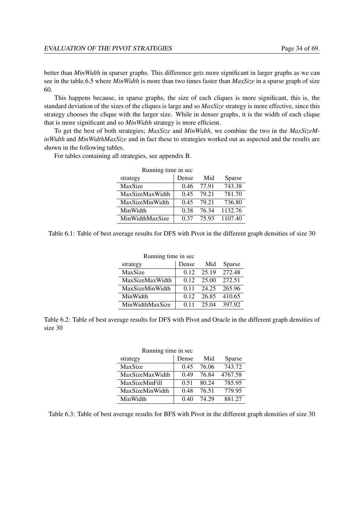better than *MinWidth* in sparser graphs. This difference gets more significant in larger graphs as we can see in the table[.6.5](#page-45-1) where *MinWidth* is more than two times faster than *MaxSize* in a sparse graph of size 60.

This happens because, in sparse graphs, the size of each cliques is more significant, this is, the standard deviation of the sizes of the cliques is large and so *MaxSize* strategy is more effective, since this strategy chooses the clique with the larger size. While in denser graphs, it is the width of each clique that is more significant and so *MinWidth* strategy is more efficient.

To get the best of both strategies; *MaxSize* and *MinWidth*, we combine the two in the *MaxSizeMinWidth* and *MinWidthMaxSize* and in fact these to strategies worked out as aspected and the results are shown in the following tables.

For tables containing all strategies, see appendix [B.](#page-70-0)

| Running time in sec |       |       |         |  |
|---------------------|-------|-------|---------|--|
| strategy            | Dense | Mid   | Sparse  |  |
| MaxSize             | 0.46  | 77.91 | 743.38  |  |
| MaxSizeMaxWidth     | 0.45  | 79.21 | 781.70  |  |
| MaxSizeMinWidth     | 0.45  | 79.21 | 736.80  |  |
| MinWidth            | 0.38  | 76.34 | 1132.76 |  |
| MinWidthMaxSize     | 0.37  | 75.93 | 1107.40 |  |

<span id="page-44-0"></span>Table 6.1: Table of best average results for DFS with Pivot in the different graph densities of size 30

| Running time in sec |       |       |        |
|---------------------|-------|-------|--------|
| strategy            | Dense | Mid   | Sparse |
| MaxSize             | 0.12  | 25.19 | 272.48 |
| MaxSizeMaxWidth     | 0.12  | 25.00 | 272.51 |
| MaxSizeMinWidth     | 0.11  | 24.25 | 265.96 |
| MinWidth            | 0.12  | 26.85 | 410.65 |
| MinWidthMaxSize     | 011   | 25.04 | 397.92 |

<span id="page-44-1"></span>Table 6.2: Table of best average results for DFS with Pivot and Oracle in the different graph densities of size 30

| Running time in sec   |       |       |         |
|-----------------------|-------|-------|---------|
| strategy              | Dense | Mid   | Sparse  |
| MaxSize               | 0.45  | 76.06 | 743.72  |
| MaxSizeMaxWidth       | 0.49  | 76.84 | 4767.58 |
| <b>MaxSizeMinFill</b> | 0.51  | 80.24 | 785.95  |
| MaxSizeMinWidth       | 0.48  | 76.51 | 779.95  |
| MinWidth              | 0.40  | 74 29 | 881.27  |

<span id="page-44-2"></span>Table 6.3: Table of best average results for BFS with Pivot in the different graph densities of size 30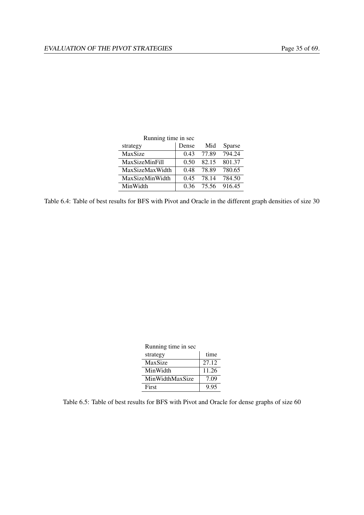| Running time in sec   |       |       |        |
|-----------------------|-------|-------|--------|
| strategy              | Dense | Mid   | Sparse |
| MaxSize               | 0.43  | 77.89 | 794.24 |
| <b>MaxSizeMinFill</b> | 0.50  | 82.15 | 801.37 |
| MaxSizeMaxWidth       | 0.48  | 78.89 | 780.65 |
| MaxSizeMinWidth       | 0.45  | 78.14 | 784.50 |
| MinWidth              | 0 36  | 75.56 | 916.45 |

<span id="page-45-0"></span>Table 6.4: Table of best results for BFS with Pivot and Oracle in the different graph densities of size 30

| Running time in sec |       |  |
|---------------------|-------|--|
| strategy            | time  |  |
| MaxSize             | 27.12 |  |
| MinWidth            | 11.26 |  |
| MinWidthMaxSize     | 7.09  |  |
| First               | 9.95  |  |

<span id="page-45-1"></span>Table 6.5: Table of best results for BFS with Pivot and Oracle for dense graphs of size 60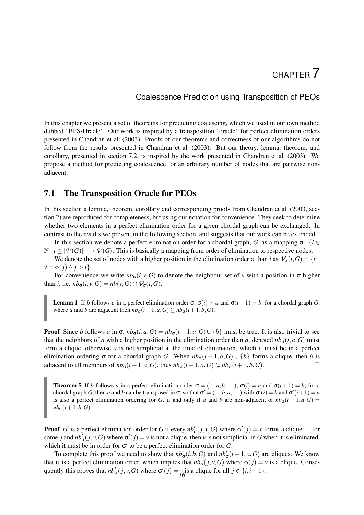# Coalescence Prediction using Transposition of PEOs

<span id="page-46-2"></span>In this chapter we present a set of theorems for predicting coalescing, which we used in our own method dubbed "BFS-Oracle". Our work is inspired by a transposition "oracle" for perfect elimination orders presented in [Chandran et al.](#page-79-3) [\(2003\)](#page-79-3). Proofs of our theorems and correctness of our algorithms do not follow from the results presented in [Chandran et al.](#page-79-3) [\(2003\)](#page-79-3). But our theory, lemma, theorem, and corollary, presented in section [7.2,](#page-47-0) is inspired by the work presented in [Chandran et al.](#page-79-3) [\(2003\)](#page-79-3). We propose a method for predicting coalescence for an arbitrary number of nodes that are pairwise nonadjacent.

# 7.1 The Transposition Oracle for PEOs

In this section a lemma, theorem, corollary and corresponding proofs from [Chandran et al.](#page-79-3) [\(2003,](#page-79-3) section 2) are reproduced for completeness, but using our notation for convenience. They seek to determine whether two elements in a perfect elimination order for a given chordal graph can be exchanged. In contrast to the results we present in the following section, and suggests that our work can be extended.

In this section we denote a perfect elimination order for a chordal graph, *G*, as a mapping  $\sigma$ : {*i* ∈  $\mathbb{N} \mid i \leq |\mathcal{V}(G)|$   $\mapsto \mathcal{V}(G)$ . This is basically a mapping from order of elimination to respective nodes.

We denote the set of nodes with a higher position in the elimination order  $\sigma$  than *i* as  $\mathcal{V}_{\sigma}(i, G) = \{v \mid$  $v = \sigma(j) \wedge j > i$ .

For convenience we write  $nb<sub>σ</sub>(i, v, G)$  to denote the neighbour-set of *v* with a position in σ higher than *i*, i.e.  $nb_{\sigma}(i, v, G) = nb(v, G) \cap \mathcal{V}_{\sigma}(i, G)$ .

<span id="page-46-1"></span>Lemma 1 If *b* follows *a* in a perfect elimination order σ,  $σ(i) = a$  and  $σ(i + 1) = b$ , for a chordal graph *G*, where *a* and *b* are adjacent then  $nb_{\sigma}(i+1, a, G) \subseteq nb_{\sigma}(i+1, b, G)$ .

**Proof** Since *b* follows *a* in  $\sigma$ ,  $nb_{\sigma}(i, a, G) = nb_{\sigma}(i+1, a, G) \cup \{b\}$  must be true. It is also trivial to see that the neighbors of *a* with a higher position in the elimination order than *a*, denoted  $nb<sub>σ</sub>(i, a, G)$  must form a clique, otherwise *a* is not simplicial at the time of elimination, which it must be in a perfect elimination ordering σ for a chordal graph *G*. When  $nb<sub>σ</sub>(i + 1, a, G) \cup \{b\}$  forms a clique, then *b* is adjacent to all members of  $nb_{\sigma}(i+1, a, G)$ , thus  $nb_{\sigma}(i+1, a, G) \subseteq nb_{\sigma}(i+1, b, G)$ .

<span id="page-46-0"></span>Theorem 5 If *b* follows *a* in a perfect elimination order  $\sigma = (\dots a, b, \dots)$ ,  $\sigma(i) = a$  and  $\sigma(i + 1) = b$ , for a chordal graph *G*, then *a* and *b* can be transposed in  $\sigma$ , so that  $\sigma' = (\ldots b, a, \ldots)$  with  $\sigma'(i) = b$  and  $\sigma'(i+1) = a$ is also a perfect elimination ordering for *G*, if and only if *a* and *b* are non-adjacent or  $nb<sub>\sigma</sub>(i+1,a,G)$  $nb_{\sigma}(i+1,b,G)$ .

**Proof**  $\sigma'$  is a perfect elimination order for *G* if every  $nb'_{\sigma}(j, v, G)$  where  $\sigma'(j) = v$  forms a clique. If for some *j* and  $nb'_{\sigma}(j, v, G)$  where  $\sigma'(j) = v$  is not a clique, then *v* is not simplicial in *G* when it is eliminated, which it must be in order for  $\sigma'$  to be a perfect elimination order for *G*.

To complete this proof we need to show that  $nb'_{\sigma}(i, b, G)$  and  $nb'_{\sigma}(i+1, a, G)$  are cliques. We know that  $\sigma$  is a perfect elimination order, which implies that  $nb_{\sigma}(j, v, G)$  where  $\sigma(j) = v$  is a clique. Consequently this proves that  $nb'_{\sigma}(j, v, G)$  where  $\sigma'(j) = y$  is a clique for all  $j \notin \{i, i+1\}$ .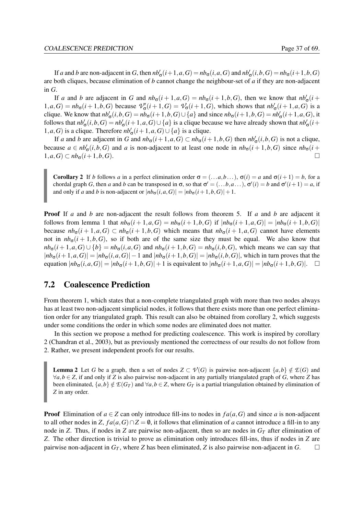If a and b are non-adjacent in G, then  $nb'_{\sigma}(i+1, a, G) = nb_{\sigma}(i, a, G)$  and  $nb'_{\sigma}(i, b, G) = nb_{\sigma}(i+1, b, G)$ are both cliques, because elimination of *b* cannot change the neighbour-set of *a* if they are non-adjacent in *G*.

If *a* and *b* are adjacent in *G* and  $nb_{\sigma}(i+1,a,G) = nb_{\sigma}(i+1,b,G)$ , then we know that  $nb'_{\sigma}(i+1,a,G) = nb_{\sigma}(i+1,b,G)$  $1, a, G$  =  $nb_{\sigma}(i+1, b, G)$  because  $\mathcal{V}_{\sigma}'(i+1, G) = \mathcal{V}_{\sigma}(i+1, G)$ , which shows that  $nb'_{\sigma}(i+1, a, G)$  is a clique. We know that  $nb'_\sigma(i, b, G) = nb_\sigma(i+1, b, G) \cup \{a\}$  and since  $nb_\sigma(i+1, b, G) = nb'_\sigma(i+1, a, G)$ , it follows that  $nb'_\sigma(i, b, G) = nb'_\sigma(i+1, a, G) \cup \{a\}$  is a clique because we have already shown that  $nb'_\sigma(i+1, a, G)$ 1,*a*,*G*) is a clique. Therefore  $nb'_{\sigma}(i+1, a, G) \cup \{a\}$  is a clique.

If *a* and *b* are adjacent in *G* and  $nb_{\sigma}(i+1, a, G) \subset nb_{\sigma}(i+1, b, G)$  then  $nb'_{\sigma}(i, b, G)$  is not a clique, because  $a \in nb'_\sigma(i, b, G)$  and *a* is non-adjacent to at least one node in  $nb_\sigma(i + 1, b, G)$  since  $nb_\sigma(i + 1, b, G)$ 1,*a*,*G*) ⊂  $nb_0(i+1,b,G)$ . □

<span id="page-47-1"></span>Corollary 2 If *b* follows *a* in a perfect elimination order  $\sigma = (\ldots a, b, \ldots)$ ,  $\sigma(i) = a$  and  $\sigma(i+1) = b$ , for a chordal graph *G*, then *a* and *b* can be transposed in  $\sigma$ , so that  $\sigma' = (\ldots b, a \ldots)$ ,  $\sigma'(i) = b$  and  $\sigma'(i+1) = a$ , if and only if *a* and *b* is non-adjacent or  $|nb_{\sigma}(i, a, G)| = |nb_{\sigma}(i+1, b, G)| + 1$ .

Proof If *a* and *b* are non-adjacent the result follows from theorem [5.](#page-46-0) If *a* and *b* are adjacent it follows from lemma [1](#page-46-1) that  $nb_{\sigma}(i+1,a,G) = nb_{\sigma}(i+1,b,G)$  if  $|nb_{\sigma}(i+1,a,G)| = |nb_{\sigma}(i+1,b,G)|$ because  $nb_{\sigma}(i+1,a,G) \subset nb_{\sigma}(i+1,b,G)$  which means that  $nb_{\sigma}(i+1,a,G)$  cannot have elements not in  $nb_{\sigma}(i+1,b,G)$ , so if both are of the same size they must be equal. We also know that  $nb_{\sigma}(i+1,a,G) \cup \{b\} = nb_{\sigma}(i,a,G)$  and  $nb_{\sigma}(i+1,b,G) = nb_{\sigma}(i,b,G)$ , which means we can say that  $|nb_{\sigma}(i+1,a,G)| = |nb_{\sigma}(i,a,G)| - 1$  and  $|nb_{\sigma}(i+1,b,G)| = |nb_{\sigma}(i,b,G)|$ , which in turn proves that the equation  $|nb_{\sigma}(i, a, G)| = |nb_{\sigma}(i+1, b, G)| + 1$  is equivalent to  $|nb_{\sigma}(i+1, a, G)| = |nb_{\sigma}(i+1, b, G)|$ .  $\Box$ 

## <span id="page-47-0"></span>7.2 Coalescence Prediction

From theorem [1,](#page-20-0) which states that a non-complete triangulated graph with more than two nodes always has at least two non-adjacent simplicial nodes, it follows that there exists more than one perfect elimination order for any triangulated graph. This result can also be obtained from corollary [2,](#page-47-1) which suggests under some conditions the order in which some nodes are eliminated does not matter.

In this section we propose a method for predicting coalescence. This work is inspired by corollary [2](#page-47-1) [\(Chandran et al.,](#page-79-3) [2003\)](#page-79-3), but as previously mentioned the correctness of our results do not follow from [2.](#page-47-1) Rather, we present independent proofs for our results.

<span id="page-47-2"></span>**Lemma 2** Let *G* be a graph, then a set of nodes  $Z \subset \mathcal{V}(G)$  is pairwise non-adjacent  $\{a,b\} \notin \mathcal{E}(G)$  and  $∀a, b ∈ Z$ , if and only if *Z* is also pairwise non-adjacent in any partially triangulated graph of *G*, where *Z* has been eliminated,  $\{a,b\} \notin E(G_T)$  and  $\forall a,b \in \mathbb{Z}$ , where  $G_T$  is a partial triangulation obtained by elimination of *Z* in any order.

<span id="page-47-3"></span>**Proof** Elimination of  $a \in \mathbb{Z}$  can only introduce fill-ins to nodes in  $fa(a, G)$  and since *a* is non-adjacent to all other nodes in *Z*,  $fa(a, G) \cap Z = \emptyset$ , it follows that elimination of *a* cannot introduce a fill-in to any node in *Z*. Thus, if nodes in *Z* are pairwise non-adjacent, then so are nodes in  $G_T$  after elimination of *Z*. The other direction is trivial to prove as elimination only introduces fill-ins, thus if nodes in *Z* are pairwise non-adjacent in  $G_T$ , where *Z* has been eliminated, *Z* is also pairwise non-adjacent in *G*.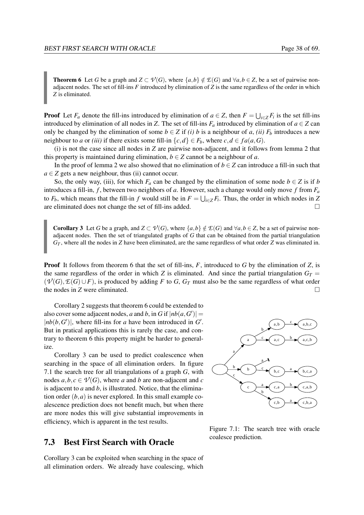<span id="page-48-0"></span>**Theorem 6** Let *G* be a graph and  $Z \subset \mathcal{V}(G)$ , where  $\{a,b\} \notin \mathcal{E}(G)$  and  $\forall a,b \in \mathcal{Z}$ , be a set of pairwise nonadjacent nodes. The set of fill-ins  $F$  introduced by elimination of  $Z$  is the same regardless of the order in which *Z* is eliminated.

**Proof** Let  $F_a$  denote the fill-ins introduced by elimination of  $a \in Z$ , then  $F = \bigcup_{i \in Z} F_i$  is the set fill-ins introduced by elimination of all nodes in *Z*. The set of fill-ins  $F_a$  introduced by elimination of  $a \in Z$  can only be changed by the elimination of some  $b \in Z$  if *(i) b* is a neighbour of *a*, *(ii)*  $F_b$  introduces a new neighbour to *a* or *(iii)* if there exists some fill-in  $\{c,d\} \in F_b$ , where  $c,d \in fa(a,G)$ .

<span id="page-48-2"></span>[\(i\)](#page-48-0) is not the case since all nodes in *Z* are pairwise non-adjacent, and it follows from lemma [2](#page-47-2) that this property is maintained during elimination,  $b \in \mathbb{Z}$  cannot be a neighbour of *a*.

In the proof of lemma [2](#page-47-2) we also showed that no elimination of  $b \in \mathbb{Z}$  can introduce a fill-in such that  $a \in Z$  gets a new neighbour, thus [\(ii\)](#page-48-1) cannot occur.

So, the only way, [\(iii\)](#page-48-2), for which  $F_a$  can be changed by the elimination of some node  $b \in Z$  is if *b* introduces a fill-in,  $f$ , between two neighbors of  $a$ . However, such a change would only move  $f$  from  $F_a$ to  $F_b$ , which means that the fill-in *f* would still be in  $F = \bigcup_{i \in \mathbb{Z}} F_i$ . Thus, the order in which nodes in *Z* are eliminated does not change the set of fill-ins added.  $\Box$ 

<span id="page-48-3"></span>**Corollary 3** Let *G* be a graph, and  $Z \subset \mathcal{V}(G)$ , where  $\{a,b\} \notin \mathcal{E}(G)$  and  $\forall a,b \in \mathcal{Z}$ , be a set of pairwise nonadjacent nodes. Then the set of triangulated graphs of *G* that can be obtained from the partial triangulation *G<sup>T</sup>* , where all the nodes in *Z* have been eliminated, are the same regardless of what order *Z* was eliminated in.

Proof It follows from theorem [6](#page-47-3) that the set of fill-ins, *F*, introduced to *G* by the elimination of *Z*, is the same regardless of the order in which *Z* is eliminated. And since the partial triangulation  $G_T =$  $(\mathcal{V}(G), \mathcal{E}(G) \cup F)$ , is produced by adding *F* to *G*, *G<sub>T</sub>* must also be the same regardless of what order the nodes in *Z* were eliminated.

Corollary [2](#page-47-1) suggests that theorem [6](#page-47-3) could be extended to also cover some adjacent nodes, *a* and *b*, in *G* if  $|nb(a, G')|$  =  $|nb(b, G')|$ , where fill-ins for *a* have been introduced in *G'*. But in pratical applications this is rarely the case, and contrary to theorem [6](#page-47-3) this property might be harder to generalize.

Corollary [3](#page-48-3) can be used to predict coalescence when searching in the space of all elimination orders. In figure [7.1](#page-48-4) the search tree for all triangulations of a graph *G*, with nodes  $a, b, c \in V(G)$ , where *a* and *b* are non-adjacent and *c* is adjacent to *a* and *b*, is illustrated. Notice, that the elimination order  $(b, a)$  is never explored. In this small example coalescence prediction does not benefit much, but when there are more nodes this will give substantial improvements in efficiency, which is apparent in the test results.

# 7.3 Best First Search with Oracle

Corollary [3](#page-48-3) can be exploited when searching in the space of all elimination orders. We already have coalescing, which

<span id="page-48-1"></span>

<span id="page-48-4"></span>Figure 7.1: The search tree with oracle coalesce prediction.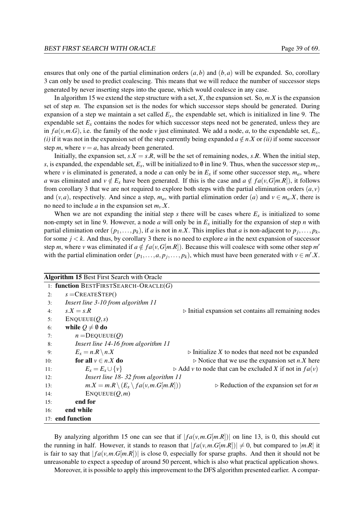ensures that only one of the partial elimination orders  $(a, b)$  and  $(b, a)$  will be expanded. So, corollary [3](#page-48-3) can only be used to predict coalescing. This means that we will reduce the number of successor steps generated by never inserting steps into the queue, which would coalesce in any case.

In algorithm [15](#page-49-0) we extend the step structure with a set, *X*, the expansion set. So, *m*.*X* is the expansion set of step *m*. The expansion set is the nodes for which successor steps should be generated. During expansion of a step we maintain a set called  $E<sub>x</sub>$ , the expendable set, which is initialized in line [9.](#page-49-0) The expendable set  $E<sub>x</sub>$  contains the nodes for which successor steps need not be generated, unless they are in  $fa(v, m, G)$ , i.e. the family of the node v just eliminated. We add a node, *a*, to the expendable set,  $E_x$ , *(i)* if it was not in the expansion set of the step currently being expanded  $a \notin n.X$  or *(ii)* if some successor step *m*, where  $v = a$ , has already been generated.

Initially, the expansion set,  $s.X = s.R$ , will be the set of remaining nodes,  $s.R$ . When the initial step, *s*, is expanded, the expendable set,  $E_x$ , will be initialized to 0 in line [9.](#page-49-0) Thus, when the successor step  $m_v$ , where *v* is eliminated is generated, a node *a* can only be in  $E_x$  if some other successor step,  $m_a$ , where *a* was eliminated and  $v \notin E_x$  have been generated. If this is the case and  $a \notin fa(v, G[m,R])$ , it follows from corollary [3](#page-48-3) that we are not required to explore both steps with the partial elimination orders  $(a, v)$ and  $(v, a)$ , respectively. And since a step,  $m_a$ , with partial elimination order (*a*) and  $v \in m_a$ . *X*, there is no need to include *a* in the expansion set *mv*.*X*.

When we are not expanding the initial step *s* there will be cases where  $E<sub>x</sub>$  is initialized to some non-empty set in line [9.](#page-49-0) However, a node *a* will only be in *E<sup>x</sup>* initially for the expansion of step *n* with partial elimination order  $(p_1, \ldots, p_k)$ , if *a* is not in *n*.*X*. This implies that *a* is non-adjacent to  $p_j, \ldots, p_k$ , for some  $j < k$ . And thus, by corollary [3](#page-48-3) there is no need to explore *a* in the next expansion of successor step *m*, where *v* was eliminated if  $a \notin fa(v, G[m, R])$ . Because this will coalesce with some other step *m'* with the partial elimination order  $(p_1, \ldots, a, p_j, \ldots, p_k)$ , which must have been generated with  $v \in m'$ . X.

<span id="page-49-0"></span>

|     | <b>Algorithm 15 Best First Search with Oracle</b>     |                                                                                |  |  |  |
|-----|-------------------------------------------------------|--------------------------------------------------------------------------------|--|--|--|
|     | 1: function BESTFIRSTSEARCH-ORACLE $(G)$              |                                                                                |  |  |  |
| 2:  | $s =$ CREATESTEP()                                    |                                                                                |  |  |  |
| 3:  | Insert line 3-10 from algorithm 11                    |                                                                                |  |  |  |
| 4:  | $s.X = s.R$                                           | $\triangleright$ Initial expansion set contains all remaining nodes            |  |  |  |
| 5:  | ENQUEUE(Q,s)                                          |                                                                                |  |  |  |
| 6:  | while $Q \neq \emptyset$ do                           |                                                                                |  |  |  |
| 7:  | $n =$ DEQUEUE $(Q)$                                   |                                                                                |  |  |  |
| 8:  | Insert line 14-16 from algorithm 11                   |                                                                                |  |  |  |
| 9:  | $E_x = n.R \setminus n.X$                             | $\triangleright$ Initialize X to nodes that need not be expanded               |  |  |  |
| 10: | for all $v \in n.X$ do                                | $\triangleright$ Notice that we use the expansion set <i>n</i> . <i>X</i> here |  |  |  |
| 11: | $E_x = E_x \cup \{v\}$                                | $\triangleright$ Add v to node that can be excluded X if not in $fa(v)$        |  |  |  |
| 12: | Insert line 18-32 from algorithm 11                   |                                                                                |  |  |  |
| 13: | $m.X = m.R \setminus (E_x \setminus fa(v, m.G[m.R]))$ | $\triangleright$ Reduction of the expansion set for <i>m</i>                   |  |  |  |
| 14: | ENQUEUE(Q,m)                                          |                                                                                |  |  |  |
| 15: | end for                                               |                                                                                |  |  |  |
| 16: | end while                                             |                                                                                |  |  |  |
|     | 17: end function                                      |                                                                                |  |  |  |

By analyzing algorithm [15](#page-49-0) one can see that if  $|fa(v, m.G[m.R])|$  on line [13,](#page-49-0) is 0, this should cut the running in half. However, it stands to reason that  $|fa(v,m.G[m.R])| \neq 0$ , but compared to  $|m.R|$  it is fair to say that  $|f_a(v, m.G[m.R])|$  is close 0, especially for sparse graphs. And then it should not be unreasonable to expect a speedup of around 50 percent, which is also what practical application shows.

Moreover, it is possible to apply this improvement to the DFS algorithm presented earlier. A compar-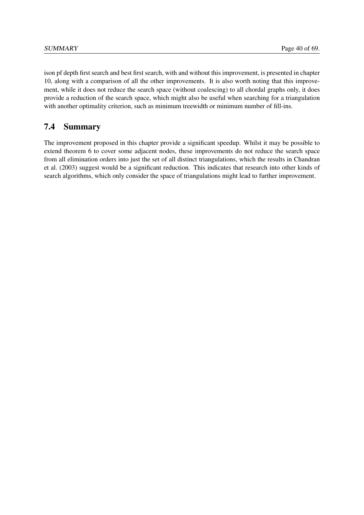ison pf depth first search and best first search, with and without this improvement, is presented in chapter [10,](#page-61-0) along with a comparison of all the other improvements. It is also worth noting that this improvement, while it does not reduce the search space (without coalescing) to all chordal graphs only, it does provide a reduction of the search space, which might also be useful when searching for a triangulation with another optimality criterion, such as minimum treewidth or minimum number of fill-ins.

# 7.4 Summary

The improvement proposed in this chapter provide a significant speedup. Whilst it may be possible to extend theorem [6](#page-47-3) to cover some adjacent nodes, these improvements do not reduce the search space from all elimination orders into just the set of all distinct triangulations, which the results in [Chandran](#page-79-3) [et al.](#page-79-3) [\(2003\)](#page-79-3) suggest would be a significant reduction. This indicates that research into other kinds of search algorithms, which only consider the space of triangulations might lead to further improvement.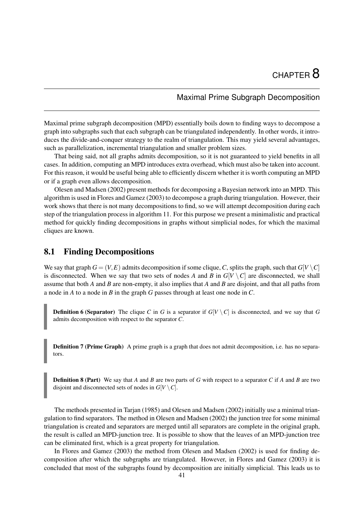# Maximal Prime Subgraph Decomposition

<span id="page-51-2"></span>Maximal prime subgraph decomposition (MPD) essentially boils down to finding ways to decompose a graph into subgraphs such that each subgraph can be triangulated independently. In other words, it introduces the divide-and-conquer strategy to the realm of triangulation. This may yield several advantages, such as parallelization, incremental triangulation and smaller problem sizes.

That being said, not all graphs admits decomposition, so it is not guaranteed to yield benefits in all cases. In addition, computing an MPD introduces extra overhead, which must also be taken into account. For this reason, it would be useful being able to efficiently discern whether it is worth computing an MPD or if a graph even allows decomposition.

[Olesen and Madsen](#page-79-4) [\(2002\)](#page-79-4) present methods for decomposing a Bayesian network into an MPD. This algorithm is used in [Flores and Gamez](#page-79-5) [\(2003\)](#page-79-5) to decompose a graph during triangulation. However, their work shows that there is not many decompositions to find, so we will attempt decomposition during each step of the triangulation process in algorithm [11.](#page-37-0) For this purpose we present a minimalistic and practical method for quickly finding decompositions in graphs without simplicial nodes, for which the maximal cliques are known.

# 8.1 Finding Decompositions

We say that graph  $G = (V, E)$  admits decomposition if some clique, C, splits the graph, such that  $G[V \setminus C]$ is disconnected. When we say that two sets of nodes *A* and *B* in  $G[V \setminus C]$  are disconnected, we shall assume that both *A* and *B* are non-empty, it also implies that *A* and *B* are disjoint, and that all paths from a node in *A* to a node in *B* in the graph *G* passes through at least one node in *C*.

<span id="page-51-0"></span>**Definition 6 (Separator)** The clique *C* in *G* is a separator if  $G[V \setminus C]$  is disconnected, and we say that *G* admits decomposition with respect to the separator *C*.

**Definition 7 (Prime Graph)** A prime graph is a graph that does not admit decomposition, i.e. has no separators.

<span id="page-51-1"></span>Definition 8 (Part) We say that *A* and *B* are two parts of *G* with respect to a separator *C* if *A* and *B* are two disjoint and disconnected sets of nodes in  $G[V \setminus C]$ .

The methods presented in [Tarjan](#page-79-6) [\(1985\)](#page-79-6) and [Olesen and Madsen](#page-79-4) [\(2002\)](#page-79-4) initially use a minimal triangulation to find separators. The method in [Olesen and Madsen](#page-79-4) [\(2002\)](#page-79-4) the junction tree for some minimal triangulation is created and separators are merged until all separators are complete in the original graph, the result is called an MPD-junction tree. It is possible to show that the leaves of an MPD-junction tree can be eliminated first, which is a great property for triangulation.

In [Flores and Gamez](#page-79-5) [\(2003\)](#page-79-5) the method from [Olesen and Madsen](#page-79-4) [\(2002\)](#page-79-4) is used for finding decomposition after which the subgraphs are triangulated. However, in [Flores and Gamez](#page-79-5) [\(2003\)](#page-79-5) it is concluded that most of the subgraphs found by decomposition are initially simplicial. This leads us to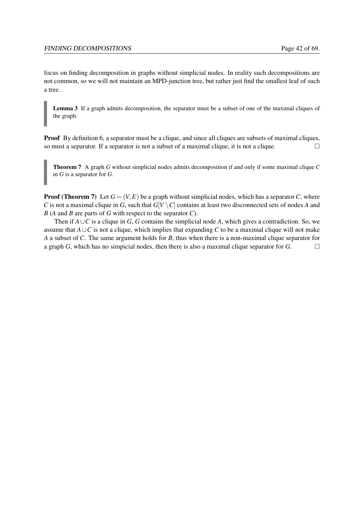focus on finding decomposition in graphs without simplicial nodes. In reality such decompositions are not common, so we will not maintain an MPD-junction tree, but rather just find the smallest leaf of such a tree.

Lemma 3 If a graph admits decomposition, the separator must be a subset of one of the maximal cliques of the graph.

**Proof** By definition [6,](#page-51-0) a separator must be a clique, and since all cliques are subsets of maximal cliques, so must a separator. If a separator is not a subset of a maximal clique, it is not a clique.  $\Box$ 

<span id="page-52-0"></span>Theorem 7 A graph *G* without simplicial nodes admits decomposition if and only if some maximal clique *C* in *G* is a separator for *G*.

**Proof (Theorem [7\)](#page-52-0)** Let  $G = (V, E)$  be a graph without simplicial nodes, which has a separator *C*, where *C* is not a maximal clique in *G*, such that  $G[V \setminus C]$  contains at least two disconnected sets of nodes *A* and *B* (*A* and *B* are parts of *G* with respect to the separator *C*).

Then if  $A\cup C$  is a clique in *G*, *G* contains the simplicial node *A*, which gives a contradiction. So, we assume that  $A \cup C$  is not a clique, which implies that expanding  $C$  to be a maximal clique will not make *A* a subset of *C*. The same argument holds for *B*, thus when there is a non-maximal clique separator for a graph *G*, which has no simpicial nodes, then there is also a maximal clique separator for *G*.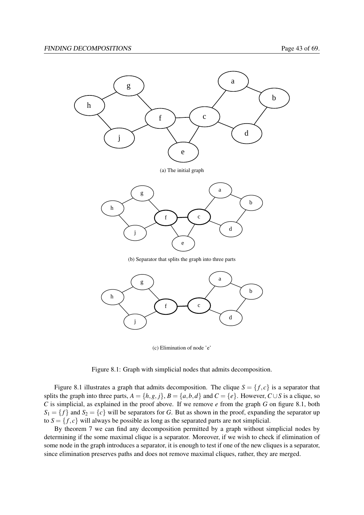

(b) Separator that splits the graph into three parts



(c) Elimination of node 'e'

<span id="page-53-0"></span>Figure 8.1: Graph with simplicial nodes that admits decomposition.

Figure [8.1](#page-53-0) illustrates a graph that admits decomposition. The clique  $S = \{f, c\}$  is a separator that splits the graph into three parts,  $A = \{h, g, j\}$ ,  $B = \{a, b, d\}$  and  $C = \{e\}$ . However,  $C \cup S$  is a clique, so *C* is simplicial, as explained in the proof above. If we remove *e* from the graph *G* on figure [8.1,](#page-53-0) both  $S_1 = \{f\}$  and  $S_2 = \{c\}$  will be separators for *G*. But as shown in the proof, expanding the separator up to  $S = \{f, c\}$  will always be possible as long as the separated parts are not simplicial.

By theorem [7](#page-52-0) we can find any decomposition permitted by a graph without simplicial nodes by determining if the some maximal clique is a separator. Moreover, if we wish to check if elimination of some node in the graph introduces a separator, it is enough to test if one of the new cliques is a separator, since elimination preserves paths and does not remove maximal cliques, rather, they are merged.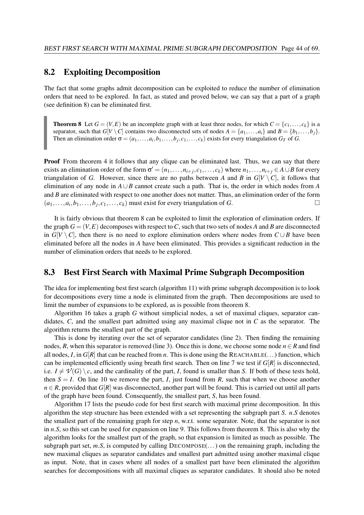## 8.2 Exploiting Decomposition

The fact that some graphs admit decomposition can be exploited to reduce the number of elimination orders that need to be explored. In fact, as stated and proved below, we can say that a part of a graph (see definition [8\)](#page-51-1) can be eliminated first.

<span id="page-54-0"></span>**Theorem 8** Let  $G = (V, E)$  be an incomplete graph with at least three nodes, for which  $C = \{c_1, \ldots, c_k\}$  is a separator, such that  $G[V \setminus C]$  contains two disconnected sets of nodes  $A = \{a_1, \ldots, a_i\}$  and  $B = \{b_1, \ldots, b_i\}$ . Then an elimination order  $\sigma = (a_1, \ldots, a_i, b_1, \ldots, b_j, c_1, \ldots, c_k)$  exists for every triangulation  $G_T$  of  $G$ .

Proof From theorem [4](#page-39-1) it follows that any clique can be eliminated last. Thus, we can say that there exists an elimination order of the form  $\sigma' = (n_1, \ldots, n_{i+j}, c_1, \ldots, c_k)$  where  $n_1, \ldots, n_{i+j} \in A \cup B$  for every triangulation of *G*. However, since there are no paths between *A* and *B* in  $G[V \setminus C]$ , it follows that elimination of any node in *A*∪*B* cannot create such a path. That is, the order in which nodes from *A* and *B* are eliminated with respect to one another does not matter. Thus, an elimination order of the form  $(a_1, \ldots, a_i, b_1, \ldots, b_j, c_1, \ldots, c_k)$  must exist for every triangulation of *G*.

It is fairly obvious that theorem [8](#page-54-0) can be exploited to limit the exploration of elimination orders. If the graph  $G = (V, E)$  decomposes with respect to C, such that two sets of nodes A and B are disconnected in  $G[V \setminus C]$ , then there is no need to explore elimination orders where nodes from  $C \cup B$  have been eliminated before all the nodes in *A* have been eliminated. This provides a significant reduction in the number of elimination orders that needs to be explored.

## 8.3 Best First Search with Maximal Prime Subgraph Decomposition

The idea for implementing best first search (algorithm [11\)](#page-37-0) with prime subgraph decomposition is to look for decompositions every time a node is eliminated from the graph. Then decompositions are used to limit the number of expansions to be explored, as is possible from theorem [8.](#page-54-0)

Algorithm [16](#page-55-0) takes a graph *G* without simplicial nodes, a set of maximal cliques, separator candidates, *C*, and the smallest part admitted using any maximal clique not in *C* as the separator. The algorithm returns the smallest part of the graph.

This is done by iterating over the set of separator candidates (line [2\)](#page-55-0). Then finding the remaining nodes, *R*, when this separator is removed (line [3\)](#page-55-0). Once this is done, we choose some node  $n \in R$  and find all nodes, *I*, in  $G[R]$  that can be reached from *n*. This is done using the REACHABLE(...) function, which can be implemented efficiently using breath first search. Then on line [7](#page-55-0) we test if  $G[R]$  is disconnected, i.e.  $I \neq \mathcal{V}(G) \setminus c$ , and the cardinality of the part, *I*, found is smaller than *S*. If both of these tests hold, then  $S = I$ . On line [10](#page-55-0) we remove the part, *I*, just found from *R*, such that when we choose another  $n \in R$ , provided that  $G[R]$  was disconnected, another part will be found. This is carried out until all parts of the graph have been found. Consequently, the smallest part, *S*, has been found.

Algorithm [17](#page-55-1) lists the pseudo code for best first search with maximal prime decomposition. In this algorithm the step structure has been extended with a set representing the subgraph part *S*. *n*.*S* denotes the smallest part of the remaining graph for step *n*, w.r.t. some separator. Note, that the separator is not in *n*.*S*, so this set can be used for expansion on line [9.](#page-55-1) This follows from theorem [8.](#page-54-0) This is also why the algorithm looks for the smallest part of the graph, so that expansion is limited as much as possible. The subgraph part set,  $m.S$ , is computed by calling DECOMPOSE $(\ldots)$  on the remaining graph, including the new maximal cliques as separator candidates and smallest part admitted using another maximal clique as input. Note, that in cases where all nodes of a smallest part have been eliminated the algorithm searches for decompositions with all maximal cliques as separator candidates. It should also be noted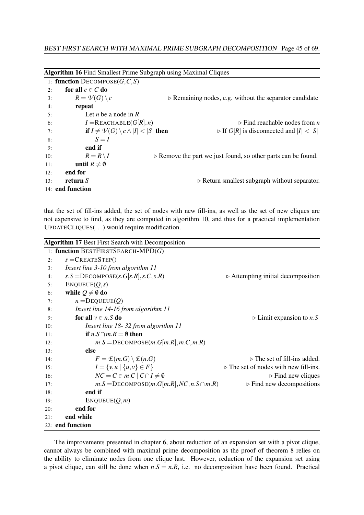<span id="page-55-0"></span>

|     | 1: function $DECOMPOSE(G, C, S)$                             |                                                                              |
|-----|--------------------------------------------------------------|------------------------------------------------------------------------------|
| 2:  | for all $c \in C$ do                                         |                                                                              |
| 3:  | $R = \mathcal{V}(G) \setminus c$                             | $\triangleright$ Remaining nodes, e.g. without the separator candidate       |
| 4:  | repeat                                                       |                                                                              |
| 5:  | Let <i>n</i> be a node in $R$                                |                                                                              |
| 6:  | $I = REACHABLE(G[R], n)$                                     | $\triangleright$ Find reachable nodes from <i>n</i>                          |
| 7:  | if $I \neq \mathcal{V}(G) \setminus c \wedge  I  <  S $ then | $\triangleright$ If $G[R]$ is disconnected and $ I  <  S $                   |
| 8:  | $S = I$                                                      |                                                                              |
| 9:  | end if                                                       |                                                                              |
| 10: | $R = R \setminus I$                                          | $\triangleright$ Remove the part we just found, so other parts can be found. |
| 11: | until $R\neq\emptyset$                                       |                                                                              |
| 12: | end for                                                      |                                                                              |
| 13: | return $S$                                                   | $\triangleright$ Return smallest subgraph without separator.                 |
|     | 14: <b>end function</b>                                      |                                                                              |

that the set of fill-ins added, the set of nodes with new fill-ins, as well as the set of new cliques are not expensive to find, as they are computed in algorithm [10,](#page-34-0) and thus for a practical implementation UPDATECLIQUES(...) would require modification.

<span id="page-55-1"></span>

|     | <b>Algorithm 17 Best First Search with Decomposition</b> |                                                         |
|-----|----------------------------------------------------------|---------------------------------------------------------|
|     | 1: function BESTFIRSTSEARCH-MPD $(G)$                    |                                                         |
| 2:  | $s =$ CREATESTEP()                                       |                                                         |
| 3:  | Insert line 3-10 from algorithm 11                       |                                                         |
| 4:  | $s.S =$ DECOMPOSE $(s.G[s.R], s.C, s.R)$                 | $\triangleright$ Attempting initial decomposition       |
| 5:  | ENQUEUE(Q,s)                                             |                                                         |
| 6:  | while $Q \neq \emptyset$ do                              |                                                         |
| 7:  | $n =$ DEQUEUE $(Q)$                                      |                                                         |
| 8:  | Insert line 14-16 from algorithm 11                      |                                                         |
| 9:  | for all $v \in n.S$ do                                   | $\triangleright$ Limit expansion to <i>n</i> . <i>S</i> |
| 10: | Insert line 18-32 from algorithm 11                      |                                                         |
| 11: | if $n.S \cap m.R = \emptyset$ then                       |                                                         |
| 12: | $m.S =$ DECOMPOSE $(m.G[m.R], m.C, m.R)$                 |                                                         |
| 13: | else                                                     |                                                         |
| 14: | $F = \mathcal{E}(m.G) \setminus \mathcal{E}(n.G)$        | $\triangleright$ The set of fill-ins added.             |
| 15: | $I = \{v, u \mid \{u, v\} \in F\}$                       | $\triangleright$ The set of nodes with new fill-ins.    |
| 16: | $NC = C \in m.C \mid C \cap I \neq \emptyset$            | $\triangleright$ Find new cliques                       |
| 17: | $m.S =$ DECOMPOSE $(m.G[m.R], NC, n.S \cap m.R)$         | $\triangleright$ Find new decompositions                |
| 18: | end if                                                   |                                                         |
| 19: | ENQUEUE(Q,m)                                             |                                                         |
| 20: | end for                                                  |                                                         |
| 21: | end while                                                |                                                         |
|     | 22: end function                                         |                                                         |

The improvements presented in chapter [6,](#page-39-2) about reduction of an expansion set with a pivot clique, cannot always be combined with maximal prime decomposition as the proof of theorem [8](#page-54-0) relies on the ability to eliminate nodes from one clique last. However, reduction of the expansion set using a pivot clique, can still be done when  $n.S = n.R$ , i.e. no decomposition have been found. Practical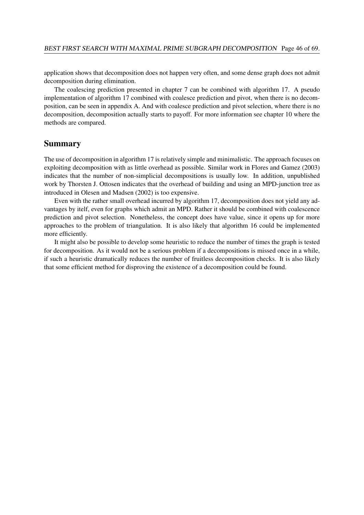application shows that decomposition does not happen very often, and some dense graph does not admit decomposition during elimination.

The coalescing prediction presented in chapter [7](#page-46-2) can be combined with algorithm [17.](#page-55-1) A pseudo implementation of algorithm [17](#page-55-1) combined with coalesce prediction and pivot, when there is no decomposition, can be seen in appendix [A.](#page-69-0) And with coalesce prediction and pivot selection, where there is no decomposition, decomposition actually starts to payoff. For more information see chapter [10](#page-61-0) where the methods are compared.

## Summary

The use of decomposition in algorithm [17](#page-55-1) is relatively simple and minimalistic. The approach focuses on exploiting decomposition with as little overhead as possible. Similar work in [Flores and Gamez](#page-79-5) [\(2003\)](#page-79-5) indicates that the number of non-simplicial decompositions is usually low. In addition, unpublished work by Thorsten J. Ottosen indicates that the overhead of building and using an MPD-junction tree as introduced in [Olesen and Madsen](#page-79-4) [\(2002\)](#page-79-4) is too expensive.

Even with the rather small overhead incurred by algorithm [17,](#page-55-1) decomposition does not yield any advantages by itelf, even for graphs which admit an MPD. Rather it should be combined with coalescence prediction and pivot selection. Nonetheless, the concept does have value, since it opens up for more approaches to the problem of triangulation. It is also likely that algorithm [16](#page-55-0) could be implemented more efficiently.

It might also be possible to develop some heuristic to reduce the number of times the graph is tested for decomposition. As it would not be a serious problem if a decompositions is missed once in a while, if such a heuristic dramatically reduces the number of fruitless decomposition checks. It is also likely that some efficient method for disproving the existence of a decomposition could be found.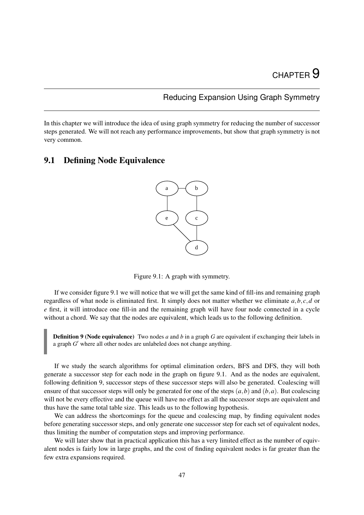# Reducing Expansion Using Graph Symmetry

In this chapter we will introduce the idea of using graph symmetry for reducing the number of successor steps generated. We will not reach any performance improvements, but show that graph symmetry is not very common.

# 9.1 Defining Node Equivalence



<span id="page-57-0"></span>Figure 9.1: A graph with symmetry.

If we consider figure [9.1](#page-57-0) we will notice that we will get the same kind of fill-ins and remaining graph regardless of what node is eliminated first. It simply does not matter whether we eliminate *a*,*b*, *c*,*d* or *e* first, it will introduce one fill-in and the remaining graph will have four node connected in a cycle without a chord. We say that the nodes are equivalent, which leads us to the following definition.

<span id="page-57-1"></span>Definition 9 (Node equivalence) Two nodes *a* and *b* in a graph *G* are equivalent if exchanging their labels in a graph  $G'$  where all other nodes are unlabeled does not change anything.

If we study the search algorithms for optimal elimination orders, BFS and DFS, they will both generate a successor step for each node in the graph on figure [9.1.](#page-57-0) And as the nodes are equivalent, following definition [9,](#page-57-1) successor steps of these successor steps will also be generated. Coalescing will ensure of that successor steps will only be generated for one of the steps  $(a, b)$  and  $(b, a)$ . But coalescing will not be every effective and the queue will have no effect as all the successor steps are equivalent and thus have the same total table size. This leads us to the following hypothesis.

We can address the shortcomings for the queue and coalescing map, by finding equivalent nodes before generating successor steps, and only generate one successor step for each set of equivalent nodes, thus limiting the number of computation steps and improving performance.

We will later show that in practical application this has a very limited effect as the number of equivalent nodes is fairly low in large graphs, and the cost of finding equivalent nodes is far greater than the few extra expansions required.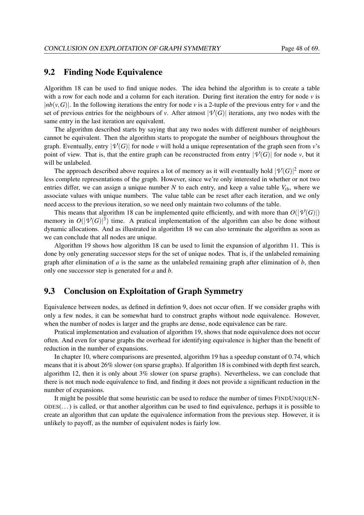# 9.2 Finding Node Equivalence

Algorithm [18](#page-59-0) can be used to find unique nodes. The idea behind the algorithm is to create a table with a row for each node and a column for each iteration. During first iteration the entry for node *v* is | $nb(v, G)$ |. In the following iterations the entry for node *v* is a 2-tuple of the previous entry for *v* and the set of previous entries for the neighbours of *v*. After atmost  $|\mathcal{V}(G)|$  iterations, any two nodes with the same entry in the last iteration are equivalent.

The algorithm described starts by saying that any two nodes with different number of neighbours cannot be equivalent. Then the algorithm starts to propogate the number of neighbours throughout the graph. Eventually, entry  $|\mathcal{V}(G)|$  for node *v* will hold a unique representation of the graph seen from *v*'s point of view. That is, that the entire graph can be reconstructed from entry  $|\mathcal{V}(G)|$  for node *v*, but it will be unlabeled.

The approach described above requires a lot of memory as it will eventually hold  $|\mathcal{V}(G)|^2$  more or less complete representations of the graph. However, since we're only interested in whether or not two entries differ, we can assign a unique number *N* to each entry, and keep a value table  $V_{tb}$ , where we associate values with unique numbers. The value table can be reset after each iteration, and we only need access to the previous iteration, so we need only maintain two columns of the table.

This means that algorithm [18](#page-59-0) can be implemented quite efficiently, and with more than  $O(|\mathcal{V}(G)|)$ memory in  $O(|\mathcal{V}(G)|^3)$  time. A pratical implementation of the algorithm can also be done without dynamic allocations. And as illustrated in algorithm [18](#page-59-0) we can also terminate the algorithm as soon as we can conclude that all nodes are unique.

Algorithm [19](#page-60-0) shows how algorithm [18](#page-59-0) can be used to limit the expansion of algorithm [11.](#page-37-0) This is done by only generating successor steps for the set of unique nodes. That is, if the unlabeled remaining graph after elimination of  $a$  is the same as the unlabeled remaining graph after elimination of  $b$ , then only one successor step is generated for *a* and *b*.

# 9.3 Conclusion on Exploitation of Graph Symmetry

Equivalence between nodes, as defined in defintion [9,](#page-57-1) does not occur often. If we consider graphs with only a few nodes, it can be somewhat hard to construct graphs without node equivalence. However, when the number of nodes is larger and the graphs are dense, node equivalence can be rare.

Pratical implementation and evaluation of algorithm [19,](#page-60-0) shows that node equivalence does not occur often. And even for sparse graphs the overhead for identifying equivalence is higher than the benefit of reduction in the number of expansions.

In chapter [10,](#page-61-0) where comparisons are presented, algorithm [19](#page-60-0) has a speedup constant of 0.74, which means that it is about 26% slower (on sparse graphs). If algorithm [18](#page-59-0) is combined with depth first search, algorithm [12,](#page-38-0) then it is only about 3% slower (on sparse graphs). Nevertheless, we can conclude that there is not much node equivalence to find, and finding it does not provide a significant reduction in the number of expansions.

It might be possible that some heuristic can be used to reduce the number of times FINDUNIQUEN- $ODEs(...)$  is called, or that another algorithm can be used to find equivalence, perhaps it is possible to create an algorithm that can update the equivalence information from the previous step. However, it is unlikely to payoff, as the number of equivalent nodes is fairly low.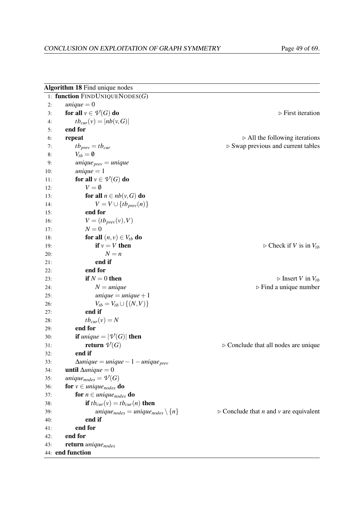<span id="page-59-0"></span>

|     | Algorithm 18 Find unique nodes                                      |                                                                     |
|-----|---------------------------------------------------------------------|---------------------------------------------------------------------|
|     | 1: function $FINDUNIQUENODES(G)$                                    |                                                                     |
| 2:  | unique $= 0$                                                        |                                                                     |
| 3:  | for all $v \in V(G)$ do                                             | $\triangleright$ First iteration                                    |
| 4:  | $tb_{cur}(v) =  nb(v, G) $                                          |                                                                     |
| 5:  | end for                                                             |                                                                     |
| 6:  | repeat                                                              | $\triangleright$ All the following iterations                       |
| 7:  | $tb_{prev} = tb_{cur}$                                              | $\triangleright$ Swap previous and current tables                   |
| 8:  | $V_{tb} = \emptyset$                                                |                                                                     |
| 9:  | <i>unique</i> <sub>prev</sub> = <i>unique</i>                       |                                                                     |
| 10: | <i>unique</i> $= 1$                                                 |                                                                     |
| 11: | for all $v \in V(G)$ do                                             |                                                                     |
| 12: | $V = \emptyset$                                                     |                                                                     |
| 13: | for all $n \in nb(v, G)$ do                                         |                                                                     |
| 14: | $V = V \cup \{tb_{prev}(n)\}\$                                      |                                                                     |
| 15: | end for                                                             |                                                                     |
| 16: | $V = (tb_{prev}(v), V)$                                             |                                                                     |
| 17: | $N=0$                                                               |                                                                     |
| 18: | for all $(n, v) \in V_{tb}$ do                                      |                                                                     |
| 19: | if $v = V$ then                                                     | $\triangleright$ Check if V is in $V_{tb}$                          |
| 20: | $N = n$                                                             |                                                                     |
| 21: | end if                                                              |                                                                     |
| 22: | end for                                                             |                                                                     |
| 23: | if $N = 0$ then                                                     | $\triangleright$ Insert V in $V_{tb}$                               |
| 24: | $N = unique$                                                        | $\triangleright$ Find a unique number                               |
| 25: | unique $=$ unique $+1$                                              |                                                                     |
| 26: | $V_{tb} = V_{tb} \cup \{(N,V)\}\$                                   |                                                                     |
| 27: | end if                                                              |                                                                     |
| 28: | $tb_{cur}(v) = N$                                                   |                                                                     |
| 29: | end for                                                             |                                                                     |
| 30: | <b>if</b> unique = $ \mathcal{V}(G) $ then                          |                                                                     |
| 31: | return $V(G)$                                                       | $\triangleright$ Conclude that all nodes are unique                 |
| 32: | end if                                                              |                                                                     |
| 33: | $\Delta unique = unique - 1 - unique_{prev}$                        |                                                                     |
| 34: | <b>until</b> $\Delta unique = 0$                                    |                                                                     |
| 35: | unique <sub>nodes</sub> = $V(G)$                                    |                                                                     |
| 36: | <b>for</b> $v \in unique_{nodes}$ <b>do</b>                         |                                                                     |
| 37: | for $n \in unique_{nodes}$ do                                       |                                                                     |
| 38: | if $tb_{cur}(v) = tb_{cur}(n)$ then                                 |                                                                     |
| 39: | unique <sub>nodes</sub> = unique <sub>nodes</sub> $\setminus \{n\}$ | $\triangleright$ Conclude that <i>n</i> and <i>v</i> are equivalent |
| 40: | end if                                                              |                                                                     |
| 41: | end for                                                             |                                                                     |
| 42: | end for                                                             |                                                                     |
| 43: | return uniquenodes                                                  |                                                                     |
|     | 44: end function                                                    |                                                                     |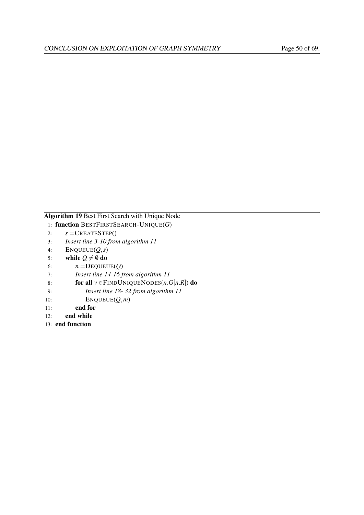# <span id="page-60-0"></span>Algorithm 19 Best First Search with Unique Node

1: function BESTFIRSTSEARCH-UNIQUE(*G*)

- 2:  $s = \text{CREATESTEP}()$
- 3: *Insert line [3-10](#page-37-0) from algorithm [11](#page-37-0)*
- 4: ENQUEUE(*Q*,*s*)
- 5: while  $Q \neq \emptyset$  do
- 6:  $n = \text{DEQUEUE}(Q)$
- 7: *Insert line [14-16](#page-37-0) from algorithm [11](#page-37-0)*
- 8: **for all**  $v \in$  FINDUNIQUENODES(*n*.*G*[*n*.*R*]) do
- 9: *Insert line [18-](#page-37-0) [32](#page-37-0) from algorithm [11](#page-37-0)*
- 10: ENQUEUE(*Q*,*m*)
- 11: end for
- 12: end while
- 13: end function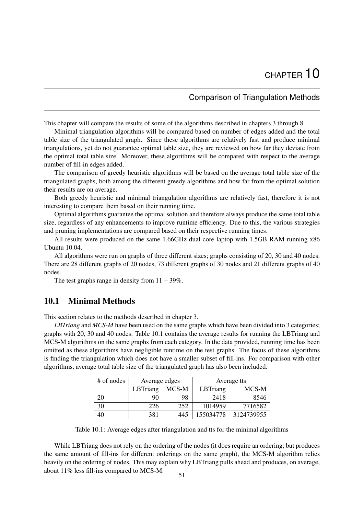# Comparison of Triangulation Methods

<span id="page-61-0"></span>This chapter will compare the results of some of the algorithms described in chapters [3](#page-22-0) through [8.](#page-51-2)

Minimal triangulation algorithms will be compared based on number of edges added and the total table size of the triangulated graph. Since these algorithms are relatively fast and produce minimal triangulations, yet do not guarantee optimal table size, they are reviewed on how far they deviate from the optimal total table size. Moreover, these algorithms will be compared with respect to the average number of fill-in edges added.

The comparison of greedy heuristic algorithms will be based on the average total table size of the triangulated graphs, both among the different greedy algorithms and how far from the optimal solution their results are on average.

Both greedy heuristic and minimal triangulation algorithms are relatively fast, therefore it is not interesting to compare them based on their running time.

Optimal algorithms guarantee the optimal solution and therefore always produce the same total table size, regardless of any enhancements to improve runtime efficiency. Due to this, the various strategies and pruning implementations are compared based on their respective running times.

All results were produced on the same 1.66GHz dual core laptop with 1.5GB RAM running x86 Ubuntu 10.04.

All algorithms were run on graphs of three different sizes; graphs consisting of 20, 30 and 40 nodes. There are 28 different graphs of 20 nodes, 73 different graphs of 30 nodes and 21 different graphs of 40 nodes.

The test graphs range in density from  $11-39\%$ .

# 10.1 Minimal Methods

This section relates to the methods described in chapter [3.](#page-22-0)

*LBTriang* and *MCS-M* have been used on the same graphs which have been divided into 3 categories; graphs with 20, 30 and 40 nodes. Table [10.1](#page-61-1) contains the average results for running the LBTriang and MCS-M algorithms on the same graphs from each category. In the data provided, running time has been omitted as these algorithms have negligible runtime on the test graphs. The focus of these algorithms is finding the triangulation which does not have a smaller subset of fill-ins. For comparison with other algorithms, average total table size of the triangulated graph has also been included.

| # of nodes | Average edges |       |           | Average tts |
|------------|---------------|-------|-----------|-------------|
|            | LBTriang      | MCS-M | LBTriang  | MCS-M       |
| 20         | 90            | 98    | 2418      | 8546        |
| 30         | 226           | 252   | 1014959   | 7716582     |
| 40         | 381           | 445   | 155034778 | 3124739955  |

<span id="page-61-1"></span>Table 10.1: Average edges after triangulation and tts for the minimal algorithms

While LBT riang does not rely on the ordering of the nodes (it does require an ordering; but produces the same amount of fill-ins for different orderings on the same graph), the MCS-M algorithm relies heavily on the ordering of nodes. This may explain why LBTriang pulls ahead and produces, on average, about 11% less fill-ins compared to MCS-M.  $51$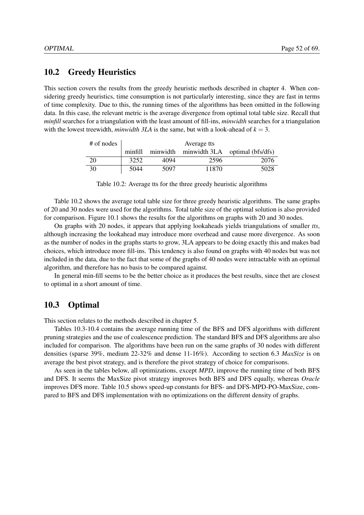## 10.2 Greedy Heuristics

This section covers the results from the greedy heuristic methods described in chapter [4.](#page-28-0) When considering greedy heuristics, time consumption is not particularly interesting, since they are fast in terms of time complexity. Due to this, the running times of the algorithms has been omitted in the following data. In this case, the relevant metric is the average divergence from optimal total table size. Recall that *minfill* searches for a triangulation with the least amount of fill-ins, *minwidth* searches for a triangulation with the lowest treewidth, *minwidth*  $3LA$  is the same, but with a look-ahead of  $k = 3$ .

| # of nodes | Average tts |      |       |                                                 |  |  |  |
|------------|-------------|------|-------|-------------------------------------------------|--|--|--|
|            |             |      |       | minfill minwidth minwidth 3LA optimal (bfs/dfs) |  |  |  |
| 20         | 3252        | 4094 | 2596  | 2076                                            |  |  |  |
| 30         | 5044        | 5097 | 11870 | 5028                                            |  |  |  |

<span id="page-62-0"></span>Table 10.2: Average tts for the three greedy heuristic algorithms

Table [10.2](#page-62-0) shows the average total table size for three greedy heuristic algorithms. The same graphs of 20 and 30 nodes were used for the algorithms. Total table size of the optimal solution is also provided for comparison. Figure [10.1](#page-64-0) shows the results for the algorithms on graphs with 20 and 30 nodes.

On graphs with 20 nodes, it appears that applying lookaheads yields triangulations of smaller *tts*, although increasing the lookahead may introduce more overhead and cause more divergence. As soon as the number of nodes in the graphs starts to grow, 3LA appears to be doing exactly this and makes bad choices, which introduce more fill-ins. This tendency is also found on graphs with 40 nodes but was not included in the data, due to the fact that some of the graphs of 40 nodes were intractable with an optimal algorithm, and therefore has no basis to be compared against.

In general min-fill seems to be the better choice as it produces the best results, since thet are closest to optimal in a short amount of time.

# 10.3 Optimal

This section relates to the methods described in chapter [5.](#page-31-0)

Tables [10.3-](#page-63-0)[10.4](#page-63-1) contains the average running time of the BFS and DFS algorithms with different pruning strategies and the use of coalescence prediction. The standard BFS and DFS algorithms are also included for comparison. The algorithms have been run on the same graphs of 30 nodes with different densities (sparse 39%, medium 22-32% and dense 11-16%). According to section [6.3](#page-43-0) *MaxSize* is on average the best pivot strategy, and is therefore the pivot strategy of choice for comparisons.

As seen in the tables below, all optimizations, except *MPD*, improve the running time of both BFS and DFS. It seems the MaxSize pivot strategy improves both BFS and DFS equally, whereas *Oracle* improves DFS more. Table [10.5](#page-63-2) shows speed-up constants for BFS- and DFS-MPD-PO-MaxSize, compared to BFS and DFS implementation with no optimizations on the different density of graphs.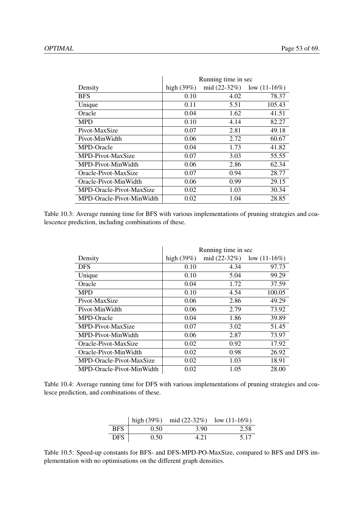|                           | Running time in sec |                |                 |  |
|---------------------------|---------------------|----------------|-----------------|--|
| Density                   | high $(39%)$        | mid $(22-32%)$ | low $(11-16\%)$ |  |
| <b>BFS</b>                | 0.10                | 4.02           | 78.37           |  |
| Unique                    | 0.11                | 5.51           | 105.43          |  |
| Oracle                    | 0.04                | 1.62           | 41.51           |  |
| <b>MPD</b>                | 0.10                | 4.14           | 82.27           |  |
| Pivot-MaxSize             | 0.07                | 2.81           | 49.18           |  |
| Pivot-MinWidth            | 0.06                | 2.72           | 60.67           |  |
| MPD-Oracle                | 0.04                | 1.73           | 41.82           |  |
| MPD-Pivot-MaxSize         | 0.07                | 3.03           | 55.55           |  |
| MPD-Pivot-MinWidth        | 0.06                | 2.86           | 62.34           |  |
| Oracle-Pivot-MaxSize      | 0.07                | 0.94           | 28.77           |  |
| Oracle-Pivot-MinWidth     | 0.06                | 0.99           | 29.15           |  |
| MPD-Oracle-Pivot-MaxSize  | 0.02                | 1.03           | 30.34           |  |
| MPD-Oracle-Pivot-MinWidth | 0.02                | 1.04           | 28.85           |  |

<span id="page-63-0"></span>Table 10.3: Average running time for BFS with various implementations of pruning strategies and coalescence prediction, including combinations of these.

|                           | Running time in sec |                |                 |  |
|---------------------------|---------------------|----------------|-----------------|--|
| Density                   | high $(39%)$        | mid $(22-32%)$ | low $(11-16\%)$ |  |
| <b>DFS</b>                | 0.10                | 4.34           | 97.73           |  |
| Unique                    | 0.10                | 5.04           | 99.29           |  |
| Oracle                    | 0.04                | 1.72           | 37.59           |  |
| <b>MPD</b>                | 0.10                | 4.54           | 100.05          |  |
| Pivot-MaxSize             | 0.06                | 2.86           | 49.29           |  |
| Pivot-MinWidth            | 0.06                | 2.79           | 73.92           |  |
| MPD-Oracle                | 0.04                | 1.86           | 39.89           |  |
| MPD-Pivot-MaxSize         | 0.07                | 3.02           | 51.45           |  |
| MPD-Pivot-MinWidth        | 0.06                | 2.87           | 73.97           |  |
| Oracle-Pivot-MaxSize      | 0.02                | 0.92           | 17.92           |  |
| Oracle-Pivot-MinWidth     | 0.02                | 0.98           | 26.92           |  |
| MPD-Oracle-Pivot-MaxSize  | 0.02                | 1.03           | 18.91           |  |
| MPD-Oracle-Pivot-MinWidth | 0.02                | 1.05           | 28.00           |  |

<span id="page-63-1"></span>Table 10.4: Average running time for DFS with various implementations of pruning strategies and coalesce prediction, and combinations of these.

|            |      | high $(39\%)$ mid $(22-32\%)$ low $(11-16\%)$ |      |
|------------|------|-----------------------------------------------|------|
| <b>BFS</b> | 0.50 | 3.90                                          | 2.58 |
| DFS.       | 0.50 | 4.21                                          | 5.17 |

<span id="page-63-2"></span>Table 10.5: Speed-up constants for BFS- and DFS-MPD-PO-MaxSize, compared to BFS and DFS implementation with no optimisations on the different graph densities.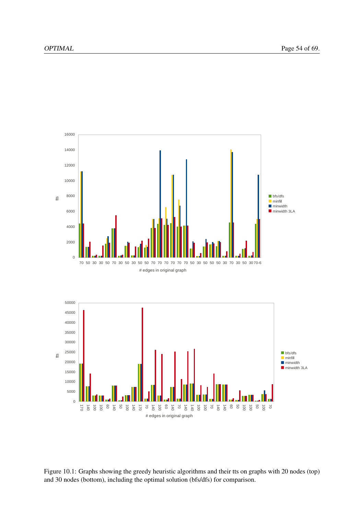

<span id="page-64-0"></span>Figure 10.1: Graphs showing the greedy heuristic algorithms and their tts on graphs with 20 nodes (top) and 30 nodes (bottom), including the optimal solution (bfs/dfs) for comparison.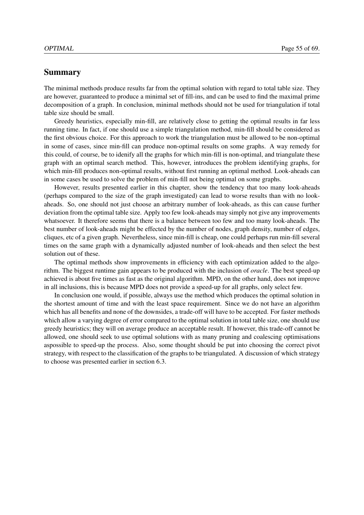## Summary

The minimal methods produce results far from the optimal solution with regard to total table size. They are however, guaranteed to produce a minimal set of fill-ins, and can be used to find the maximal prime decomposition of a graph. In conclusion, minimal methods should not be used for triangulation if total table size should be small.

Greedy heuristics, especially min-fill, are relatively close to getting the optimal results in far less running time. In fact, if one should use a simple triangulation method, min-fill should be considered as the first obvious choice. For this approach to work the triangulation must be allowed to be non-optimal in some of cases, since min-fill can produce non-optimal results on some graphs. A way remedy for this could, of course, be to idenify all the graphs for which min-fill is non-optimal, and triangulate these graph with an optimal search method. This, however, introduces the problem identifying graphs, for which min-fill produces non-optimal results, without first running an optimal method. Look-aheads can in some cases be used to solve the problem of min-fill not being optimal on some graphs.

However, results presented earlier in this chapter, show the tendency that too many look-aheads (perhaps compared to the size of the graph investigated) can lead to worse results than with no lookaheads. So, one should not just choose an arbitrary number of look-aheads, as this can cause further deviation from the optimal table size. Apply too few look-aheads may simply not give any improvements whatsoever. It therefore seems that there is a balance between too few and too many look-aheads. The best number of look-aheads might be effected by the number of nodes, graph density, number of edges, cliques, etc of a given graph. Nevertheless, since min-fill is cheap, one could perhaps run min-fill several times on the same graph with a dynamically adjusted number of look-aheads and then select the best solution out of these.

The optimal methods show improvements in efficiency with each optimization added to the algorithm. The biggest runtime gain appears to be produced with the inclusion of *oracle*. The best speed-up achieved is about five times as fast as the original algorithm. MPD, on the other hand, does not improve in all inclusions, this is because MPD does not provide a speed-up for all graphs, only select few.

In conclusion one would, if possible, always use the method which produces the optimal solution in the shortest amount of time and with the least space requirement. Since we do not have an algorithm which has all benefits and none of the downsides, a trade-off will have to be accepted. For faster methods which allow a varying degree of error compared to the optimal solution in total table size, one should use greedy heuristics; they will on average produce an acceptable result. If however, this trade-off cannot be allowed, one should seek to use optimal solutions with as many pruning and coalescing optimisations aspossible to speed-up the process. Also, some thought should be put into choosing the correct pivot strategy, with respect to the classification of the graphs to be triangulated. A discussion of which strategy to choose was presented earlier in section [6.3.](#page-43-0)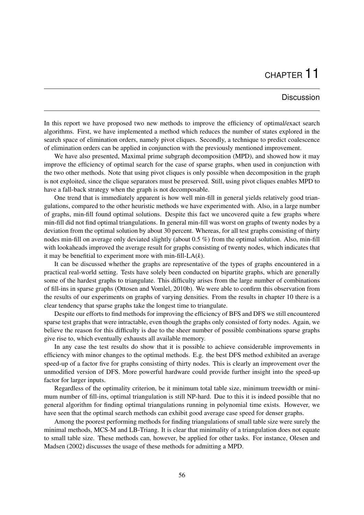# CHAPTER 11

## **Discussion**

In this report we have proposed two new methods to improve the efficiency of optimal/exact search algorithms. First, we have implemented a method which reduces the number of states explored in the search space of elimination orders, namely pivot cliques. Secondly, a technique to predict coalescence of elimination orders can be applied in conjunction with the previously mentioned improvement.

We have also presented, Maximal prime subgraph decomposition (MPD), and showed how it may improve the efficiency of optimal search for the case of sparse graphs, when used in conjunction with the two other methods. Note that using pivot cliques is only possible when decomposition in the graph is not exploited, since the clique separators must be preserved. Still, using pivot cliques enables MPD to have a fall-back strategy when the graph is not decomposable.

One trend that is immediately apparent is how well min-fill in general yields relatively good triangulations, compared to the other heuristic methods we have experimented with. Also, in a large number of graphs, min-fill found optimal solutions. Despite this fact we uncovered quite a few graphs where min-fill did not find optimal triangulations. In general min-fill was worst on graphs of twenty nodes by a deviation from the optimal solution by about 30 percent. Whereas, for all test graphs consisting of thirty nodes min-fill on average only deviated slightly (about 0.5 %) from the optimal solution. Also, min-fill with lookaheads improved the average result for graphs consisting of twenty nodes, which indicates that it may be benefitial to experiment more with min-fill-LA(*k*).

It can be discussed whether the graphs are representative of the types of graphs encountered in a practical real-world setting. Tests have solely been conducted on bipartite graphs, which are generally some of the hardest graphs to triangulate. This difficulty arises from the large number of combinations of fill-ins in sparse graphs [\(Ottosen and Vomlel,](#page-79-1) [2010b\)](#page-79-1). We were able to confirm this observation from the results of our experiments on graphs of varying densities. From the results in chapter [10](#page-61-0) there is a clear tendency that sparse graphs take the longest time to triangulate.

Despite our efforts to find methods for improving the efficiency of BFS and DFS we still encountered sparse test graphs that were intractable, even though the graphs only consisted of forty nodes. Again, we believe the reason for this difficulty is due to the sheer number of possible combinations sparse graphs give rise to, which eventually exhausts all available memory.

In any case the test results do show that it is possible to achieve considerable improvements in efficiency with minor changes to the optimal methods. E.g. the best DFS method exhibited an average speed-up of a factor five for graphs consisting of thirty nodes. This is clearly an improvement over the unmodified version of DFS. More powerful hardware could provide further insight into the speed-up factor for larger inputs.

Regardless of the optimality criterion, be it minimum total table size, minimum treewidth or minimum number of fill-ins, optimal triangulation is still NP-hard. Due to this it is indeed possible that no general algorithm for finding optimal triangulations running in polynomial time exists. However, we have seen that the optimal search methods can exhibit good average case speed for denser graphs.

Among the poorest performing methods for finding triangulations of small table size were surely the minimal methods, MCS-M and LB-Triang. It is clear that minimality of a triangulation does not equate to small table size. These methods can, however, be applied for other tasks. For instance, [Olesen and](#page-79-4) [Madsen](#page-79-4) [\(2002\)](#page-79-4) discusses the usage of these methods for admitting a MPD.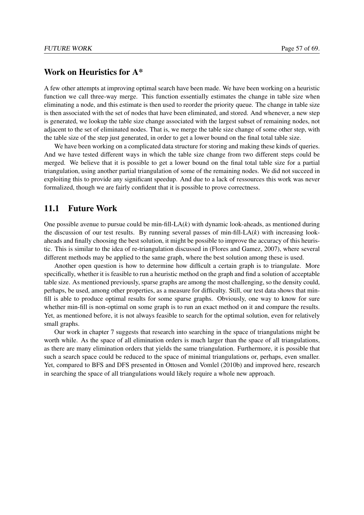# Work on Heuristics for A\*

A few other attempts at improving optimal search have been made. We have been working on a heuristic function we call three-way merge. This function essentially estimates the change in table size when eliminating a node, and this estimate is then used to reorder the priority queue. The change in table size is then associated with the set of nodes that have been eliminated, and stored. And whenever, a new step is generated, we lookup the table size change associated with the largest subset of remaining nodes, not adjacent to the set of eliminated nodes. That is, we merge the table size change of some other step, with the table size of the step just generated, in order to get a lower bound on the final total table size.

We have been working on a complicated data structure for storing and making these kinds of queries. And we have tested different ways in which the table size change from two different steps could be merged. We believe that it is possible to get a lower bound on the final total table size for a partial triangulation, using another partial triangulation of some of the remaining nodes. We did not succeed in exploiting this to provide any significant speedup. And due to a lack of ressources this work was never formalized, though we are fairly confident that it is possible to prove correctness.

# 11.1 Future Work

One possible avenue to pursue could be min-fill-LA(*k*) with dynamic look-aheads, as mentioned during the discussion of our test results. By running several passes of min-fill- $LA(k)$  with increasing lookaheads and finally choosing the best solution, it might be possible to improve the accuracy of this heuristic. This is similar to the idea of re-triangulation discussed in [\(Flores and Gamez,](#page-79-7) [2007\)](#page-79-7), where several different methods may be applied to the same graph, where the best solution among these is used.

Another open question is how to determine how difficult a certain graph is to triangulate. More specifically, whether it is feasible to run a heuristic method on the graph and find a solution of acceptable table size. As mentioned previously, sparse graphs are among the most challenging, so the density could, perhaps, be used, among other properties, as a measure for difficulty. Still, our test data shows that minfill is able to produce optimal results for some sparse graphs. Obviously, one way to know for sure whether min-fill is non-optimal on some graph is to run an exact method on it and compare the results. Yet, as mentioned before, it is not always feasible to search for the optimal solution, even for relatively small graphs.

Our work in chapter [7](#page-46-2) suggests that research into searching in the space of triangulations might be worth while. As the space of all elimination orders is much larger than the space of all triangulations, as there are many elimination orders that yields the same triangulation. Furthermore, it is possible that such a search space could be reduced to the space of minimal triangulations or, perhaps, even smaller. Yet, compared to BFS and DFS presented in [Ottosen and Vomlel](#page-79-1) [\(2010b\)](#page-79-1) and improved here, research in searching the space of all triangulations would likely require a whole new approach.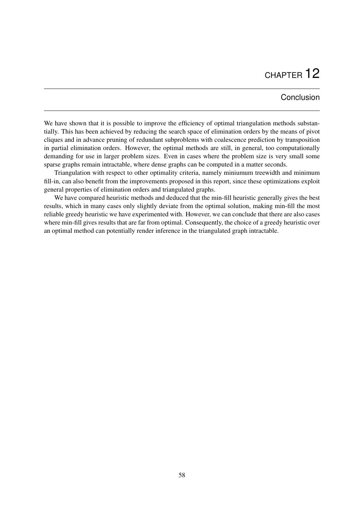# CHAPTER 12

# Conclusion

We have shown that it is possible to improve the efficiency of optimal triangulation methods substantially. This has been achieved by reducing the search space of elimination orders by the means of pivot cliques and in advance pruning of redundant subproblems with coalescence prediction by transposition in partial elimination orders. However, the optimal methods are still, in general, too computationally demanding for use in larger problem sizes. Even in cases where the problem size is very small some sparse graphs remain intractable, where dense graphs can be computed in a matter seconds.

Triangulation with respect to other optimality criteria, namely miniumum treewidth and minimum fill-in, can also benefit from the improvements proposed in this report, since these optimizations exploit general properties of elimination orders and triangulated graphs.

We have compared heuristic methods and deduced that the min-fill heuristic generally gives the best results, which in many cases only slightly deviate from the optimal solution, making min-fill the most reliable greedy heuristic we have experimented with. However, we can conclude that there are also cases where min-fill gives results that are far from optimal. Consequently, the choice of a greedy heuristic over an optimal method can potentially render inference in the triangulated graph intractable.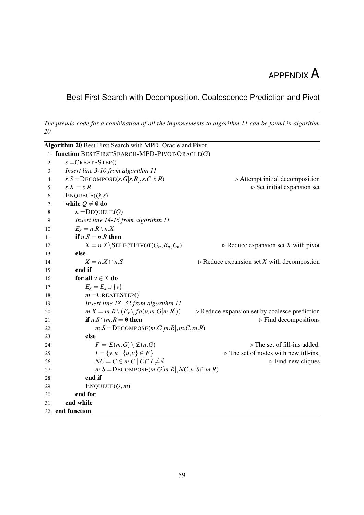# APPENDIX A

# <span id="page-69-0"></span>Best First Search with Decomposition, Coalescence Prediction and Pivot

*The pseudo code for a combination of all the improvements to algorithm [11](#page-37-0) can be found in algorithm [20.](#page-69-1)*

<span id="page-69-1"></span>

|     | Algorithm 20 Best First Search with MPD, Oracle and Pivot |                                                              |
|-----|-----------------------------------------------------------|--------------------------------------------------------------|
|     | 1: function BESTFIRSTSEARCH-MPD-PIVOT-ORACLE(G)           |                                                              |
| 2:  | $s =$ CREATESTEP()                                        |                                                              |
| 3:  | Insert line 3-10 from algorithm 11                        |                                                              |
| 4:  | $s.S =$ DECOMPOSE $(s.G[s.R], s.C, s.R)$                  | $\triangleright$ Attempt initial decomposition               |
| 5:  | $s.X = s.R$                                               | $\triangleright$ Set initial expansion set                   |
| 6:  | ENQUEUE(Q,s)                                              |                                                              |
| 7:  | while $Q \neq \emptyset$ do                               |                                                              |
| 8:  | $n =$ DEQUEUE $(Q)$                                       |                                                              |
| 9:  | Insert line 14-16 from algorithm 11                       |                                                              |
| 10: | $E_x = n.R \setminus n.X$                                 |                                                              |
| 11: | if $n.S = n.R$ then                                       |                                                              |
| 12: | $X = n.X \setminus \text{SELECTPIVOT}(G_n, R_n, C_n)$     | $\triangleright$ Reduce expansion set X with pivot           |
| 13: | else                                                      |                                                              |
| 14: | $X = n.X \cap n.S$                                        | $\triangleright$ Reduce expansion set X with decompostion    |
| 15: | end if                                                    |                                                              |
| 16: | for all $v \in X$ do                                      |                                                              |
| 17: | $E_x = E_x \cup \{v\}$                                    |                                                              |
| 18: | $m =$ CREATESTEP()                                        |                                                              |
| 19: | Insert line 18-32 from algorithm 11                       |                                                              |
| 20: | $m.X = m.R \setminus (E_x \setminus fa(v, m.G[m.R]))$     | $\triangleright$ Reduce expansion set by coalesce prediction |
| 21: | if $n.S \cap m.R = \emptyset$ then                        | $\triangleright$ Find decompositions                         |
| 22: | $m.S =$ DECOMPOSE $(m.G[m.R], m.C, m.R)$                  |                                                              |
| 23: | else                                                      |                                                              |
| 24: | $F = \mathcal{E}(m.G) \setminus \mathcal{E}(n.G)$         | $\triangleright$ The set of fill-ins added.                  |
| 25: | $I = \{v, u \mid \{u, v\} \in F\}$                        | $\triangleright$ The set of nodes with new fill-ins.         |
| 26: | $NC = C \in m.C \mid C \cap I \neq \emptyset$             | $\triangleright$ Find new cliques                            |
| 27: | $m.S =$ DECOMPOSE $(m.G[m.R], NC, n.S \cap m.R)$          |                                                              |
| 28: | end if                                                    |                                                              |
| 29: | ENQUEUE(Q,m)                                              |                                                              |
| 30: | end for                                                   |                                                              |
| 31: | end while                                                 |                                                              |
|     | 32: end function                                          |                                                              |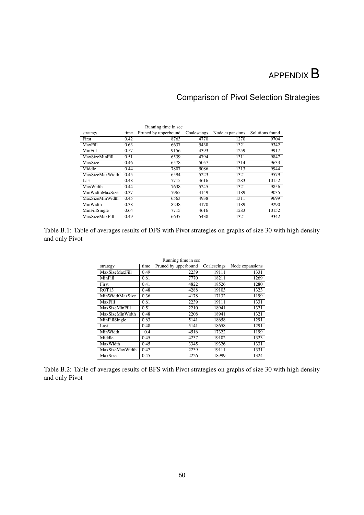# $APPENDIX B$

# Comparison of Pivot Selection Strategies

<span id="page-70-0"></span>

| Running time in sec |      |                      |             |                 |                 |  |
|---------------------|------|----------------------|-------------|-----------------|-----------------|--|
| strategy            | time | Pruned by upperbound | Coalescings | Node expansions | Solutions found |  |
| First               | 0.42 | 8763                 | 4770        | 1270            | 9704            |  |
| MaxFill             | 0.63 | 6637                 | 5438        | 1321            | 9342            |  |
| MinFill             | 0.57 | 9156                 | 4393        | 1259            | 9917            |  |
| MaxSizeMinFill      | 0.51 | 6539                 | 4794        | 1311            | 9847            |  |
| MaxSize             | 0.46 | 6578                 | 5057        | 1314            | 9633            |  |
| Middle              | 0.44 | 7807                 | 5086        | 1313            | 9944            |  |
| MaxSizeMaxWidth     | 0.45 | 6594                 | 5223        | 1321            | 9579            |  |
| Last                | 0.48 | 7715                 | 4616        | 1283            | 10152           |  |
| MaxWidth            | 0.44 | 7638                 | 5245        | 1321            | 9856            |  |
| MinWidthMaxSize     | 0.37 | 7965                 | 4149        | 1189            | 9035            |  |
| MaxSizeMinWidth     | 0.45 | 6563                 | 4938        | 1311            | 9699            |  |
| MinWidth            | 0.38 | 8238                 | 4170        | 1189            | 9290            |  |
| MinFillSingle       | 0.64 | 7715                 | 4616        | 1283            | 10152           |  |
| MaxSizeMaxFill      | 0.49 | 6637                 | 5438        | 1321            | 9342            |  |

Table B.1: Table of averages results of DFS with Pivot strategies on graphs of size 30 with high density and only Pivot

| Running time in sec    |      |                      |             |                 |  |
|------------------------|------|----------------------|-------------|-----------------|--|
| strategy               | time | Pruned by upperbound | Coalescings | Node expansions |  |
| MaxSizeMaxFill         | 0.49 | 2239                 | 19111       | 1331            |  |
| MinFill                | 0.61 | 7770                 | 18211       | 1269            |  |
| First                  | 0.41 | 4822                 | 18526       | 1280            |  |
| ROT <sub>13</sub>      | 0.48 | 4288                 | 19103       | 1323            |  |
| MinWidthMaxSize        | 0.36 | 4178                 | 17132       | 1199            |  |
| MaxFill                | 0.61 | 2239                 | 19111       | 1331            |  |
| <b>MaxSizeMinFill</b>  | 0.51 | 2210                 | 18941       | 1321            |  |
| MaxSizeMinWidth        | 0.48 | 2208                 | 18941       | 1321            |  |
| MinFillSingle          | 0.63 | 5141                 | 18658       | 1291            |  |
| Last                   | 0.48 | 5141                 | 18658       | 1291            |  |
| MinWidth               | 0.4  | 4516                 | 17322       | 1199            |  |
| Middle                 | 0.45 | 4237                 | 19102       | 1323            |  |
| MaxWidth               | 0.45 | 3345                 | 19326       | 1331            |  |
| <b>MaxSizeMaxWidth</b> | 0.47 | 2239                 | 19111       | 1331            |  |
| MaxSize                | 0.45 | 2226                 | 18999       | 1324            |  |

Table B.2: Table of averages results of BFS with Pivot strategies on graphs of size 30 with high density and only Pivot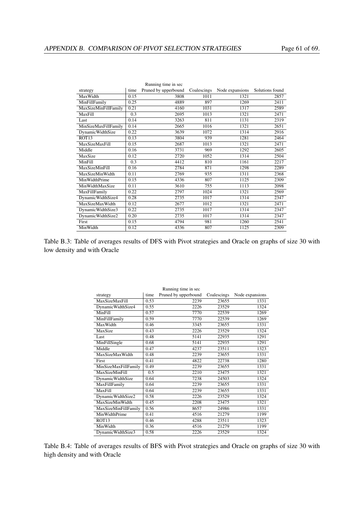|                         |      | Running time in sec  |             |                 |                 |
|-------------------------|------|----------------------|-------------|-----------------|-----------------|
| strategy                | time | Pruned by upperbound | Coalescings | Node expansions | Solutions found |
| MaxWidth                | 0.15 | 3808                 | 1011        | 1321            | 2857            |
| MinFillFamily           | 0.25 | 4889                 | 897         | 1269            | 2411            |
| MaxSizeMinFillFamily    | 0.21 | 4160                 | 1031        | 1317            | 2589            |
| MaxFill                 | 0.3  | 2695                 | 1013        | 1321            | 2471            |
| Last                    | 0.14 | 3263                 | 811         | 1131            | 2319            |
| MinSizeMaxFillFamily    | 0.14 | 2665                 | 1016        | 1321            | 2651            |
| <b>DynamicWidthSize</b> | 0.22 | 3639                 | 1072        | 1314            | 2916            |
| ROT <sub>13</sub>       | 0.13 | 3804                 | 939         | 1281            | 2464            |
| MaxSizeMaxFill          | 0.15 | 2687                 | 1013        | 1321            | 2471            |
| Middle                  | 0.16 | 3731                 | 969         | 1292            | 2605            |
| MaxSize                 | 0.12 | 2720                 | 1052        | 1314            | 2504            |
| MinFill                 | 0.3  | 4412                 | 810         | 1161            | 2217            |
| <b>MaxSizeMinFill</b>   | 0.16 | 2784                 | 871         | 1298            | 2289            |
| MaxSizeMinWidth         | 0.11 | 2769                 | 935         | 1311            | 2368            |
| MinWidthPrime           | 0.15 | 4336                 | 807         | 1125            | 2309            |
| MinWidthMaxSize         | 0.11 | 3610                 | 755         | 1113            | 2098            |
| MaxFillFamily           | 0.22 | 2797                 | 1024        | 1321            | 2569            |
| DynamicWidthSize4       | 0.28 | 2735                 | 1017        | 1314            | 2347            |
| MaxSizeMaxWidth         | 0.12 | 2677                 | 1012        | 1321            | 2471            |
| DynamicWidthSize3       | 0.22 | 2735                 | 1017        | 1314            | 2347            |
| DynamicWidthSize2       | 0.20 | 2735                 | 1017        | 1314            | 2347            |
| First                   | 0.15 | 4794                 | 981         | 1260            | 2541            |
| MinWidth                | 0.12 | 4336                 | 807         | 1125            | 2309            |

Table B.3: Table of averages results of DFS with Pivot strategies and Oracle on graphs of size 30 with low density and with Oracle

| strategy                | time | Running time in sec<br>Pruned by upperbound | Coalescings | Node expansions |
|-------------------------|------|---------------------------------------------|-------------|-----------------|
| MaxSizeMaxFill          | 0.53 | 2239                                        | 23655       | 1331            |
| DynamicWidthSize4       | 0.55 | 2226                                        | 23529       | 1324            |
| MinFill                 | 0.57 | 7770                                        | 22539       | 1269            |
|                         | 0.59 | 7770                                        | 22539       | 1269            |
| MinFillFamily           |      |                                             |             |                 |
| MaxWidth                | 0.46 | 3345                                        | 23655       | 1331            |
| MaxSize                 | 0.43 | 2226                                        | 23529       | 1324            |
| Last                    | 0.48 | 5141                                        | 22935       | 1291            |
| MinFillSingle           | 0.68 | 5141                                        | 22935       | 1291            |
| Middle                  | 0.47 | 4237                                        | 23511       | 1323            |
| MaxSizeMaxWidth         | 0.48 | 2239                                        | 23655       | 1331            |
| First                   | 0.41 | 4822                                        | 22738       | 1280            |
| MinSizeMaxFillFamily    | 0.49 | 2239                                        | 23655       | 1331            |
| <b>MaxSizeMinFill</b>   | 0.5  | 2210                                        | 23475       | 1321            |
| <b>DynamicWidthSize</b> | 0.64 | 7238                                        | 24503       | 1324            |
| MaxFillFamily           | 0.64 | 2239                                        | 23655       | 1331            |
| MaxFill                 | 0.64 | 2239                                        | 23655       | 1331            |
| DynamicWidthSize2       | 0.58 | 2226                                        | 23529       | 1324            |
| MaxSizeMinWidth         | 0.45 | 2208                                        | 23475       | 1321            |
| MaxSizeMinFillFamily    | 0.56 | 8657                                        | 24986       | 1331            |
| MinWidthPrime           | 0.41 | 4516                                        | 21279       | 1199            |
| ROT <sub>13</sub>       | 0.46 | 4288                                        | 23511       | 1323            |
| MinWidth                | 0.36 | 4516                                        | 21279       | 1199            |
| DynamicWidthSize3       | 0.58 | 2226                                        | 23529       | 1324            |

Running time in sec

Table B.4: Table of averages results of BFS with Pivot strategies and Oracle on graphs of size 30 with high density and with Oracle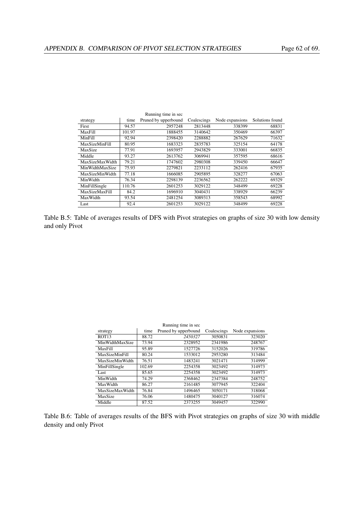|                       |        | Running time in sec  |             |                 |                 |
|-----------------------|--------|----------------------|-------------|-----------------|-----------------|
| strategy              | time   | Pruned by upperbound | Coalescings | Node expansions | Solutions found |
| First                 | 94.57  | 2957248              | 2813448     | 338399          | 68831           |
| MaxFill               | 101.97 | 1888455              | 3140642     | 350469          | 66397           |
| <b>MinFill</b>        | 92.94  | 2398420              | 2288882     | 267629          | 71632           |
| <b>MaxSizeMinFill</b> | 80.95  | 1683323              | 2835783     | 325154          | 64178           |
| MaxSize               | 77.91  | 1693957              | 2943829     | 333001          | 66835           |
| Middle                | 93.27  | 2613762              | 3069941     | 357595          | 68616           |
| MaxSizeMaxWidth       | 79.21  | 1747602              | 2980308     | 339450          | 66647           |
| MinWidthMaxSize       | 75.93  | 2279821              | 2233112     | 262416          | 67935           |
| MaxSizeMinWidth       | 77.18  | 1666085              | 2905895     | 328277          | 67063           |
| MinWidth              | 76.34  | 2298139              | 2236562     | 262222          | 69329           |
| MinFillSingle         | 110.76 | 2601253              | 3029122     | 348499          | 69228           |
| <b>MaxSizeMaxFill</b> | 84.2   | 1696910              | 3040431     | 338929          | 66239           |
| MaxWidth              | 93.54  | 2481254              | 3089313     | 358543          | 68992           |
| Last                  | 92.4   | 2601253              | 3029122     | 348499          | 69228           |

Table B.5: Table of averages results of DFS with Pivot strategies on graphs of size 30 with low density and only Pivot

|                       |        | Running time in sec  |             |                 |
|-----------------------|--------|----------------------|-------------|-----------------|
| strategy              | time   | Pruned by upperbound | Coalescings | Node expansions |
| ROT <sub>13</sub>     | 88.72  | 2450327              | 3050831     | 323020          |
| MinWidthMaxSize       | 73.94  | 2328952              | 2341986     | 248767          |
| MaxFill               | 95.89  | 1527726              | 3152026     | 319786          |
| <b>MaxSizeMinFill</b> | 80.24  | 1533012              | 2953280     | 313484          |
| MaxSizeMinWidth       | 76.51  | 1483241              | 3021471     | 314999          |
| MinFillSingle         | 102.69 | 2254358              | 3023492     | 314973          |
| Last                  | 85.65  | 2254358              | 3023492     | 314973          |
| MinWidth              | 74.29  | 2368462              | 2347384     | 248752          |
| MaxWidth              | 86.27  | 2161485              | 3077945     | 322404          |
| MaxSizeMaxWidth       | 76.84  | 1496465              | 3050171     | 318068          |
| MaxSize               | 76.06  | 1480475              | 3040127     | 316074          |
| Middle                | 87.52  | 2373255              | 3049457     | 322990          |

Table B.6: Table of averages results of the BFS with Pivot strategies on graphs of size 30 with middle density and only Pivot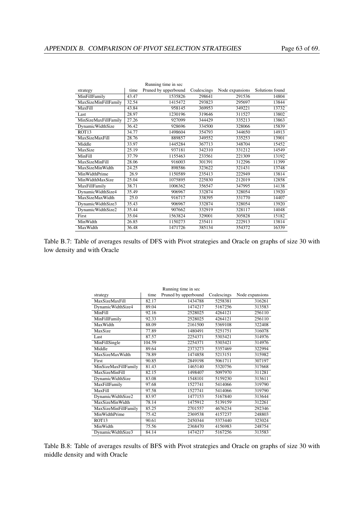|                         |       | Running time in sec  |             |                 |                 |
|-------------------------|-------|----------------------|-------------|-----------------|-----------------|
| strategy                | time  | Pruned by upperbound | Coalescings | Node expansions | Solutions found |
| MinFillFamily           | 43.47 | 1535826              | 298641      | 291536          | 14804           |
| MaxSizeMinFillFamily    | 32.54 | 1415472              | 293823      | 295697          | 13844           |
| MaxFill                 | 43.84 | 958145               | 369953      | 349221          | 13732           |
| Last                    | 28.97 | 1230196              | 319646      | 311527          | 13802           |
| MinSizeMaxFillFamily    | 27.26 | 927099               | 344429      | 335213          | 13863           |
| <b>DynamicWidthSize</b> | 36.42 | 928696               | 334500      | 328066          | 15839           |
| ROT <sub>13</sub>       | 34.77 | 1498604              | 354793      | 344650          | 14913           |
| <b>MaxSizeMaxFill</b>   | 28.76 | 889857               | 349552      | 335253          | 13901           |
| Middle                  | 33.97 | 1445284              | 367713      | 348704          | 15452           |
| MaxSize                 | 25.19 | 937181               | 342310      | 331212          | 14549           |
| MinFill                 | 37.79 | 1155463              | 233561      | 221309          | 13192           |
| <b>MaxSizeMinFill</b>   | 28.06 | 916003               | 301391      | 312296          | 11399           |
| MaxSizeMinWidth         | 24.25 | 898586               | 323622      | 321431          | 13748           |
| MinWidthPrime           | 26.9  | 1150589              | 235413      | 222949          | 13814           |
| MinWidthMaxSize         | 25.04 | 1075895              | 225830      | 212019          | 12858           |
| MaxFillFamily           | 38.71 | 1006362              | 356547      | 347995          | 14138           |
| DynamicWidthSize4       | 35.49 | 906967               | 332874      | 328054          | 13920           |
| <b>MaxSizeMaxWidth</b>  | 25.0  | 916717               | 338395      | 331770          | 14407           |
| DynamicWidthSize3       | 35.43 | 906967               | 332874      | 328054          | 13920           |
| DynamicWidthSize2       | 35.44 | 907662               | 332919      | 328117          | 14048           |
| First                   | 35.04 | 1563824              | 329001      | 305828          | 15182           |
| MinWidth                | 26.85 | 1150273              | 235411      | 222913          | 13814           |
| MaxWidth                | 36.48 | 1471726              | 385134      | 354372          | 16339           |

Table B.7: Table of averages results of DFS with Pivot strategies and Oracle on graphs of size 30 with low density and with Oracle

| strategy              | time   | Running time in sec<br>Pruned by upperbound | Coalescings | Node expansions |
|-----------------------|--------|---------------------------------------------|-------------|-----------------|
| MaxSizeMaxFill        | 82.17  | 1434788                                     | 5258381     | 316261          |
| DynamicWidthSize4     | 89.04  | 1474217                                     | 5167256     | 313583          |
| MinFill               | 92.16  | 2528025                                     | 4264121     | 256110          |
| MinFillFamily         | 92.33  | 2528025                                     | 4264121     | 256110          |
| MaxWidth              | 88.09  | 2161500                                     | 5369108     | 322408          |
| MaxSize               | 77.89  | 1480491                                     | 5251751     | 316078          |
| Last                  | 87.57  | 2254371                                     | 5303421     | 314976          |
| MinFillSingle         | 104.59 | 2254371                                     | 5303421     | 314976          |
| Middle                | 89.64  | 2373273                                     | 5357469     | 322994          |
| MaxSizeMaxWidth       | 78.89  | 1474858                                     | 5213151     | 315982          |
| First                 | 90.85  | 2849198                                     | 5061711     | 307197          |
| MinSizeMaxFillFamily  | 81.43  | 1465140                                     | 5320756     | 317668          |
| <b>MaxSizeMinFill</b> | 82.15  | 1498407                                     | 5097970     | 311281          |
| DynamicWidthSize      | 83.08  | 1548101                                     | 5159230     | 313611          |
| MaxFillFamily         | 97.68  | 1527741                                     | 5414066     | 319790          |
| MaxFill               | 97.58  | 1527741                                     | 5414066     | 319790          |
| DynamicWidthSize2     | 83.97  | 1477153                                     | 5167840     | 313644          |
| MaxSizeMinWidth       | 78.14  | 1475912                                     | 5139159     | 312261          |
| MaxSizeMinFillFamily  | 85.25  | 2701557                                     | 4676234     | 292346          |
| MinWidthPrime         | 75.42  | 2369538                                     | 4157237     | 248803          |
| ROT <sub>13</sub>     | 90.61  | 2450344                                     | 5373440     | 323024          |
| MinWidth              | 75.56  | 2368470                                     | 4156983     | 248754          |
| DynamicWidthSize3     | 84.14  | 1474217                                     | 5167256     | 313583          |

Running time in sec

Table B.8: Table of averages results of BFS with Pivot strategies and Oracle on graphs of size 30 with middle density and with Oracle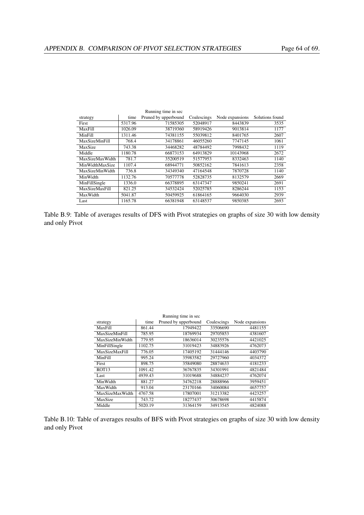|                       |         | Running time in sec  |             |                 |                 |
|-----------------------|---------|----------------------|-------------|-----------------|-----------------|
| strategy              | time    | Pruned by upperbound | Coalescings | Node expansions | Solutions found |
| First                 | 5317.96 | 71585305             | 52048917    | 8443839         | 3535            |
| MaxFill               | 1026.09 | 38719360             | 58919426    | 9013814         | 1177            |
| MinFill               | 1311.46 | 74381155             | 55039812    | 8401765         | 2607            |
| <b>MaxSizeMinFill</b> | 768.4   | 34178861             | 46055260    | 7747145         | 1061            |
| MaxSize               | 743.38  | 34468282             | 48784492    | 7998432         | 1119            |
| Middle                | 1180.78 | 66873153             | 64913829    | 10143968        | 2672            |
| MaxSizeMaxWidth       | 781.7   | 35200519             | 51577953    | 8332463         | 1140            |
| MinWidthMaxSize       | 1107.4  | 68944771             | 50852162    | 7841613         | 2358            |
| MaxSizeMinWidth       | 736.8   | 34349340             | 47164548    | 7870728         | 1140            |
| MinWidth              | 1132.76 | 70577778             | 52828735    | 8132579         | 2669            |
| MinFillSingle         | 1336.0  | 66378895             | 63147347    | 9850241         | 2691            |
| MaxSizeMaxFill        | 821.25  | 34532424             | 52025785    | 8286244         | 1153            |
| MaxWidth              | 5041.87 | 50459925             | 61864165    | 9664030         | 2939            |
| Last                  | 1165.78 | 66381948             | 63148537    | 9850385         | 2693            |

Table B.9: Table of averages results of DFS with Pivot strategies on graphs of size 30 with low density and only Pivot

|                       |         | Running time in sec  |             |                 |
|-----------------------|---------|----------------------|-------------|-----------------|
| strategy              | time    | Pruned by upperbound | Coalescings | Node expansions |
| MaxFill               | 861.44  | 17949422             | 33506690    | 4481155         |
| <b>MaxSizeMinFill</b> | 785.95  | 18769934             | 29705853    | 4381607         |
| MaxSizeMinWidth       | 779.95  | 18636014             | 30235576    | 4421025         |
| MinFillSingle         | 1102.75 | 31019423             | 34883926    | 4762073         |
| <b>MaxSizeMaxFill</b> | 776.05  | 17405192             | 31444146    | 4403790         |
| <b>MinFill</b>        | 995.24  | 35983582             | 29727960    | 4034372         |
| First                 | 898.75  | 35849080             | 28874633    | 4181233         |
| ROT <sub>13</sub>     | 1091.42 | 36767835             | 34301991    | 4821484         |
| Last                  | 4939.43 | 31019688             | 34884237    | 4762074         |
| MinWidth              | 881.27  | 34762218             | 28888966    | 3959451         |
| MaxWidth              | 913.04  | 23170166             | 34060084    | 4657757         |
| MaxSizeMaxWidth       | 4767.58 | 17807001             | 31213382    | 4423257         |
| MaxSize               | 743.72  | 18277437             | 30678698    | 4415874         |
| Middle                | 5020.19 | 31364159             | 34913545    | 4824088         |

Table B.10: Table of averages results of BFS with Pivot strategies on graphs of size 30 with low density and only Pivot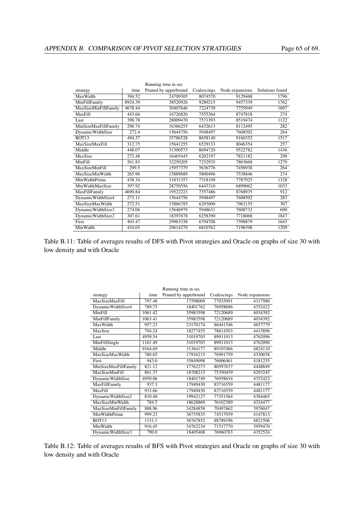|                         |         | Running time in sec  |             |                 |                 |
|-------------------------|---------|----------------------|-------------|-----------------|-----------------|
| strategy                | time    | Pruned by upperbound | Coalescings | Node expansions | Solutions found |
| MaxWidth                | 394.52  | 24709305             | 8074570     | 9129468         | 1796            |
| MinFillFamily           | 8924.39 | 38520926             | 9289215     | 9457339         | 1762            |
| MaxSizeMinFillFamily    | 4678.44 | 30407646             | 7224730     | 7755949         | 1697            |
| MaxFill                 | 443.66  | 16726826             | 7555264     | 8747818         | 274             |
| Last                    | 398.78  | 28009470             | 7571393     | 8519474         | 1122            |
| MinSizeMaxFillFamily    | 296.74  | 16366255             | 6432613     | 8112495         | 282             |
| <b>DynamicWidthSize</b> | 272.4   | 15644756             | 5948497     | 7608502         | 264             |
| ROT <sub>13</sub>       | 494.37  | 35786528             | 8658140     | 9160352         | 1517            |
| <b>MaxSizeMaxFill</b>   | 312.75  | 15641255             | 6529133     | 8046354         | 257             |
| Middle                  | 448.07  | 31300573             | 8694720     | 9522782         | 1436            |
| MaxSize                 | 272.48  | 16465445             | 6202197     | 7821182         | 298             |
| MinFill                 | 561.83  | 32250205             | 7252935     | 7863668         | 1270            |
| <b>MaxSizeMinFill</b>   | 299.5   | 15957379             | 5636776     | 7456938         | 264             |
| MaxSizeMinWidth         | 265.96  | 15889689             | 5800496     | 7538846         | 274             |
| MinWidthPrime           | 438.34  | 31831357             | 7318109     | 7787925         | 1328            |
| MinWidthMaxSize         | 397.92  | 28750556             | 6443310     | 6899062         | 1033            |
| MaxFillFamily           | 4690.84 | 19522223             | 7357486     | 8768935         | 912             |
| DynamicWidthSize4       | 273.11  | 15644756             | 5948497     | 7608502         | 283             |
| MaxSizeMaxWidth         | 272.51  | 15866785             | 6293000     | 7963155         | 307             |
| DynamicWidthSize3       | 274.06  | 15646979             | 5948631     | 7608732         | 690             |
| DynamicWidthSize2       | 307.61  | 18397678             | 6258390     | 7718068         | 1847            |
| First                   | 403.47  | 29963338             | 6794708     | 7398879         | 1643            |
| MinWidth                | 410.65  | 29614279             | 6810762     | 7198398         | 1209            |

Table B.11: Table of averages results of DFS with Pivot strategies and Oracle on graphs of size 30 with low density and with Oracle

| strategy                | time    | rummig ume in see<br>Pruned by upperbound | Coalescings | Node expansions |
|-------------------------|---------|-------------------------------------------|-------------|-----------------|
| MaxSizeMaxFill          | 797.48  | 17598069                                  | 77035091    | 4317980         |
| DynamicWidthSize4       | 789.75  | 18401762                                  | 76958686    | 4352422         |
| MinFill                 | 1061.42 | 35983598                                  | 72120689    | 4034392         |
| MinFillFamily           | 1063.41 | 35983598                                  | 72120689    | 4034392         |
| MaxWidth                | 957.23  | 23170174                                  | 86441546    | 4657779         |
| MaxSize                 | 794.24  | 18277455                                  | 78814503    | 4415896         |
| Last                    | 4959.54 | 31019703                                  | 89911013    | 4762096         |
| MinFillSingle           | 1161.49 | 31019703                                  | 89911013    | 4762096         |
| Middle                  | 9164.69 | 31364177                                  | 89107466    | 4824110         |
| MaxSizeMaxWidth         | 780.65  | 17916215                                  | 76991759    | 4330038         |
| <b>First</b>            | 943.0   | 35849098                                  | 76006461    | 4181255         |
| MinSizeMaxFillFamily    | 821.12  | 17762273                                  | 80597637    | 4448849         |
| <b>MaxSizeMinFill</b>   | 801.37  | 18708215                                  | 75350459    | 4293245         |
| <b>DynamicWidthSize</b> | 4950.06 | 18401749                                  | 76958654    | 4352422         |
| MaxFillFamily           | 937.3   | 17949430                                  | 83716559    | 4481177         |
| MaxFill                 | 933.66  | 17949430                                  | 83716559    | 4481177         |
| DynamicWidthSize2       | 810.48  | 19942127                                  | 77351564    | 4384465         |
| MaxSizeMinWidth         | 784.5   | 18628869                                  | 76102389    | 4324477         |
| MaxSizeMinFillFamily    | 888.96  | 34284858                                  | 70497662    | 3976047         |
| MinWidthPrime           | 999.23  | 36735835                                  | 74517939    | 4147813         |
| ROT <sub>13</sub>       | 1131.1  | 36767852                                  | 88789196    | 4821506         |
| MinWidth                | 916.45  | 34762234                                  | 71517770    | 3959470         |
| DynamicWidthSize3       | 790.0   | 18405468                                  | 76960783    | 4352524         |

Running time in sec

Table B.12: Table of averages results of BFS with Pivot strategies and Oracle on graphs of size 30 with low density and with Oracle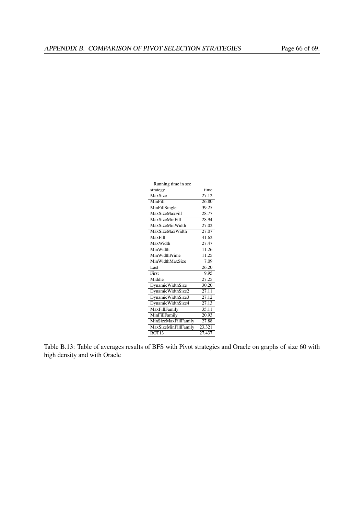| Running time in sec     |                    |
|-------------------------|--------------------|
| strategy                | time               |
| MaxSize                 | $\overline{27.12}$ |
| MinFill                 | 26.80              |
| MinFillSingle           | 39.25              |
| <b>MaxSizeMaxFill</b>   | 28.77              |
| <b>MaxSizeMinFill</b>   | 28.94              |
| MaxSizeMinWidth         | 27.02              |
| MaxSizeMaxWidth         | 27.07              |
| MaxFill                 | 41.62              |
| MaxWidth                | 27.47              |
| MinWidth                | 11.26              |
| MinWidthPrime           | 11.25              |
| MinWidthMaxSize         | 7.09               |
| Last                    | 26.20              |
| First                   | 9.95               |
| Middle                  | 27.25              |
| <b>DynamicWidthSize</b> | 30.20              |
| DynamicWidthSize2       | $\overline{27.11}$ |
| DynamicWidthSize3       | 27.12              |
| DynamicWidthSize4       | $\overline{27.13}$ |
| MaxFillFamily           | 35.11              |
| MinFillFamily           | 20.93              |
| MinSizeMaxFillFamily    | 27.88              |
| MaxSizeMinFillFamily    | 23.321             |
| ROT <sub>13</sub>       | 27.437             |

Table B.13: Table of averages results of BFS with Pivot strategies and Oracle on graphs of size 60 with high density and with Oracle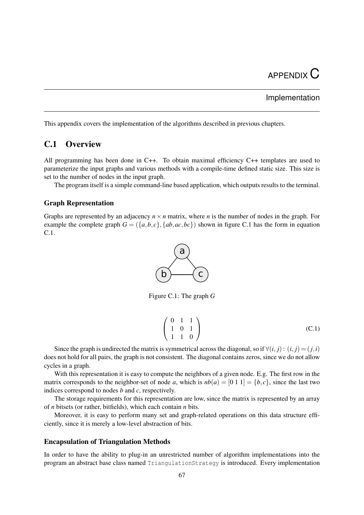## Implementation

This appendix covers the implementation of the algorithms described in previous chapters.

# C.1 Overview

All programming has been done in C++. To obtain maximal efficiency C++ templates are used to parameterize the input graphs and various methods with a compile-time defined static size. This size is set to the number of nodes in the input graph.

The program itself is a simple command-line based application, which outputs results to the terminal.

#### Graph Representation

Graphs are represented by an adjacency  $n \times n$  matrix, where *n* is the number of nodes in the graph. For example the complete graph  $G = (\{a,b,c\}, \{ab,ac,bc\})$  shown in figure [C.1](#page-77-0) has the form in equation [C.1.](#page-77-1)



Figure C.1: The graph *G*

<span id="page-77-0"></span>
$$
\left(\begin{array}{ccc} 0 & 1 & 1 \\ 1 & 0 & 1 \\ 1 & 1 & 0 \end{array}\right) (C.1)
$$

<span id="page-77-1"></span>Since the graph is undirected the matrix is symmetrical across the diagonal, so if  $\forall (i, j) : (i, j) = (j, i)$ does not hold for all pairs, the graph is not consistent. The diagonal contains zeros, since we do not allow cycles in a graph.

With this representation it is easy to compute the neighbors of a given node. E.g. The first row in the matrix corresponds to the neighbor-set of node *a*, which is  $nb(a) = [0 \ 1 \ 1] = \{b, c\}$ , since the last two indices correspond to nodes *b* and *c*, respectively.

The storage requirements for this representation are low, since the matrix is represented by an array of *n* bitsets (or rather, bitfields), which each contain *n* bits.

Moreover, it is easy to perform many set and graph-related operations on this data structure efficiently, since it is merely a low-level abstraction of bits.

### Encapsulation of Triangulation Methods

In order to have the ability to plug-in an unrestricted number of algorithm implementations into the program an abstract base class named TriangulationStrategy is introduced. Every implementation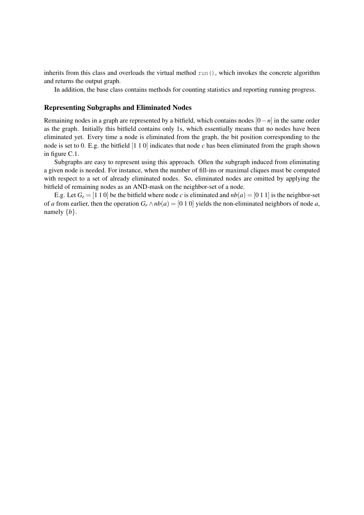inherits from this class and overloads the virtual method run(), which invokes the concrete algorithm and returns the output graph.

In addition, the base class contains methods for counting statistics and reporting running progress.

#### Representing Subgraphs and Eliminated Nodes

Remaining nodes in a graph are represented by a bitfield, which contains nodes [0−*n*] in the same order as the graph. Initially this bitfield contains only 1s, which essentially means that no nodes have been eliminated yet. Every time a node is eliminated from the graph, the bit position corresponding to the node is set to 0. E.g. the bitfield [1 1 0] indicates that node *c* has been eliminated from the graph shown in figure [C.1.](#page-77-0)

Subgraphs are easy to represent using this approach. Often the subgraph induced from eliminating a given node is needed. For instance, when the number of fill-ins or maximal cliques must be computed with respect to a set of already eliminated nodes. So, eliminated nodes are omitted by applying the bitfield of remaining nodes as an AND-mask on the neighbor-set of a node.

E.g. Let  $G_e = [1 \ 1 \ 0]$  be the bitfield where node *c* is eliminated and  $nb(a) = [0 \ 1 \ 1]$  is the neighbor-set of *a* from earlier, then the operation  $G_e \wedge nb(a) = [0 1 0]$  yields the non-eliminated neighbors of node *a*, namely  ${b}$ .